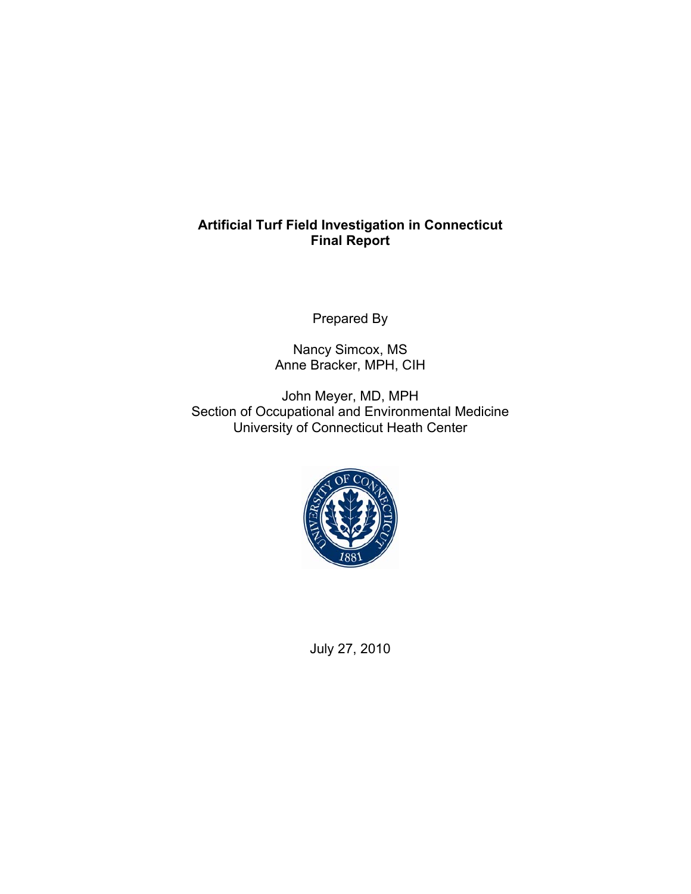# **Artificial Turf Field Investigation in Connecticut Final Report**

Prepared By

Nancy Simcox, MS Anne Bracker, MPH, CIH

John Meyer, MD, MPH Section of Occupational and Environmental Medicine University of Connecticut Heath Center



July 27, 2010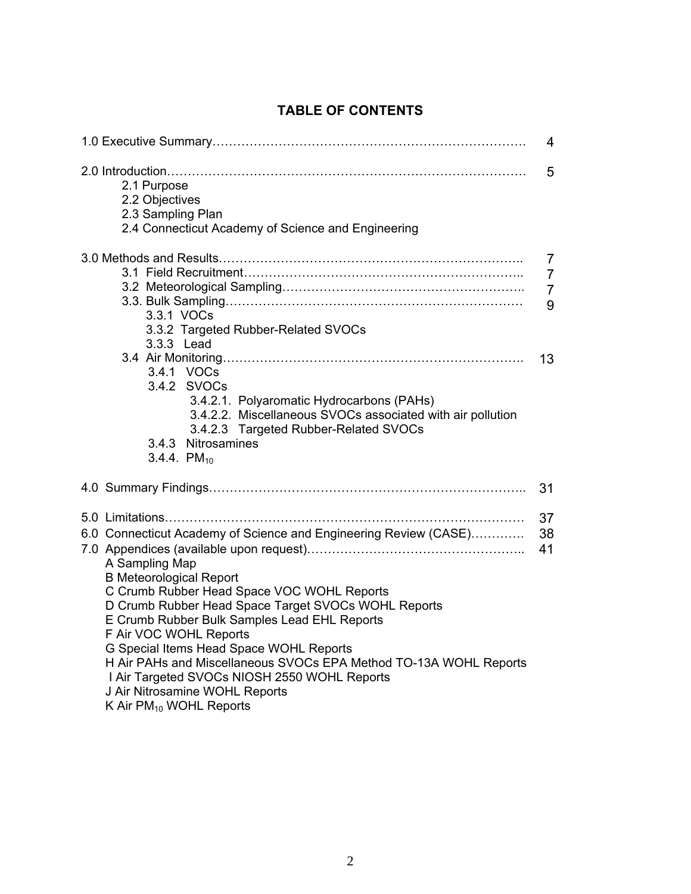|                                                                                                                                                                                                                                                                                                                                                                                                                                                                                                                                       | 4                                          |
|---------------------------------------------------------------------------------------------------------------------------------------------------------------------------------------------------------------------------------------------------------------------------------------------------------------------------------------------------------------------------------------------------------------------------------------------------------------------------------------------------------------------------------------|--------------------------------------------|
| 2.1 Purpose<br>2.2 Objectives<br>2.3 Sampling Plan<br>2.4 Connecticut Academy of Science and Engineering                                                                                                                                                                                                                                                                                                                                                                                                                              | 5                                          |
| 3.3.1 VOCs<br>3.3.2 Targeted Rubber-Related SVOCs<br>3.3.3 Lead                                                                                                                                                                                                                                                                                                                                                                                                                                                                       | 7<br>$\overline{7}$<br>$\overline{7}$<br>9 |
| 3.4.1 VOCs<br>3.4.2 SVOCs<br>3.4.2.1. Polyaromatic Hydrocarbons (PAHs)<br>3.4.2.2. Miscellaneous SVOCs associated with air pollution<br>3.4.2.3 Targeted Rubber-Related SVOCs<br>3.4.3 Nitrosamines<br>3.4.4. $PM_{10}$                                                                                                                                                                                                                                                                                                               | 13                                         |
|                                                                                                                                                                                                                                                                                                                                                                                                                                                                                                                                       | 31                                         |
| 6.0 Connecticut Academy of Science and Engineering Review (CASE)<br>A Sampling Map<br><b>B Meteorological Report</b><br>C Crumb Rubber Head Space VOC WOHL Reports<br>D Crumb Rubber Head Space Target SVOCs WOHL Reports<br>E Crumb Rubber Bulk Samples Lead EHL Reports<br>F Air VOC WOHL Reports<br>G Special Items Head Space WOHL Reports<br>H Air PAHs and Miscellaneous SVOCs EPA Method TO-13A WOHL Reports<br>I Air Targeted SVOCs NIOSH 2550 WOHL Reports<br>J Air Nitrosamine WOHL Reports<br>K Air $PM_{10}$ WOHL Reports | 37<br>38<br>41                             |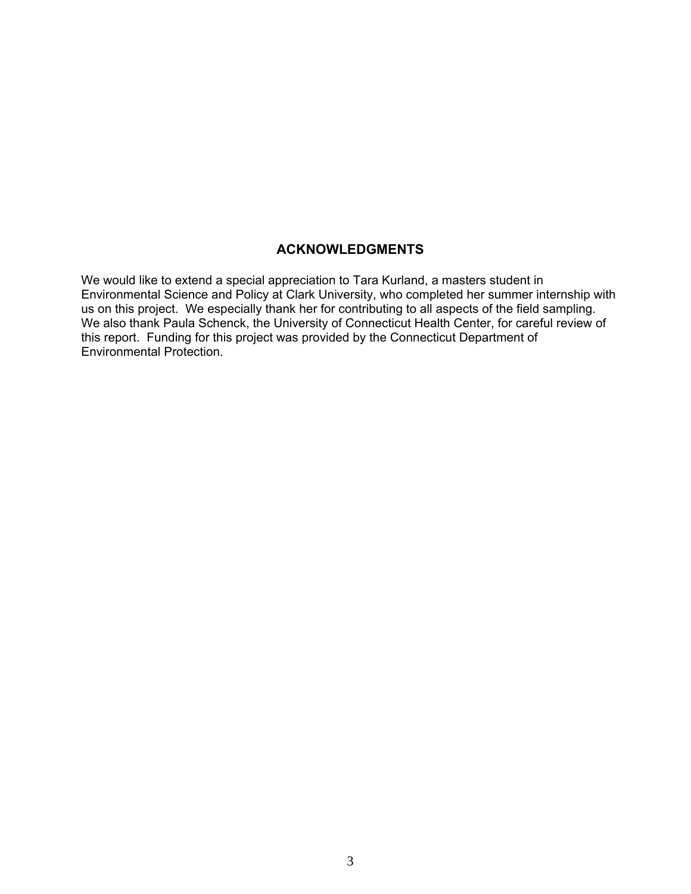# **ACKNOWLEDGMENTS**

We would like to extend a special appreciation to Tara Kurland, a masters student in Environmental Science and Policy at Clark University, who completed her summer internship with us on this project. We especially thank her for contributing to all aspects of the field sampling. We also thank Paula Schenck, the University of Connecticut Health Center, for careful review of this report. Funding for this project was provided by the Connecticut Department of Environmental Protection.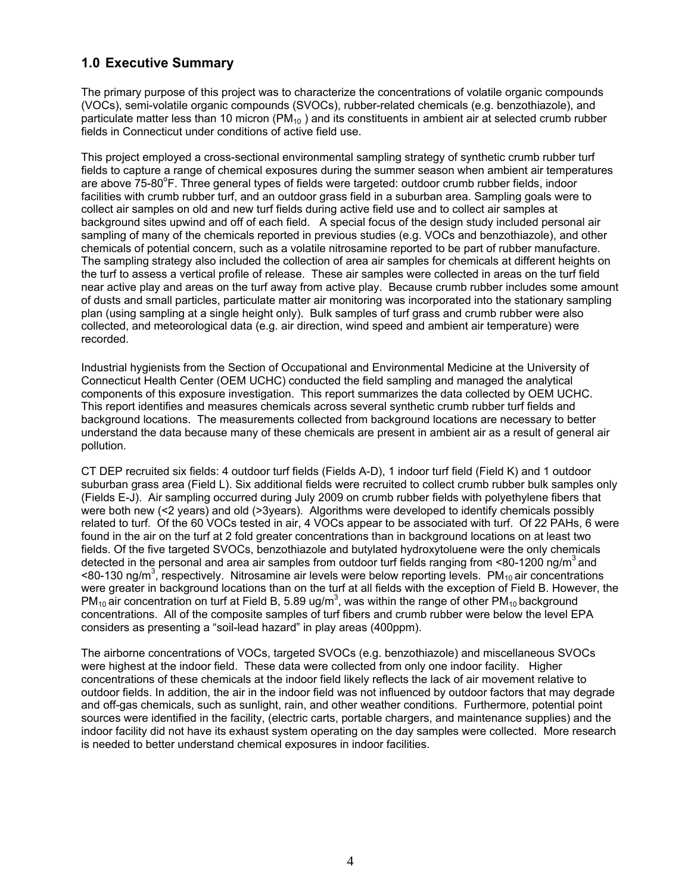# **1.0 Executive Summary**

The primary purpose of this project was to characterize the concentrations of volatile organic compounds (VOCs), semi-volatile organic compounds (SVOCs), rubber-related chemicals (e.g. benzothiazole), and particulate matter less than 10 micron  $(PM_{10})$  and its constituents in ambient air at selected crumb rubber fields in Connecticut under conditions of active field use.

This project employed a cross-sectional environmental sampling strategy of synthetic crumb rubber turf fields to capture a range of chemical exposures during the summer season when ambient air temperatures are above 75-80°F. Three general types of fields were targeted: outdoor crumb rubber fields, indoor facilities with crumb rubber turf, and an outdoor grass field in a suburban area. Sampling goals were to collect air samples on old and new turf fields during active field use and to collect air samples at background sites upwind and off of each field. A special focus of the design study included personal air sampling of many of the chemicals reported in previous studies (e.g. VOCs and benzothiazole), and other chemicals of potential concern, such as a volatile nitrosamine reported to be part of rubber manufacture. The sampling strategy also included the collection of area air samples for chemicals at different heights on the turf to assess a vertical profile of release. These air samples were collected in areas on the turf field near active play and areas on the turf away from active play. Because crumb rubber includes some amount of dusts and small particles, particulate matter air monitoring was incorporated into the stationary sampling plan (using sampling at a single height only). Bulk samples of turf grass and crumb rubber were also collected, and meteorological data (e.g. air direction, wind speed and ambient air temperature) were recorded.

Industrial hygienists from the Section of Occupational and Environmental Medicine at the University of Connecticut Health Center (OEM UCHC) conducted the field sampling and managed the analytical components of this exposure investigation. This report summarizes the data collected by OEM UCHC. This report identifies and measures chemicals across several synthetic crumb rubber turf fields and background locations. The measurements collected from background locations are necessary to better understand the data because many of these chemicals are present in ambient air as a result of general air pollution.

CT DEP recruited six fields: 4 outdoor turf fields (Fields A-D), 1 indoor turf field (Field K) and 1 outdoor suburban grass area (Field L). Six additional fields were recruited to collect crumb rubber bulk samples only (Fields E-J). Air sampling occurred during July 2009 on crumb rubber fields with polyethylene fibers that were both new (<2 years) and old (>3years). Algorithms were developed to identify chemicals possibly related to turf. Of the 60 VOCs tested in air, 4 VOCs appear to be associated with turf. Of 22 PAHs, 6 were found in the air on the turf at 2 fold greater concentrations than in background locations on at least two fields. Of the five targeted SVOCs, benzothiazole and butylated hydroxytoluene were the only chemicals detected in the personal and area air samples from outdoor turf fields ranging from  $\leq 80-1200$  ng/m<sup>3</sup> and <80-130 ng/m<sup>3</sup>, respectively. Nitrosamine air levels were below reporting levels. PM<sub>10</sub> air concentrations were greater in background locations than on the turf at all fields with the exception of Field B. However, the PM<sub>10</sub> air concentration on turf at Field B, 5.89 ug/m<sup>3</sup>, was within the range of other PM<sub>10</sub> background concentrations. All of the composite samples of turf fibers and crumb rubber were below the level EPA considers as presenting a "soil-lead hazard" in play areas (400ppm).

The airborne concentrations of VOCs, targeted SVOCs (e.g. benzothiazole) and miscellaneous SVOCs were highest at the indoor field. These data were collected from only one indoor facility. Higher concentrations of these chemicals at the indoor field likely reflects the lack of air movement relative to outdoor fields. In addition, the air in the indoor field was not influenced by outdoor factors that may degrade and off-gas chemicals, such as sunlight, rain, and other weather conditions.Furthermore, potential point sources were identified in the facility, (electric carts, portable chargers, and maintenance supplies) and the indoor facility did not have its exhaust system operating on the day samples were collected.More research is needed to better understand chemical exposures in indoor facilities.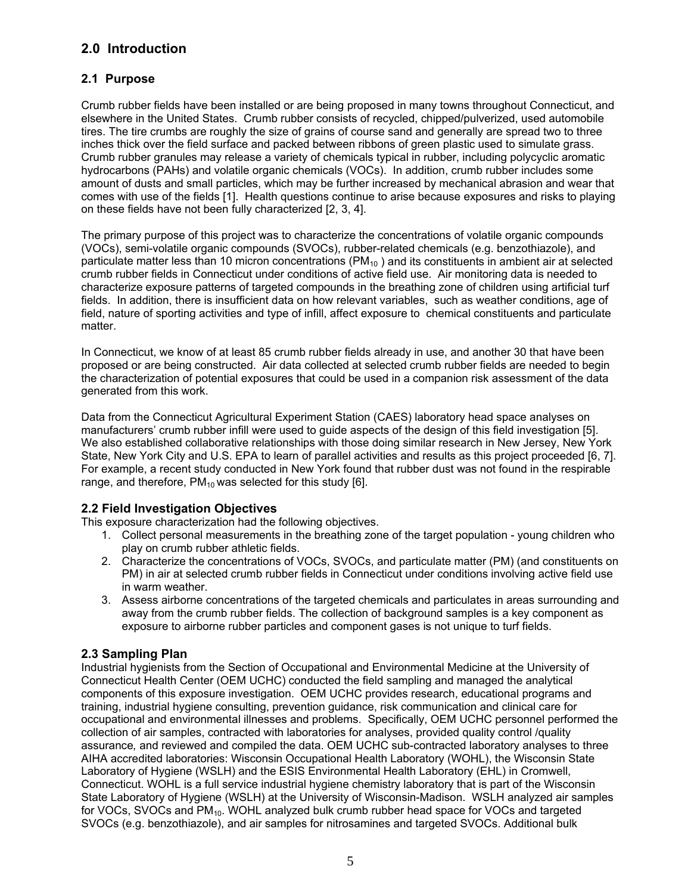# **2.0 Introduction**

# **2.1 Purpose**

Crumb rubber fields have been installed or are being proposed in many towns throughout Connecticut, and elsewhere in the United States. Crumb rubber consists of recycled, chipped/pulverized, used automobile tires. The tire crumbs are roughly the size of grains of course sand and generally are spread two to three inches thick over the field surface and packed between ribbons of green plastic used to simulate grass. Crumb rubber granules may release a variety of chemicals typical in rubber, including polycyclic aromatic hydrocarbons (PAHs) and volatile organic chemicals (VOCs). In addition, crumb rubber includes some amount of dusts and small particles, which may be further increased by mechanical abrasion and wear that comes with use of the fields [1]. Health questions continue to arise because exposures and risks to playing on these fields have not been fully characterized [2, 3, 4].

The primary purpose of this project was to characterize the concentrations of volatile organic compounds (VOCs), semi-volatile organic compounds (SVOCs), rubber-related chemicals (e.g. benzothiazole), and particulate matter less than 10 micron concentrations ( $PM_{10}$ ) and its constituents in ambient air at selected crumb rubber fields in Connecticut under conditions of active field use. Air monitoring data is needed to characterize exposure patterns of targeted compounds in the breathing zone of children using artificial turf fields. In addition, there is insufficient data on how relevant variables, such as weather conditions, age of field, nature of sporting activities and type of infill, affect exposure to chemical constituents and particulate matter.

In Connecticut, we know of at least 85 crumb rubber fields already in use, and another 30 that have been proposed or are being constructed. Air data collected at selected crumb rubber fields are needed to begin the characterization of potential exposures that could be used in a companion risk assessment of the data generated from this work.

Data from the Connecticut Agricultural Experiment Station (CAES) laboratory head space analyses on manufacturers' crumb rubber infill were used to guide aspects of the design of this field investigation [5]. We also established collaborative relationships with those doing similar research in New Jersey, New York State, New York City and U.S. EPA to learn of parallel activities and results as this project proceeded [6, 7]. For example, a recent study conducted in New York found that rubber dust was not found in the respirable range, and therefore,  $PM_{10}$  was selected for this study [6].

# **2.2 Field Investigation Objectives**

This exposure characterization had the following objectives.

- 1. Collect personal measurements in the breathing zone of the target population young children who play on crumb rubber athletic fields.
- 2. Characterize the concentrations of VOCs, SVOCs, and particulate matter (PM) (and constituents on PM) in air at selected crumb rubber fields in Connecticut under conditions involving active field use in warm weather.
- 3. Assess airborne concentrations of the targeted chemicals and particulates in areas surrounding and away from the crumb rubber fields. The collection of background samples is a key component as exposure to airborne rubber particles and component gases is not unique to turf fields.

# **2.3 Sampling Plan**

Industrial hygienists from the Section of Occupational and Environmental Medicine at the University of Connecticut Health Center (OEM UCHC) conducted the field sampling and managed the analytical components of this exposure investigation. OEM UCHC provides research, educational programs and training, industrial hygiene consulting, prevention guidance, risk communication and clinical care for occupational and environmental illnesses and problems. Specifically, OEM UCHC personnel performed the collection of air samples, contracted with laboratories for analyses, provided quality control /quality assurance*,* and reviewed and compiled the data. OEM UCHC sub-contracted laboratory analyses to three AIHA accredited laboratories: Wisconsin Occupational Health Laboratory (WOHL), the Wisconsin State Laboratory of Hygiene (WSLH) and the ESIS Environmental Health Laboratory (EHL) in Cromwell, Connecticut. WOHL is a full service industrial hygiene chemistry laboratory that is part of the Wisconsin State Laboratory of Hygiene (WSLH) at the University of Wisconsin-Madison. WSLH analyzed air samples for VOCs, SVOCs and PM<sub>10</sub>. WOHL analyzed bulk crumb rubber head space for VOCs and targeted SVOCs (e.g. benzothiazole), and air samples for nitrosamines and targeted SVOCs. Additional bulk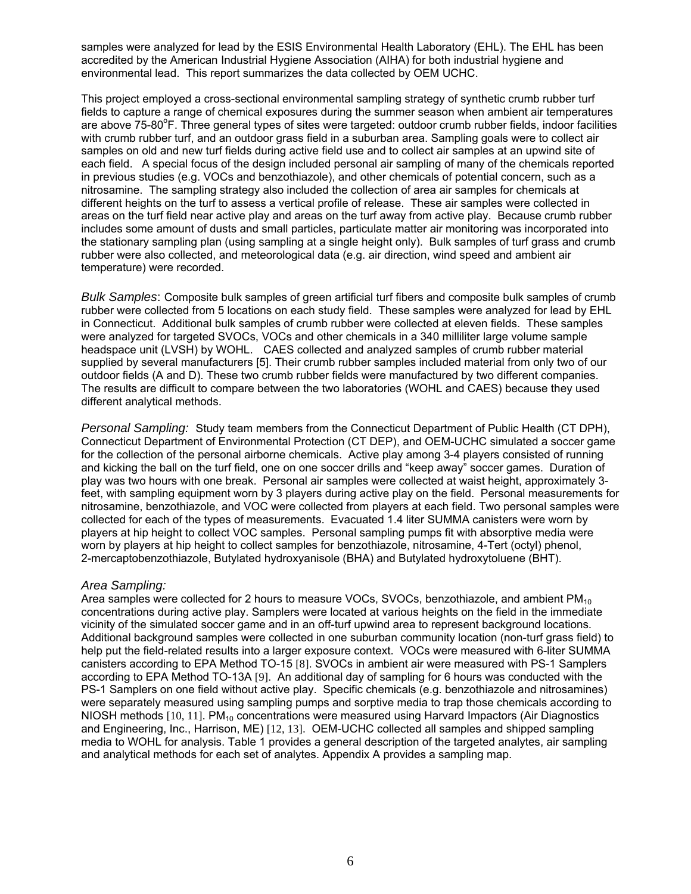samples were analyzed for lead by the ESIS Environmental Health Laboratory (EHL). The EHL has been accredited by the American Industrial Hygiene Association (AIHA) for both industrial hygiene and environmental lead. This report summarizes the data collected by OEM UCHC.

This project employed a cross-sectional environmental sampling strategy of synthetic crumb rubber turf fields to capture a range of chemical exposures during the summer season when ambient air temperatures are above 75-80°F. Three general types of sites were targeted: outdoor crumb rubber fields, indoor facilities with crumb rubber turf, and an outdoor grass field in a suburban area. Sampling goals were to collect air samples on old and new turf fields during active field use and to collect air samples at an upwind site of each field. A special focus of the design included personal air sampling of many of the chemicals reported in previous studies (e.g. VOCs and benzothiazole), and other chemicals of potential concern, such as a nitrosamine. The sampling strategy also included the collection of area air samples for chemicals at different heights on the turf to assess a vertical profile of release. These air samples were collected in areas on the turf field near active play and areas on the turf away from active play. Because crumb rubber includes some amount of dusts and small particles, particulate matter air monitoring was incorporated into the stationary sampling plan (using sampling at a single height only). Bulk samples of turf grass and crumb rubber were also collected, and meteorological data (e.g. air direction, wind speed and ambient air temperature) were recorded.

*Bulk Samples*: Composite bulk samples of green artificial turf fibers and composite bulk samples of crumb rubber were collected from 5 locations on each study field. These samples were analyzed for lead by EHL in Connecticut. Additional bulk samples of crumb rubber were collected at eleven fields. These samples were analyzed for targeted SVOCs, VOCs and other chemicals in a 340 milliliter large volume sample headspace unit (LVSH) by WOHL. CAES collected and analyzed samples of crumb rubber material supplied by several manufacturers [5]. Their crumb rubber samples included material from only two of our outdoor fields (A and D). These two crumb rubber fields were manufactured by two different companies. The results are difficult to compare between the two laboratories (WOHL and CAES) because they used different analytical methods.

*Personal Sampling:* Study team members from the Connecticut Department of Public Health (CT DPH), Connecticut Department of Environmental Protection (CT DEP), and OEM-UCHC simulated a soccer game for the collection of the personal airborne chemicals. Active play among 3-4 players consisted of running and kicking the ball on the turf field, one on one soccer drills and "keep away" soccer games. Duration of play was two hours with one break. Personal air samples were collected at waist height, approximately 3 feet, with sampling equipment worn by 3 players during active play on the field. Personal measurements for nitrosamine, benzothiazole, and VOC were collected from players at each field. Two personal samples were collected for each of the types of measurements. Evacuated 1.4 liter SUMMA canisters were worn by players at hip height to collect VOC samples. Personal sampling pumps fit with absorptive media were worn by players at hip height to collect samples for benzothiazole, nitrosamine, 4-Tert (octyl) phenol, 2-mercaptobenzothiazole, Butylated hydroxyanisole (BHA) and Butylated hydroxytoluene (BHT).

*Area Sampling:*<br>Area samples were collected for 2 hours to measure VOCs, SVOCs, benzothiazole, and ambient PM<sub>10</sub> concentrations during active play. Samplers were located at various heights on the field in the immediate vicinity of the simulated soccer game and in an off-turf upwind area to represent background locations. Additional background samples were collected in one suburban community location (non-turf grass field) to help put the field-related results into a larger exposure context. VOCs were measured with 6-liter SUMMA canisters according to EPA Method TO-15 [8]. SVOCs in ambient air were measured with PS-1 Samplers according to EPA Method TO-13A [9]. An additional day of sampling for 6 hours was conducted with the PS-1 Samplers on one field without active play. Specific chemicals (e.g. benzothiazole and nitrosamines) were separately measured using sampling pumps and sorptive media to trap those chemicals according to NIOSH methods  $[10, 11]$ . PM<sub>10</sub> concentrations were measured using Harvard Impactors (Air Diagnostics and Engineering, Inc., Harrison, ME) [12, 13]. OEM-UCHC collected all samples and shipped sampling media to WOHL for analysis. Table 1 provides a general description of the targeted analytes, air sampling and analytical methods for each set of analytes. Appendix A provides a sampling map.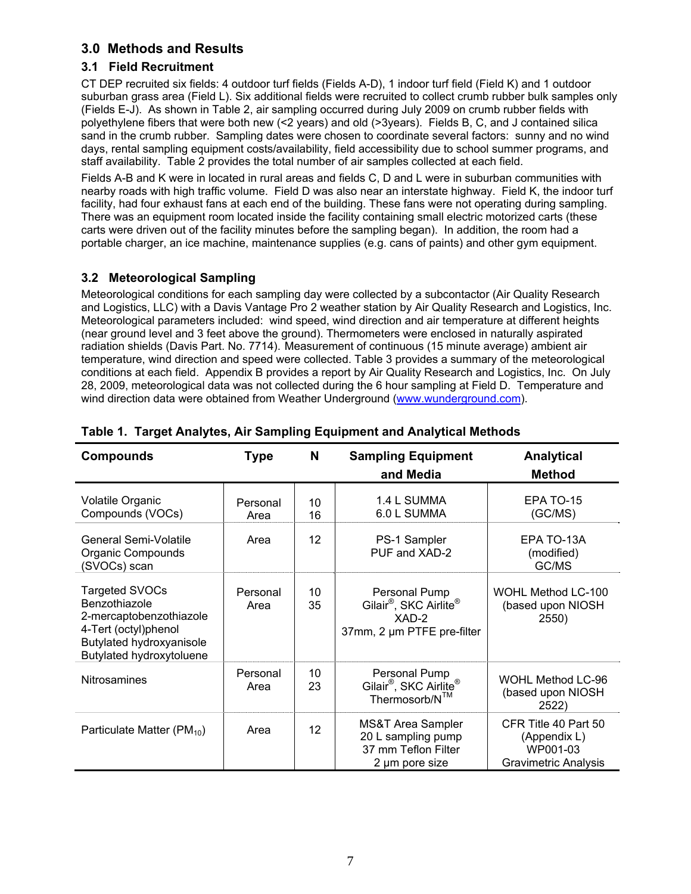# **3.0 Methods and Results**

## **3.1 Field Recruitment**

CT DEP recruited six fields: 4 outdoor turf fields (Fields A-D), 1 indoor turf field (Field K) and 1 outdoor suburban grass area (Field L). Six additional fields were recruited to collect crumb rubber bulk samples only (Fields E-J). As shown in Table 2, air sampling occurred during July 2009 on crumb rubber fields with polyethylene fibers that were both new (<2 years) and old (>3years). Fields B, C, and J contained silica sand in the crumb rubber. Sampling dates were chosen to coordinate several factors: sunny and no wind days, rental sampling equipment costs/availability, field accessibility due to school summer programs, and staff availability. Table 2 provides the total number of air samples collected at each field.

Fields A-B and K were in located in rural areas and fields C, D and L were in suburban communities with nearby roads with high traffic volume. Field D was also near an interstate highway. Field K, the indoor turf facility, had four exhaust fans at each end of the building. These fans were not operating during sampling. There was an equipment room located inside the facility containing small electric motorized carts (these carts were driven out of the facility minutes before the sampling began). In addition, the room had a portable charger, an ice machine, maintenance supplies (e.g. cans of paints) and other gym equipment.

# **3.2 Meteorological Sampling**

Meteorological conditions for each sampling day were collected by a subcontactor (Air Quality Research and Logistics, LLC) with a Davis Vantage Pro 2 weather station by Air Quality Research and Logistics, Inc. Meteorological parameters included: wind speed, wind direction and air temperature at different heights (near ground level and 3 feet above the ground). Thermometers were enclosed in naturally aspirated radiation shields (Davis Part. No. 7714). Measurement of continuous (15 minute average) ambient air temperature, wind direction and speed were collected. Table 3 provides a summary of the meteorological conditions at each field.Appendix B provides a report by Air Quality Research and Logistics, Inc. On July 28, 2009, meteorological data was not collected during the 6 hour sampling at Field D. Temperature and wind direction data were obtained from Weather Underground (www.wunderground.com).

| <b>Compounds</b>                                                                                                                           | <b>Type</b>      | N                 | <b>Sampling Equipment</b><br>and Media                                                                 | <b>Analytical</b><br><b>Method</b>                                              |
|--------------------------------------------------------------------------------------------------------------------------------------------|------------------|-------------------|--------------------------------------------------------------------------------------------------------|---------------------------------------------------------------------------------|
|                                                                                                                                            |                  |                   |                                                                                                        |                                                                                 |
| <b>Volatile Organic</b><br>Compounds (VOCs)                                                                                                | Personal<br>Area | 10<br>16          | 1.4 L SUMMA<br>6.0 L SUMMA                                                                             | EPA TO-15<br>(GC/MS)                                                            |
| General Semi-Volatile<br>Organic Compounds<br>(SVOCs) scan                                                                                 | Area             | 12                | PS-1 Sampler<br>PUF and XAD-2                                                                          | EPA TO-13A<br>(modified)<br>GC/MS                                               |
| Targeted SVOCs<br>Benzothiazole<br>2-mercaptobenzothiazole<br>4-Tert (octyl)phenol<br>Butylated hydroxyanisole<br>Butylated hydroxytoluene | Personal<br>Area | 10<br>35          | Personal Pump<br>Gilair <sup>®</sup> , SKC Airlite <sup>®</sup><br>XAD-2<br>37mm, 2 µm PTFE pre-filter | WOHL Method LC-100<br>(based upon NIOSH<br>2550)                                |
| <b>Nitrosamines</b>                                                                                                                        | Personal<br>Area | 10<br>23          | Personal Pump<br>Gilair <sup>®</sup> , SKC Airlite <sup>®</sup><br>Thermosorb/N™                       | <b>WOHL Method LC-96</b><br>(based upon NIOSH<br>2522)                          |
| Particulate Matter (PM <sub>10</sub> )                                                                                                     | Area             | $12 \overline{ }$ | <b>MS&amp;T Area Sampler</b><br>20 L sampling pump<br>37 mm Teflon Filter<br>2 µm pore size            | CFR Title 40 Part 50<br>(Appendix L)<br>WP001-03<br><b>Gravimetric Analysis</b> |

# **Table 1. Target Analytes, Air Sampling Equipment and Analytical Methods**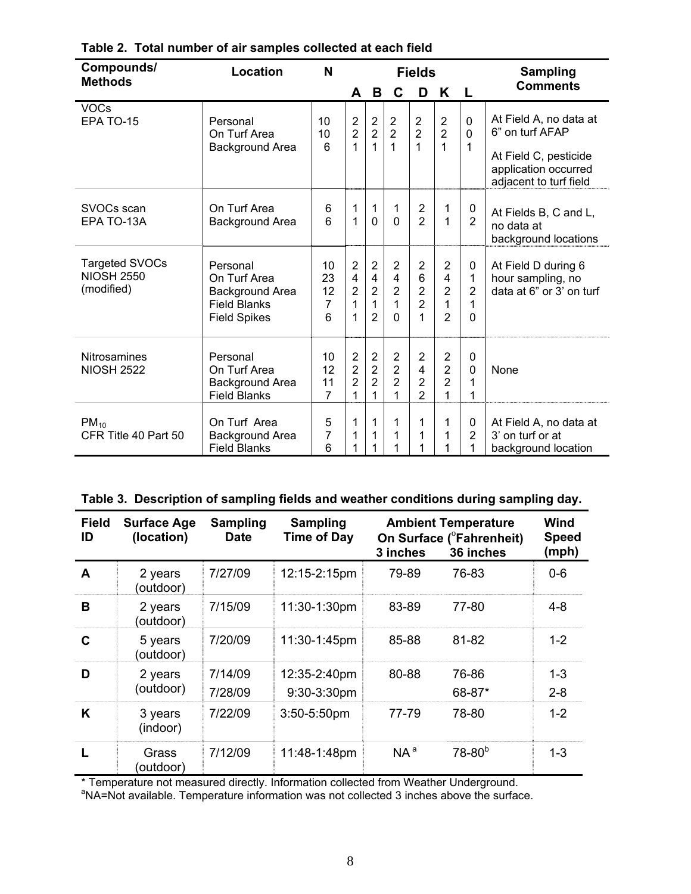| Compounds/<br><b>Methods</b>                             | <b>Location</b>                                                                           | N                                | <b>Fields</b>                                                         |                                                                           | <b>Sampling</b>                                                              |                                                                      |                                                         |                                           |                                                                                                                      |
|----------------------------------------------------------|-------------------------------------------------------------------------------------------|----------------------------------|-----------------------------------------------------------------------|---------------------------------------------------------------------------|------------------------------------------------------------------------------|----------------------------------------------------------------------|---------------------------------------------------------|-------------------------------------------|----------------------------------------------------------------------------------------------------------------------|
|                                                          |                                                                                           |                                  | A                                                                     | B                                                                         | C                                                                            | D                                                                    | K                                                       | L                                         | <b>Comments</b>                                                                                                      |
| <b>VOCs</b><br>EPA TO-15                                 | Personal<br>On Turf Area<br>Background Area                                               | 10<br>10<br>6                    | $\overline{2}$<br>$\overline{2}$<br>1                                 | $\overline{2}$<br>$\overline{2}$<br>1                                     | $\overline{2}$<br>$\overline{2}$<br>1                                        | $\overline{2}$<br>$\overline{2}$<br>1                                | $\overline{2}$<br>$\overline{2}$<br>1                   | $\mathbf 0$<br>$\Omega$<br>1              | At Field A, no data at<br>6" on turf AFAP<br>At Field C, pesticide<br>application occurred<br>adjacent to turf field |
| SVOCs scan<br>EPA TO-13A                                 | On Turf Area<br>Background Area                                                           | 6<br>6                           | 1<br>$\overline{1}$                                                   | $\mathbf 1$<br>$\mathbf 0$                                                | 1<br>$\Omega$                                                                | $\overline{\mathbf{c}}$<br>$\overline{2}$                            | 1<br>1                                                  | 0<br>$\overline{2}$                       | At Fields B, C and L,<br>no data at<br>background locations                                                          |
| <b>Targeted SVOCs</b><br><b>NIOSH 2550</b><br>(modified) | Personal<br>On Turf Area<br>Background Area<br><b>Field Blanks</b><br><b>Field Spikes</b> | 10<br>23<br>12<br>7<br>6         | $\overline{2}$<br>$\overline{\mathbf{4}}$<br>$\overline{2}$<br>1<br>1 | $\overline{2}$<br>$\overline{4}$<br>$\overline{2}$<br>1<br>$\overline{2}$ | $\overline{2}$<br>$\overline{\mathbf{4}}$<br>$\overline{2}$<br>1<br>$\Omega$ | $\overline{2}$<br>6<br>$\overline{2}$<br>$\overline{2}$<br>1         | 2<br>4<br>$\overline{2}$<br>1<br>$\overline{2}$         | 0<br>1<br>$\overline{2}$<br>1<br>$\Omega$ | At Field D during 6<br>hour sampling, no<br>data at 6" or 3' on turf                                                 |
| <b>Nitrosamines</b><br><b>NIOSH 2522</b>                 | Personal<br>On Turf Area<br><b>Background Area</b><br><b>Field Blanks</b>                 | 10<br>12<br>11<br>$\overline{7}$ | $\overline{2}$<br>$\overline{2}$<br>$\overline{2}$<br>1               | $\overline{2}$<br>$\overline{2}$<br>$\overline{2}$<br>1                   | $\overline{2}$<br>$\overline{2}$<br>$\overline{2}$<br>1                      | $\overline{2}$<br>$\overline{4}$<br>$\overline{2}$<br>$\overline{2}$ | $\overline{2}$<br>$\overline{2}$<br>$\overline{2}$<br>1 | 0<br>$\mathbf 0$<br>1<br>1                | None                                                                                                                 |
| $PM_{10}$<br>CFR Title 40 Part 50                        | On Turf Area<br><b>Background Area</b><br><b>Field Blanks</b>                             | 5<br>7<br>6                      | 1<br>1<br>1                                                           | 1<br>1<br>1                                                               | 1                                                                            | 1<br>1<br>1                                                          | 1<br>1<br>1                                             | 0<br>$\overline{2}$                       | At Field A, no data at<br>3' on turf or at<br>background location                                                    |

## **Table 2. Total number of air samples collected at each field**

| <b>Field</b><br>ID | <b>Surface Age</b><br>(location) | <b>Sampling</b><br><b>Date</b> | <b>Sampling</b><br><b>Time of Day</b> | 3 inches | <b>Ambient Temperature</b><br>On Surface ( <sup>o</sup> Fahrenheit)<br>36 inches | Wind<br><b>Speed</b><br>(mph) |
|--------------------|----------------------------------|--------------------------------|---------------------------------------|----------|----------------------------------------------------------------------------------|-------------------------------|
| $\mathbf{A}$       | 2 years<br>(outdoor)             | 7/27/09                        | 12:15-2:15pm                          | 79-89    | 76-83                                                                            | $0-6$                         |
| В                  | 2 years<br>(outdoor)             | 7/15/09                        | 11:30-1:30pm                          | 83-89    | 77-80                                                                            | $4 - 8$                       |
| C                  | 5 years<br>(outdoor)             | 7/20/09                        | 11:30-1:45pm                          | 85-88    | 81-82                                                                            | $1 - 2$                       |
| D                  | 2 years<br>(outdoor)             | 7/14/09<br>7/28/09             | 12:35-2:40pm<br>9:30-3:30pm           | 80-88    | 76-86<br>68-87*                                                                  | $1 - 3$<br>$2 - 8$            |
| K                  | 3 years<br>(indoor)              | 7/22/09                        | $3:50-5:50$ pm                        | 77-79    | 78-80                                                                            | $1 - 2$                       |
| L                  | Grass<br>(outdoor)               | 7/12/09                        | 11:48-1:48pm                          | $NA^a$   | $78 - 80^{b}$                                                                    | $1 - 3$                       |

\* Temperature not measured directly. Information collected from Weather Underground.<br><sup>a</sup>NA=Not available. Temperature information was not collected 3 inches above the surface.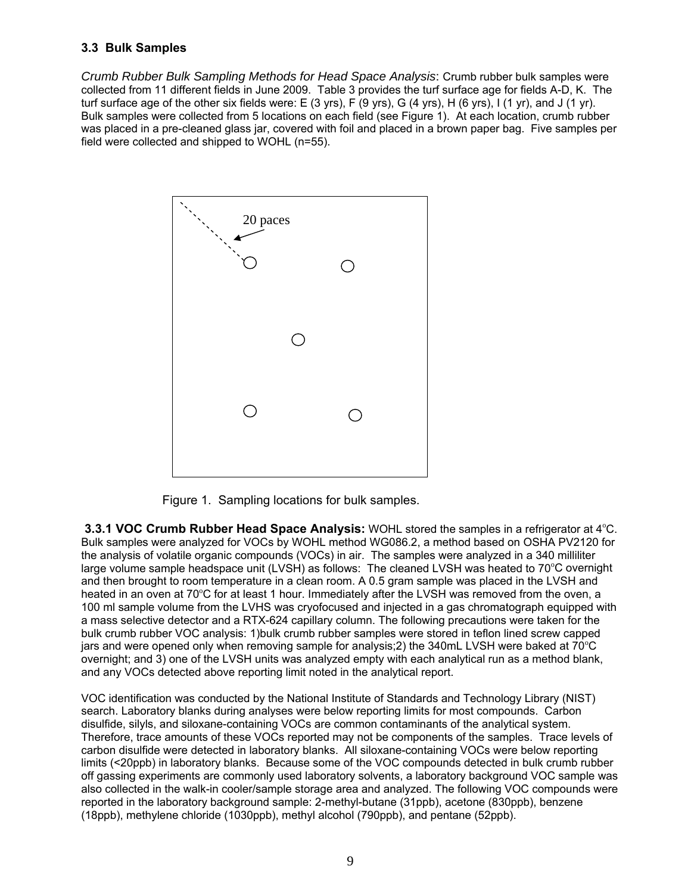## **3.3 Bulk Samples**

*Crumb Rubber Bulk Sampling Methods for Head Space Analysis*: Crumb rubber bulk samples were collected from 11 different fields in June 2009. Table 3 provides the turf surface age for fields A-D, K. The turf surface age of the other six fields were: E (3 yrs), F (9 yrs), G (4 yrs), H (6 yrs), I (1 yr), and J (1 yr). Bulk samples were collected from 5 locations on each field (see Figure 1). At each location, crumb rubber was placed in a pre-cleaned glass jar, covered with foil and placed in a brown paper bag. Five samples per field were collected and shipped to WOHL (n=55).



Figure 1. Sampling locations for bulk samples.

**3.3.1 VOC Crumb Rubber Head Space Analysis:** WOHL stored the samples in a refrigerator at 4°C. Bulk samples were analyzed for VOCs by WOHL method WG086.2, a method based on OSHA PV2120 for the analysis of volatile organic compounds (VOCs) in air. The samples were analyzed in a 340 milliliter large volume sample headspace unit (LVSH) as follows: The cleaned LVSH was heated to 70°C overnight and then brought to room temperature in a clean room. A 0.5 gram sample was placed in the LVSH and heated in an oven at 70°C for at least 1 hour. Immediately after the LVSH was removed from the oven, a 100 ml sample volume from the LVHS was cryofocused and injected in a gas chromatograph equipped with a mass selective detector and a RTX-624 capillary column. The following precautions were taken for the bulk crumb rubber VOC analysis: 1)bulk crumb rubber samples were stored in teflon lined screw capped jars and were opened only when removing sample for analysis; 2) the 340mL LVSH were baked at 70°C overnight; and 3) one of the LVSH units was analyzed empty with each analytical run as a method blank, and any VOCs detected above reporting limit noted in the analytical report.

VOC identification was conducted by the National Institute of Standards and Technology Library (NIST) search. Laboratory blanks during analyses were below reporting limits for most compounds. Carbon disulfide, silyls, and siloxane-containing VOCs are common contaminants of the analytical system. Therefore, trace amounts of these VOCs reported may not be components of the samples. Trace levels of carbon disulfide were detected in laboratory blanks. All siloxane-containing VOCs were below reporting limits (<20ppb) in laboratory blanks. Because some of the VOC compounds detected in bulk crumb rubber off gassing experiments are commonly used laboratory solvents, a laboratory background VOC sample was also collected in the walk-in cooler/sample storage area and analyzed. The following VOC compounds were reported in the laboratory background sample: 2-methyl-butane (31ppb), acetone (830ppb), benzene (18ppb), methylene chloride (1030ppb), methyl alcohol (790ppb), and pentane (52ppb).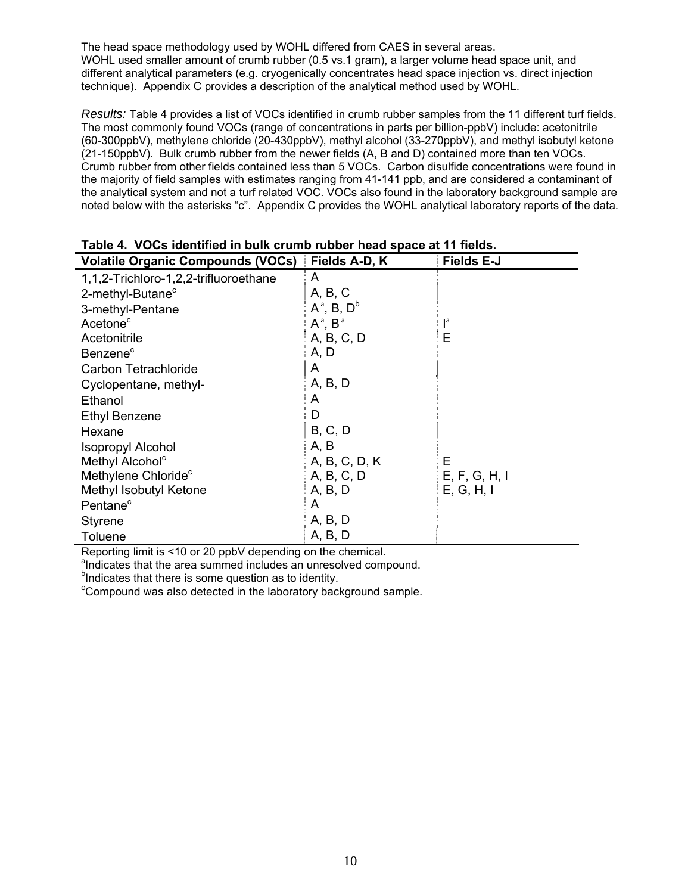The head space methodology used by WOHL differed from CAES in several areas. WOHL used smaller amount of crumb rubber (0.5 vs.1 gram), a larger volume head space unit, and different analytical parameters (e.g. cryogenically concentrates head space injection vs. direct injection technique). Appendix C provides a description of the analytical method used by WOHL.

*Results:* Table 4 provides a list of VOCs identified in crumb rubber samples from the 11 different turf fields. The most commonly found VOCs (range of concentrations in parts per billion-ppbV) include: acetonitrile (60-300ppbV), methylene chloride (20-430ppbV), methyl alcohol (33-270ppbV), and methyl isobutyl ketone (21-150ppbV). Bulk crumb rubber from the newer fields (A, B and D) contained more than ten VOCs. Crumb rubber from other fields contained less than 5 VOCs. Carbon disulfide concentrations were found in the majority of field samples with estimates ranging from 41-141 ppb, and are considered a contaminant of the analytical system and not a turf related VOC. VOCs also found in the laboratory background sample are noted below with the asterisks "c". Appendix C provides the WOHL analytical laboratory reports of the data.

| <b>Volatile Organic Compounds (VOCs)</b> | Fields A-D, K    | <b>Fields E-J</b>       |
|------------------------------------------|------------------|-------------------------|
| 1,1,2-Trichloro-1,2,2-trifluoroethane    | A                |                         |
| 2-methyl-Butane <sup>c</sup>             | A, B, C          |                         |
| 3-methyl-Pentane                         | $A^a$ , B, $D^b$ |                         |
| Acetone <sup>c</sup>                     | $A^a$ , $B^a$    | $\mathsf{I}^{\text{a}}$ |
| Acetonitrile                             | A, B, C, D       | Е                       |
| Benzene <sup>c</sup>                     | A, D             |                         |
| Carbon Tetrachloride                     | A                |                         |
| Cyclopentane, methyl-                    | A, B, D          |                         |
| Ethanol                                  | A                |                         |
| <b>Ethyl Benzene</b>                     | D                |                         |
| Hexane                                   | B, C, D          |                         |
| <b>Isopropyl Alcohol</b>                 | A, B             |                         |
| Methyl Alcohol <sup>c</sup>              | A, B, C, D, K    | E.                      |
| Methylene Chloride <sup>c</sup>          | A, B, C, D       | E, F, G, H, I           |
| Methyl Isobutyl Ketone                   | A, B, D          | E, G, H, I              |
| Pentane <sup>c</sup>                     | A                |                         |
| <b>Styrene</b>                           | A, B, D          |                         |
| Toluene                                  | A, B, D          |                         |

#### **Table 4. VOCs identified in bulk crumb rubber head space at 11 fields.**

Reporting limit is <10 or 20 ppbV depending on the chemical.

andicates that the area summed includes an unresolved compound.

<sup>b</sup>Indicates that there is some question as to identity.

<sup>c</sup>Compound was also detected in the laboratory background sample.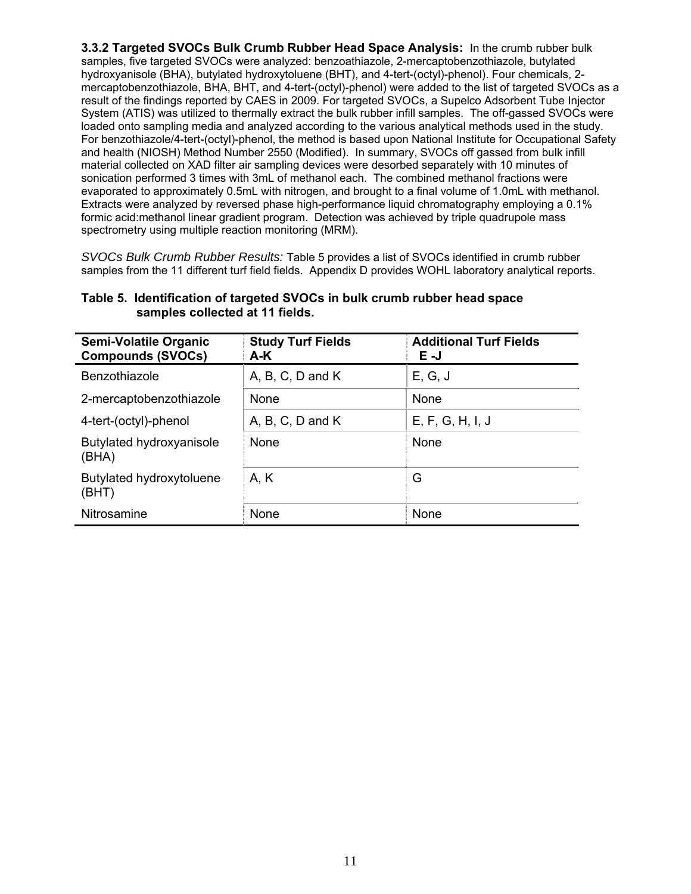**3.3.2 Targeted SVOCs Bulk Crumb Rubber Head Space Analysis:** In the crumb rubber bulk samples, five targeted SVOCs were analyzed: benzoathiazole, 2-mercaptobenzothiazole, butylated hydroxyanisole (BHA), butylated hydroxytoluene (BHT), and 4-tert-(octyl)-phenol). Four chemicals, 2 mercaptobenzothiazole, BHA, BHT, and 4-tert-(octyl)-phenol) were added to the list of targeted SVOCs as a result of the findings reported by CAES in 2009. For targeted SVOCs, a Supelco Adsorbent Tube Injector System (ATIS) was utilized to thermally extract the bulk rubber infill samples. The off-gassed SVOCs were loaded onto sampling media and analyzed according to the various analytical methods used in the study. For benzothiazole/4-tert-(octyl)-phenol, the method is based upon National Institute for Occupational Safety and health (NIOSH) Method Number 2550 (Modified). In summary, SVOCs off gassed from bulk infill material collected on XAD filter air sampling devices were desorbed separately with 10 minutes of sonication performed 3 times with 3mL of methanol each. The combined methanol fractions were evaporated to approximately 0.5mL with nitrogen, and brought to a final volume of 1.0mL with methanol. Extracts were analyzed by reversed phase high-performance liquid chromatography employing a 0.1% formic acid:methanol linear gradient program. Detection was achieved by triple quadrupole mass spectrometry using multiple reaction monitoring (MRM).

*SVOCs Bulk Crumb Rubber Results:* Table 5 provides a list of SVOCs identified in crumb rubber samples from the 11 different turf field fields. Appendix D provides WOHL laboratory analytical reports.

| Semi-Volatile Organic<br><b>Compounds (SVOCs)</b> | <b>Study Turf Fields</b><br>A-K | <b>Additional Turf Fields</b><br>E-J |
|---------------------------------------------------|---------------------------------|--------------------------------------|
| Benzothiazole                                     | $A, B, C, D$ and $K$            | E, G, J                              |
| 2-mercaptobenzothiazole                           | <b>None</b>                     | None                                 |
| 4-tert-(octyl)-phenol                             | $A, B, C, D$ and $K$            | E, F, G, H, I, J                     |
| Butylated hydroxyanisole<br>(BHA)                 | <b>None</b>                     | None                                 |
| Butylated hydroxytoluene<br>(BHT)                 | A, K                            | G                                    |
| Nitrosamine                                       | None                            | None                                 |

#### **Table 5. Identification of targeted SVOCs in bulk crumb rubber head space samples collected at 11 fields.**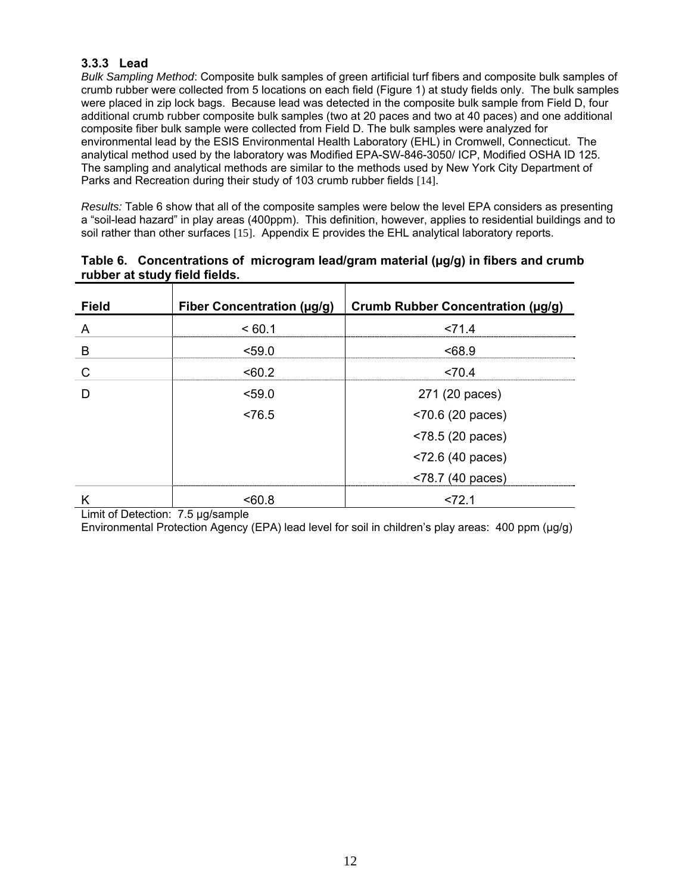### **3.3.3 Lead**

*Bulk Sampling Method*: Composite bulk samples of green artificial turf fibers and composite bulk samples of crumb rubber were collected from 5 locations on each field (Figure 1) at study fields only. The bulk samples were placed in zip lock bags. Because lead was detected in the composite bulk sample from Field D, four additional crumb rubber composite bulk samples (two at 20 paces and two at 40 paces) and one additional composite fiber bulk sample were collected from Field D. The bulk samples were analyzed for environmental lead by the ESIS Environmental Health Laboratory (EHL) in Cromwell, Connecticut. The analytical method used by the laboratory was Modified EPA-SW-846-3050/ ICP, Modified OSHA ID 125. The sampling and analytical methods are similar to the methods used by New York City Department of Parks and Recreation during their study of 103 crumb rubber fields [14].

*Results:* Table 6 show that all of the composite samples were below the level EPA considers as presenting a "soil-lead hazard" in play areas (400ppm). This definition, however, applies to residential buildings and to soil rather than other surfaces [15]. Appendix E provides the EHL analytical laboratory reports.

| Table 6. Concentrations of microgram lead/gram material ( $\mu$ g/g) in fibers and crumb |  |  |
|------------------------------------------------------------------------------------------|--|--|
| rubber at study field fields.                                                            |  |  |
|                                                                                          |  |  |

| <b>Field</b> | Fiber Concentration (µg/g) | <b>Crumb Rubber Concentration (µg/g)</b> |
|--------------|----------------------------|------------------------------------------|
| A            | <60.1                      | < 71.4                                   |
| B            | < 59.0                     | <68.9                                    |
| C            | < 60.2                     | < 70.4                                   |
| D            | < 59.0                     | 271 (20 paces)                           |
|              | ~5                         | $< 70.6$ (20 paces)                      |
|              |                            | $<$ 78.5 (20 paces)                      |
|              |                            | $< 72.6$ (40 paces)                      |
|              |                            | <78.7 (40 paces)                         |
| Κ            | < 60.8                     | < 72.1                                   |

Limit of Detection: 7.5 µg/sample

Environmental Protection Agency (EPA) lead level for soil in children's play areas: 400 ppm (µg/g)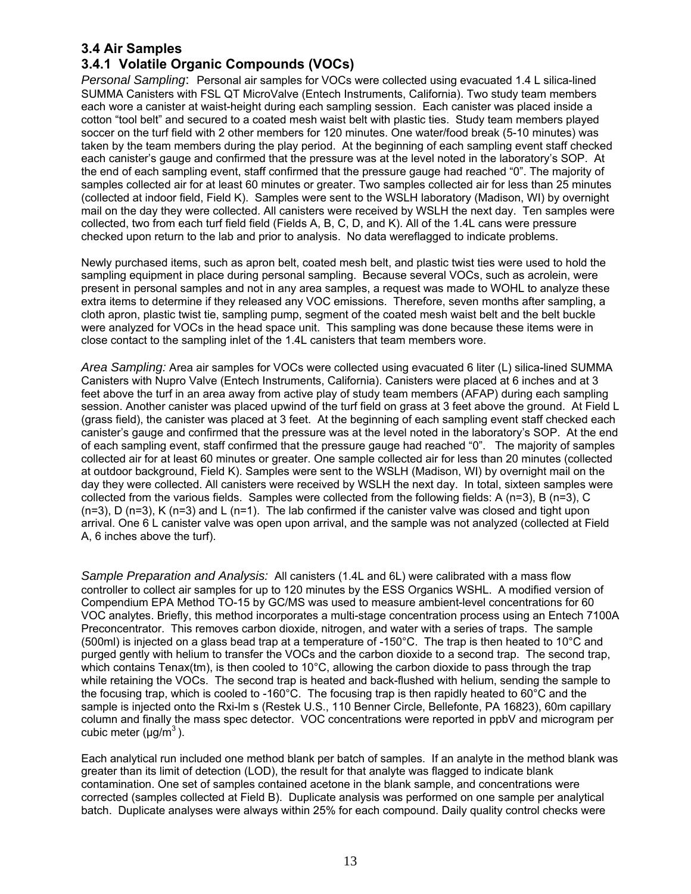# **3.4 Air Samples**

# **3.4.1 Volatile Organic Compounds (VOCs)**

*Personal Sampling*: Personal air samples for VOCs were collected using evacuated 1.4 L silica-lined SUMMA Canisters with FSL QT MicroValve (Entech Instruments, California). Two study team members each wore a canister at waist-height during each sampling session. Each canister was placed inside a cotton "tool belt" and secured to a coated mesh waist belt with plastic ties. Study team members played soccer on the turf field with 2 other members for 120 minutes. One water/food break (5-10 minutes) was taken by the team members during the play period. At the beginning of each sampling event staff checked each canister's gauge and confirmed that the pressure was at the level noted in the laboratory's SOP. At the end of each sampling event, staff confirmed that the pressure gauge had reached "0". The majority of samples collected air for at least 60 minutes or greater. Two samples collected air for less than 25 minutes (collected at indoor field, Field K). Samples were sent to the WSLH laboratory (Madison, WI) by overnight mail on the day they were collected. All canisters were received by WSLH the next day. Ten samples were collected, two from each turf field field (Fields A, B, C, D, and K). All of the 1.4L cans were pressure checked upon return to the lab and prior to analysis. No data wereflagged to indicate problems.

Newly purchased items, such as apron belt, coated mesh belt, and plastic twist ties were used to hold the sampling equipment in place during personal sampling. Because several VOCs, such as acrolein, were present in personal samples and not in any area samples, a request was made to WOHL to analyze these extra items to determine if they released any VOC emissions. Therefore, seven months after sampling, a cloth apron, plastic twist tie, sampling pump, segment of the coated mesh waist belt and the belt buckle were analyzed for VOCs in the head space unit. This sampling was done because these items were in close contact to the sampling inlet of the 1.4L canisters that team members wore.

*Area Sampling:* Area air samples for VOCs were collected using evacuated 6 liter (L) silica-lined SUMMA Canisters with Nupro Valve (Entech Instruments, California). Canisters were placed at 6 inches and at 3 feet above the turf in an area away from active play of study team members (AFAP) during each sampling session. Another canister was placed upwind of the turf field on grass at 3 feet above the ground. At Field L (grass field), the canister was placed at 3 feet. At the beginning of each sampling event staff checked each canister's gauge and confirmed that the pressure was at the level noted in the laboratory's SOP. At the end of each sampling event, staff confirmed that the pressure gauge had reached "0". The majority of samples collected air for at least 60 minutes or greater. One sample collected air for less than 20 minutes (collected at outdoor background, Field K). Samples were sent to the WSLH (Madison, WI) by overnight mail on the day they were collected. All canisters were received by WSLH the next day. In total, sixteen samples were collected from the various fields. Samples were collected from the following fields: A (n=3), B (n=3), C  $(n=3)$ , D  $(n=3)$ , K  $(n=3)$  and L  $(n=1)$ . The lab confirmed if the canister valve was closed and tight upon arrival. One 6 L canister valve was open upon arrival, and the sample was not analyzed (collected at Field A, 6 inches above the turf).

*Sample Preparation and Analysis:* All canisters (1.4L and 6L) were calibrated with a mass flow controller to collect air samples for up to 120 minutes by the ESS Organics WSHL. A modified version of Compendium EPA Method TO-15 by GC/MS was used to measure ambient-level concentrations for 60 VOC analytes. Briefly, this method incorporates a multi-stage concentration process using an Entech 7100A Preconcentrator. This removes carbon dioxide, nitrogen, and water with a series of traps. The sample (500ml) is injected on a glass bead trap at a temperature of -150°C. The trap is then heated to 10°C and purged gently with helium to transfer the VOCs and the carbon dioxide to a second trap. The second trap, which contains Tenax(tm), is then cooled to 10°C, allowing the carbon dioxide to pass through the trap while retaining the VOCs. The second trap is heated and back-flushed with helium, sending the sample to the focusing trap, which is cooled to -160°C. The focusing trap is then rapidly heated to 60°C and the sample is injected onto the Rxi-lm s (Restek U.S., 110 Benner Circle, Bellefonte, PA 16823), 60m capillary column and finally the mass spec detector. VOC concentrations were reported in ppbV and microgram per cubic meter  $(\mu g/m^3)$ .

Each analytical run included one method blank per batch of samples. If an analyte in the method blank was greater than its limit of detection (LOD), the result for that analyte was flagged to indicate blank contamination. One set of samples contained acetone in the blank sample, and concentrations were corrected (samples collected at Field B). Duplicate analysis was performed on one sample per analytical batch. Duplicate analyses were always within 25% for each compound. Daily quality control checks were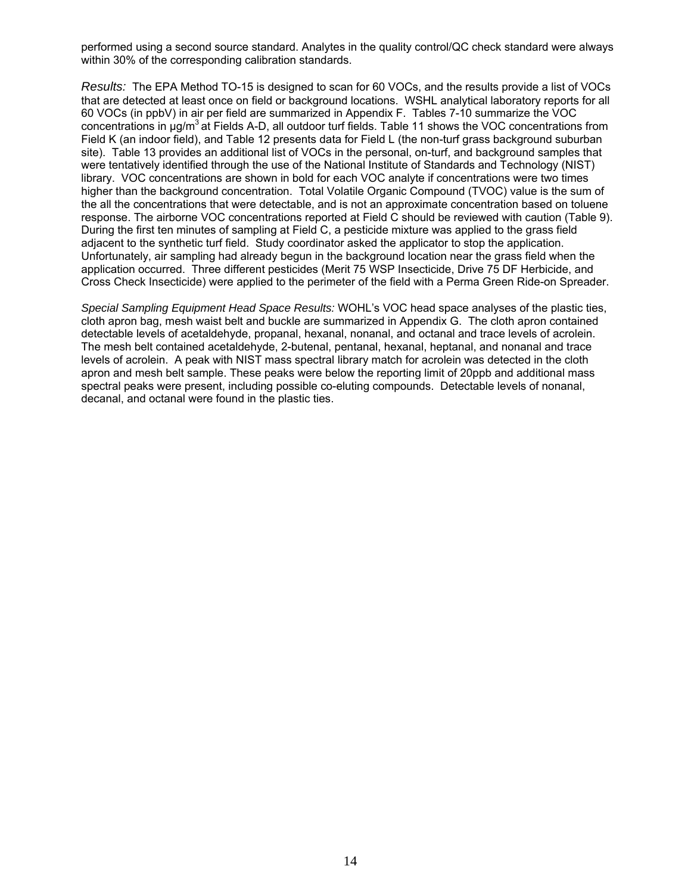performed using a second source standard. Analytes in the quality control/QC check standard were always within 30% of the corresponding calibration standards.

*Results:* The EPA Method TO-15 is designed to scan for 60 VOCs, and the results provide a list of VOCs that are detected at least once on field or background locations. WSHL analytical laboratory reports for all 60 VOCs (in ppbV) in air per field are summarized in Appendix F. Tables 7-10 summarize the VOC concentrations in μg/m<sup>3</sup> at Fields A-D, all outdoor turf fields. Table 11 shows the VOC concentrations from Field K (an indoor field), and Table 12 presents data for Field L (the non-turf grass background suburban site). Table 13 provides an additional list of VOCs in the personal, on-turf, and background samples that were tentatively identified through the use of the National Institute of Standards and Technology (NIST) library. VOC concentrations are shown in bold for each VOC analyte if concentrations were two times higher than the background concentration. Total Volatile Organic Compound (TVOC) value is the sum of the all the concentrations that were detectable, and is not an approximate concentration based on toluene response. The airborne VOC concentrations reported at Field C should be reviewed with caution (Table 9). During the first ten minutes of sampling at Field C, a pesticide mixture was applied to the grass field adjacent to the synthetic turf field. Study coordinator asked the applicator to stop the application. Unfortunately, air sampling had already begun in the background location near the grass field when the application occurred. Three different pesticides (Merit 75 WSP Insecticide, Drive 75 DF Herbicide, and Cross Check Insecticide) were applied to the perimeter of the field with a Perma Green Ride-on Spreader.

*Special Sampling Equipment Head Space Results:* WOHL's VOC head space analyses of the plastic ties, cloth apron bag, mesh waist belt and buckle are summarized in Appendix G. The cloth apron contained detectable levels of acetaldehyde, propanal, hexanal, nonanal, and octanal and trace levels of acrolein. The mesh belt contained acetaldehyde, 2-butenal, pentanal, hexanal, heptanal, and nonanal and trace levels of acrolein. A peak with NIST mass spectral library match for acrolein was detected in the cloth apron and mesh belt sample. These peaks were below the reporting limit of 20ppb and additional mass spectral peaks were present, including possible co-eluting compounds. Detectable levels of nonanal, decanal, and octanal were found in the plastic ties.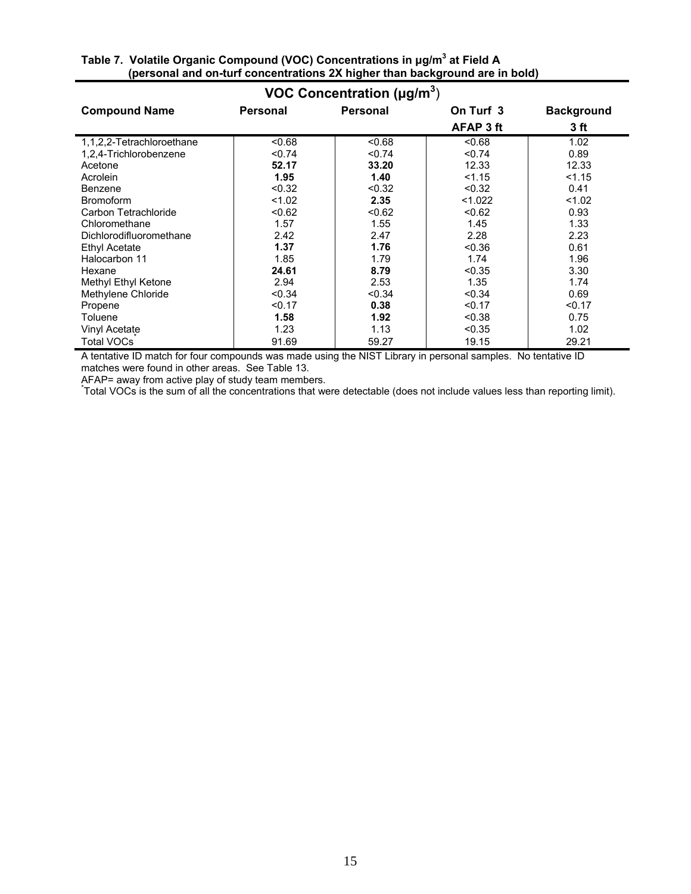| VOC Concentration ( $\mu$ g/m <sup>3</sup> ) |                 |                 |           |                   |  |
|----------------------------------------------|-----------------|-----------------|-----------|-------------------|--|
| <b>Compound Name</b>                         | <b>Personal</b> | <b>Personal</b> | On Turf 3 | <b>Background</b> |  |
|                                              |                 |                 | AFAP 3 ft | 3 ft              |  |
| 1,1,2,2-Tetrachloroethane                    | < 0.68          | <0.68           | < 0.68    | 1.02              |  |
| 1,2,4-Trichlorobenzene                       | < 0.74          | < 0.74          | < 0.74    | 0.89              |  |
| Acetone                                      | 52.17           | 33.20           | 12.33     | 12.33             |  |
| Acrolein                                     | 1.95            | 1.40            | < 1.15    | < 1.15            |  |
| Benzene                                      | < 0.32          | < 0.32          | < 0.32    | 0.41              |  |
| <b>Bromoform</b>                             | < 1.02          | 2.35            | < 1.022   | < 1.02            |  |
| Carbon Tetrachloride                         | < 0.62          | < 0.62          | < 0.62    | 0.93              |  |
| Chloromethane                                | 1.57            | 1.55            | 1.45      | 1.33              |  |
| Dichlorodifluoromethane                      | 2.42            | 2.47            | 2.28      | 2.23              |  |
| Ethyl Acetate                                | 1.37            | 1.76            | < 0.36    | 0.61              |  |
| Halocarbon 11                                | 1.85            | 1.79            | 1.74      | 1.96              |  |
| Hexane                                       | 24.61           | 8.79            | < 0.35    | 3.30              |  |
| Methyl Ethyl Ketone                          | 2.94            | 2.53            | 1.35      | 1.74              |  |
| Methylene Chloride                           | < 0.34          | < 0.34          | < 0.34    | 0.69              |  |
| Propene                                      | < 0.17          | 0.38            | < 0.17    | < 0.17            |  |
| Toluene                                      | 1.58            | 1.92            | < 0.38    | 0.75              |  |
| Vinyl Acetate                                | 1.23            | 1.13            | < 0.35    | 1.02              |  |
| <b>Total VOCs</b>                            | 91.69           | 59.27           | 19.15     | 29.21             |  |

#### **Table 7. Volatile Organic Compound (VOC) Concentrations in μg/m3 at Field A (personal and on-turf concentrations 2X higher than background are in bold)**

A tentative ID match for four compounds was made using the NIST Library in personal samples. No tentative ID matches were found in other areas. See Table 13.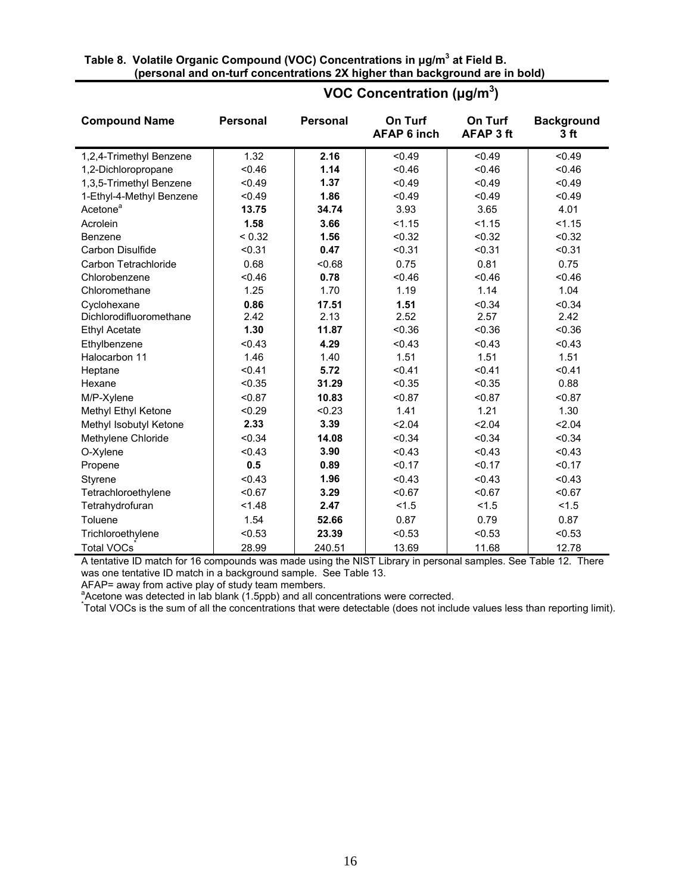| Table 8. Volatile Organic Compound (VOC) Concentrations in µg/m <sup>3</sup> at Field B. |  |
|------------------------------------------------------------------------------------------|--|
| (personal and on-turf concentrations 2X higher than background are in bold)              |  |

| <b>Compound Name</b>     | <b>Personal</b> | <b>Personal</b> | On Turf<br><b>AFAP 6 inch</b> | On Turf<br><b>AFAP 3 ft</b> | <b>Background</b><br>3 ft |
|--------------------------|-----------------|-----------------|-------------------------------|-----------------------------|---------------------------|
| 1,2,4-Trimethyl Benzene  | 1.32            | 2.16            | < 0.49                        | < 0.49                      | < 0.49                    |
| 1,2-Dichloropropane      | < 0.46          | 1.14            | < 0.46                        | < 0.46                      | < 0.46                    |
| 1,3,5-Trimethyl Benzene  | < 0.49          | 1.37            | < 0.49                        | < 0.49                      | < 0.49                    |
| 1-Ethyl-4-Methyl Benzene | < 0.49          | 1.86            | < 0.49                        | < 0.49                      | < 0.49                    |
| Acetone <sup>a</sup>     | 13.75           | 34.74           | 3.93                          | 3.65                        | 4.01                      |
| Acrolein                 | 1.58            | 3.66            | < 1.15                        | 1.15                        | < 1.15                    |
| Benzene                  | < 0.32          | 1.56            | < 0.32                        | < 0.32                      | < 0.32                    |
| Carbon Disulfide         | < 0.31          | 0.47            | < 0.31                        | < 0.31                      | < 0.31                    |
| Carbon Tetrachloride     | 0.68            | < 0.68          | 0.75                          | 0.81                        | 0.75                      |
| Chlorobenzene            | < 0.46          | 0.78            | < 0.46                        | < 0.46                      | < 0.46                    |
| Chloromethane            | 1.25            | 1.70            | 1.19                          | 1.14                        | 1.04                      |
| Cyclohexane              | 0.86            | 17.51           | 1.51                          | < 0.34                      | < 0.34                    |
| Dichlorodifluoromethane  | 2.42            | 2.13            | 2.52                          | 2.57                        | 2.42                      |
| <b>Ethyl Acetate</b>     | 1.30            | 11.87           | < 0.36                        | < 0.36                      | < 0.36                    |
| Ethylbenzene             | < 0.43          | 4.29            | < 0.43                        | < 0.43                      | < 0.43                    |
| Halocarbon 11            | 1.46            | 1.40            | 1.51                          | 1.51                        | 1.51                      |
| Heptane                  | < 0.41          | 5.72            | < 0.41                        | < 0.41                      | < 0.41                    |
| Hexane                   | < 0.35          | 31.29           | < 0.35                        | < 0.35                      | 0.88                      |
| M/P-Xylene               | < 0.87          | 10.83           | < 0.87                        | < 0.87                      | < 0.87                    |
| Methyl Ethyl Ketone      | < 0.29          | < 0.23          | 1.41                          | 1.21                        | 1.30                      |
| Methyl Isobutyl Ketone   | 2.33            | 3.39            | 2.04                          | 2.04                        | 2.04                      |
| Methylene Chloride       | < 0.34          | 14.08           | < 0.34                        | < 0.34                      | < 0.34                    |
| O-Xylene                 | < 0.43          | 3.90            | < 0.43                        | < 0.43                      | < 0.43                    |
| Propene                  | 0.5             | 0.89            | < 0.17                        | < 0.17                      | < 0.17                    |
| Styrene                  | < 0.43          | 1.96            | < 0.43                        | < 0.43                      | < 0.43                    |
| Tetrachloroethylene      | < 0.67          | 3.29            | < 0.67                        | < 0.67                      | < 0.67                    |
| Tetrahydrofuran          | < 1.48          | 2.47            | 1.5                           | 1.5                         | 1.5                       |
| Toluene                  | 1.54            | 52.66           | 0.87                          | 0.79                        | 0.87                      |
| Trichloroethylene        | < 0.53          | 23.39           | < 0.53                        | < 0.53                      | < 0.53                    |
| <b>Total VOCs</b>        | 28.99           | 240.51          | 13.69                         | 11.68                       | 12.78                     |

# **VOC Concentration (μg/m<sup>3</sup> )**

A tentative ID match for 16 compounds was made using the NIST Library in personal samples. See Table 12. There was one tentative ID match in a background sample. See Table 13.

AFAP= away from active play of study team members.<br><sup>a</sup>Acetone was detected in lab blank (1.5ppb) and all concentrations were corrected.<br><sup>\*</sup>Total VOCs is the sum of all the concentrations that were detectable (does not incl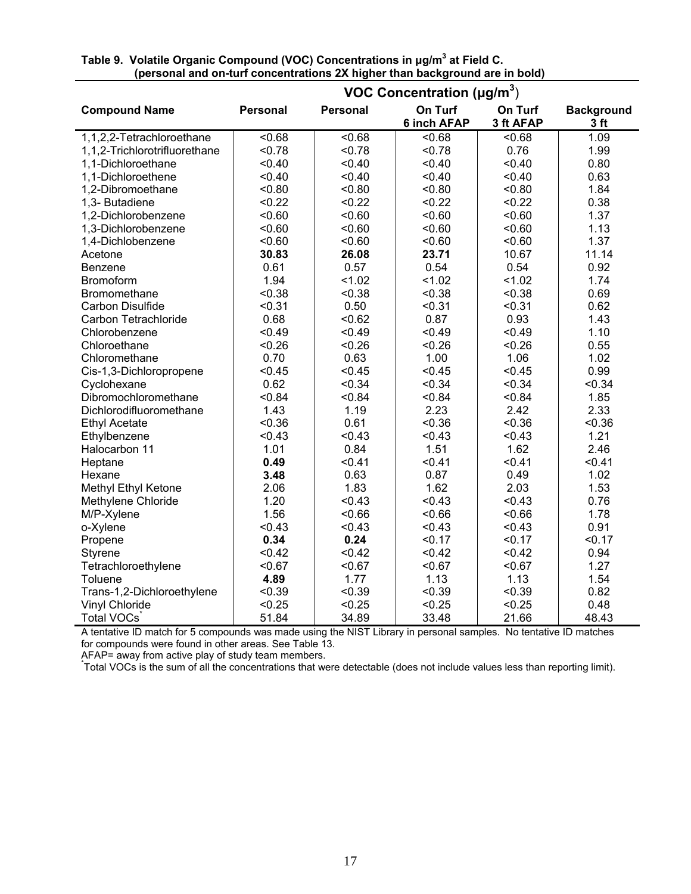|                               | VOC Concentration ( $\mu$ g/m <sup>3</sup> ) |          |                               |                      |                                      |  |  |  |  |
|-------------------------------|----------------------------------------------|----------|-------------------------------|----------------------|--------------------------------------|--|--|--|--|
| <b>Compound Name</b>          | <b>Personal</b>                              | Personal | On Turf<br><b>6 inch AFAP</b> | On Turf<br>3 ft AFAP | <b>Background</b><br>3 <sub>ft</sub> |  |  |  |  |
| 1,1,2,2-Tetrachloroethane     | < 0.68                                       | < 0.68   | < 0.68                        | < 0.68               | 1.09                                 |  |  |  |  |
| 1,1,2-Trichlorotrifluorethane | < 0.78                                       | < 0.78   | < 0.78                        | 0.76                 | 1.99                                 |  |  |  |  |
| 1,1-Dichloroethane            | < 0.40                                       | < 0.40   | < 0.40                        | < 0.40               | 0.80                                 |  |  |  |  |
| 1,1-Dichloroethene            | < 0.40                                       | < 0.40   | < 0.40                        | < 0.40               | 0.63                                 |  |  |  |  |
| 1,2-Dibromoethane             | < 0.80                                       | < 0.80   | < 0.80                        | < 0.80               | 1.84                                 |  |  |  |  |
| 1,3- Butadiene                | < 0.22                                       | < 0.22   | < 0.22                        | < 0.22               | 0.38                                 |  |  |  |  |
| 1,2-Dichlorobenzene           | < 0.60                                       | < 0.60   | < 0.60                        | < 0.60               | 1.37                                 |  |  |  |  |
| 1,3-Dichlorobenzene           | < 0.60                                       | < 0.60   | < 0.60                        | < 0.60               | 1.13                                 |  |  |  |  |
| 1,4-Dichlobenzene             | < 0.60                                       | < 0.60   | < 0.60                        | < 0.60               | 1.37                                 |  |  |  |  |
| Acetone                       | 30.83                                        | 26.08    | 23.71                         | 10.67                | 11.14                                |  |  |  |  |
| <b>Benzene</b>                | 0.61                                         | 0.57     | 0.54                          | 0.54                 | 0.92                                 |  |  |  |  |
| Bromoform                     | 1.94                                         | < 1.02   | < 1.02                        | < 1.02               | 1.74                                 |  |  |  |  |
| Bromomethane                  | < 0.38                                       | < 0.38   | < 0.38                        | < 0.38               | 0.69                                 |  |  |  |  |
| Carbon Disulfide              | < 0.31                                       | 0.50     | < 0.31                        | < 0.31               | 0.62                                 |  |  |  |  |
| Carbon Tetrachloride          | 0.68                                         | < 0.62   | 0.87                          | 0.93                 | 1.43                                 |  |  |  |  |
| Chlorobenzene                 | < 0.49                                       | < 0.49   | < 0.49                        | < 0.49               | 1.10                                 |  |  |  |  |
| Chloroethane                  | < 0.26                                       | < 0.26   | < 0.26                        | < 0.26               | 0.55                                 |  |  |  |  |
| Chloromethane                 | 0.70                                         | 0.63     | 1.00                          | 1.06                 | 1.02                                 |  |  |  |  |
| Cis-1,3-Dichloropropene       | < 0.45                                       | < 0.45   | < 0.45                        | < 0.45               | 0.99                                 |  |  |  |  |
| Cyclohexane                   | 0.62                                         | < 0.34   | < 0.34                        | < 0.34               | < 0.34                               |  |  |  |  |
| Dibromochloromethane          | < 0.84                                       | < 0.84   | < 0.84                        | < 0.84               | 1.85                                 |  |  |  |  |
| Dichlorodifluoromethane       | 1.43                                         | 1.19     | 2.23                          | 2.42                 | 2.33                                 |  |  |  |  |
| <b>Ethyl Acetate</b>          | < 0.36                                       | 0.61     | < 0.36                        | < 0.36               | < 0.36                               |  |  |  |  |
| Ethylbenzene                  | < 0.43                                       | < 0.43   | < 0.43                        | < 0.43               | 1.21                                 |  |  |  |  |
| Halocarbon 11                 | 1.01                                         | 0.84     | 1.51                          | 1.62                 | 2.46                                 |  |  |  |  |
| Heptane                       | 0.49                                         | < 0.41   | < 0.41                        | < 0.41               | < 0.41                               |  |  |  |  |
| Hexane                        | 3.48                                         | 0.63     | 0.87                          | 0.49                 | 1.02                                 |  |  |  |  |
| Methyl Ethyl Ketone           | 2.06                                         | 1.83     | 1.62                          | 2.03                 | 1.53                                 |  |  |  |  |
| Methylene Chloride            | 1.20                                         | < 0.43   | < 0.43                        | < 0.43               | 0.76                                 |  |  |  |  |
| M/P-Xylene                    | 1.56                                         | < 0.66   | < 0.66                        | < 0.66               | 1.78                                 |  |  |  |  |
| o-Xylene                      | < 0.43                                       | < 0.43   | < 0.43                        | < 0.43               | 0.91                                 |  |  |  |  |
| Propene                       | 0.34                                         | 0.24     | < 0.17                        | < 0.17               | < 0.17                               |  |  |  |  |
| Styrene                       | < 0.42                                       | < 0.42   | < 0.42                        | < 0.42               | 0.94                                 |  |  |  |  |
| Tetrachloroethylene           | < 0.67                                       | < 0.67   | < 0.67                        | < 0.67               | 1.27                                 |  |  |  |  |
| Toluene                       | 4.89                                         | 1.77     | 1.13                          | 1.13                 | 1.54                                 |  |  |  |  |
| Trans-1,2-Dichloroethylene    | < 0.39                                       | < 0.39   | < 0.39                        | < 0.39               | 0.82                                 |  |  |  |  |
| <b>Vinyl Chloride</b>         | < 0.25                                       | < 0.25   | < 0.25                        | < 0.25               | 0.48                                 |  |  |  |  |
| Total VOCs                    | 51.84                                        | 34.89    | 33.48                         | 21.66                | 48.43                                |  |  |  |  |

#### **Table 9. Volatile Organic Compound (VOC) Concentrations in μg/m3 at Field C. (personal and on-turf concentrations 2X higher than background are in bold)**

A tentative ID match for 5 compounds was made using the NIST Library in personal samples. No tentative ID matches for compounds were found in other areas. See Table 13.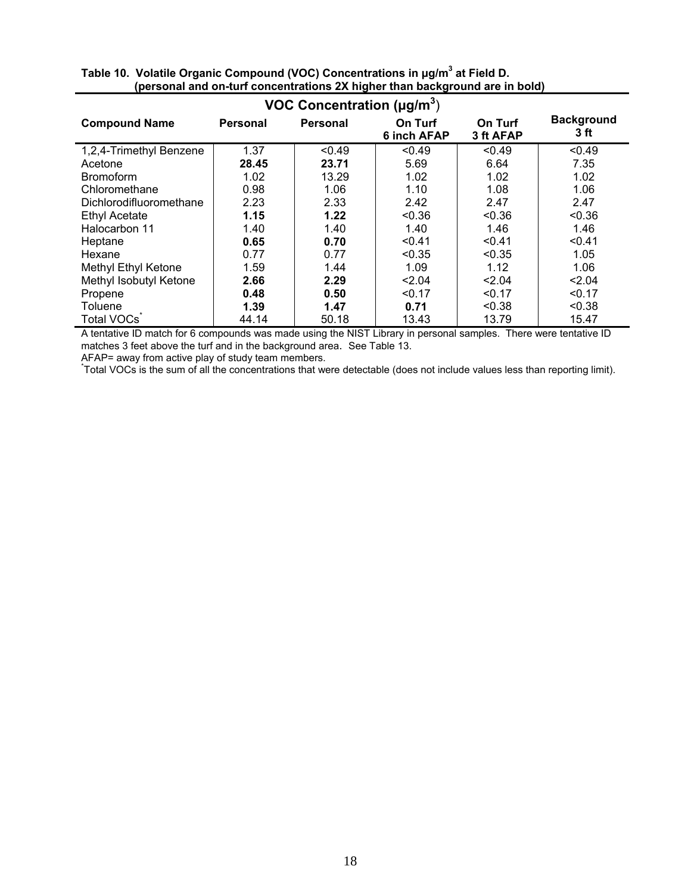| VOC Concentration ( $\mu$ g/m <sup>3</sup> ) |          |          |                        |                      |                           |  |  |  |
|----------------------------------------------|----------|----------|------------------------|----------------------|---------------------------|--|--|--|
| <b>Compound Name</b>                         | Personal | Personal | On Turf<br>6 inch AFAP | On Turf<br>3 ft AFAP | <b>Background</b><br>3 ft |  |  |  |
| 1,2,4-Trimethyl Benzene                      | 1.37     | < 0.49   | < 0.49                 | < 0.49               | < 0.49                    |  |  |  |
| Acetone                                      | 28.45    | 23.71    | 5.69                   | 6.64                 | 7.35                      |  |  |  |
| <b>Bromoform</b>                             | 1.02     | 13.29    | 1.02                   | 1.02                 | 1.02                      |  |  |  |
| Chloromethane                                | 0.98     | 1.06     | 1.10                   | 1.08                 | 1.06                      |  |  |  |
| Dichlorodifluoromethane                      | 2.23     | 2.33     | 2.42                   | 2.47                 | 2.47                      |  |  |  |
| <b>Ethyl Acetate</b>                         | 1.15     | 1.22     | < 0.36                 | < 0.36               | < 0.36                    |  |  |  |
| Halocarbon 11                                | 1.40     | 1.40     | 1.40                   | 1.46                 | 1.46                      |  |  |  |
| Heptane                                      | 0.65     | 0.70     | < 0.41                 | < 0.41               | < 0.41                    |  |  |  |
| Hexane                                       | 0.77     | 0.77     | < 0.35                 | < 0.35               | 1.05                      |  |  |  |
| Methyl Ethyl Ketone                          | 1.59     | 1.44     | 1.09                   | 1.12                 | 1.06                      |  |  |  |
| Methyl Isobutyl Ketone                       | 2.66     | 2.29     | < 2.04                 | < 2.04               | < 2.04                    |  |  |  |
| Propene                                      | 0.48     | 0.50     | < 0.17                 | < 0.17               | < 0.17                    |  |  |  |
| Toluene                                      | 1.39     | 1.47     | 0.71                   | < 0.38               | < 0.38                    |  |  |  |
| Total VOCs                                   | 44.14    | 50.18    | 13.43                  | 13.79                | 15.47                     |  |  |  |

| Table 10. Volatile Organic Compound (VOC) Concentrations in ug/m <sup>3</sup> at Field D. |
|-------------------------------------------------------------------------------------------|
| (personal and on-turf concentrations 2X higher than background are in bold)               |

A tentative ID match for 6 compounds was made using the NIST Library in personal samples. There were tentative ID matches 3 feet above the turf and in the background area. See Table 13.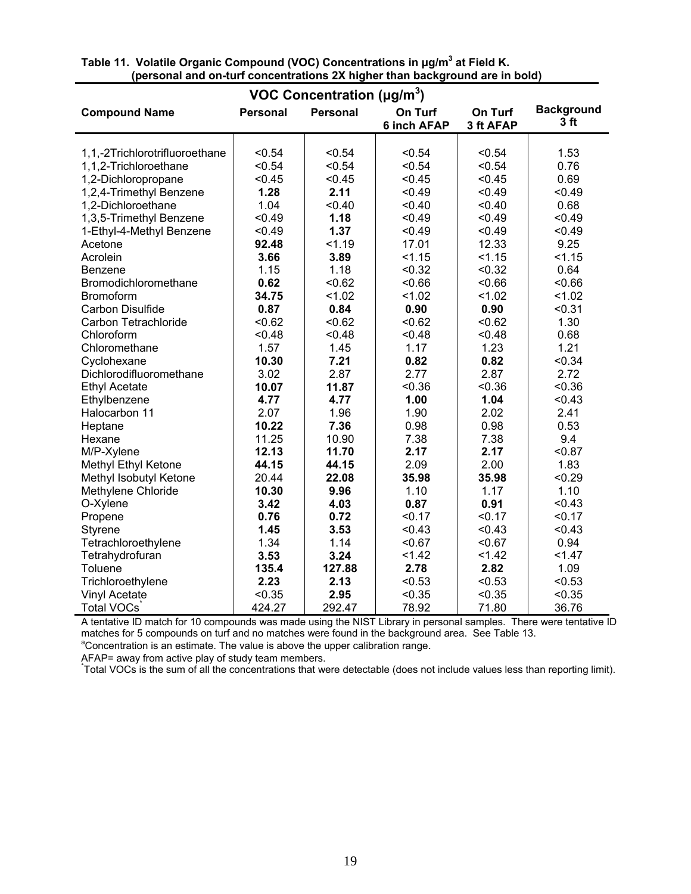| VOC Concentration ( $\mu$ g/m <sup>3</sup> ) |                 |                 |                               |                      |                                      |  |  |  |
|----------------------------------------------|-----------------|-----------------|-------------------------------|----------------------|--------------------------------------|--|--|--|
| <b>Compound Name</b>                         | <b>Personal</b> | <b>Personal</b> | On Turf<br><b>6 inch AFAP</b> | On Turf<br>3 ft AFAP | <b>Background</b><br>3 <sub>ft</sub> |  |  |  |
|                                              |                 |                 |                               |                      |                                      |  |  |  |
| 1,1,-2Trichlorotrifluoroethane               | < 0.54          | < 0.54          | < 0.54                        | < 0.54               | 1.53                                 |  |  |  |
| 1,1,2-Trichloroethane                        | < 0.54          | < 0.54          | < 0.54                        | < 0.54               | 0.76                                 |  |  |  |
| 1,2-Dichloropropane                          | < 0.45          | < 0.45          | < 0.45                        | < 0.45               | 0.69                                 |  |  |  |
| 1,2,4-Trimethyl Benzene                      | 1.28            | 2.11            | < 0.49                        | < 0.49               | < 0.49                               |  |  |  |
| 1,2-Dichloroethane                           | 1.04            | < 0.40          | < 0.40                        | < 0.40               | 0.68                                 |  |  |  |
| 1,3,5-Trimethyl Benzene                      | < 0.49          | 1.18            | < 0.49                        | < 0.49               | < 0.49                               |  |  |  |
| 1-Ethyl-4-Methyl Benzene                     | < 0.49          | 1.37            | < 0.49                        | < 0.49               | < 0.49                               |  |  |  |
| Acetone                                      | 92.48           | < 1.19          | 17.01                         | 12.33                | 9.25                                 |  |  |  |
| Acrolein                                     | 3.66            | 3.89            | < 1.15                        | 1.15                 | < 1.15                               |  |  |  |
| Benzene                                      | 1.15            | 1.18            | < 0.32                        | < 0.32               | 0.64                                 |  |  |  |
| Bromodichloromethane                         | 0.62            | < 0.62          | < 0.66                        | < 0.66               | <0.66                                |  |  |  |
| <b>Bromoform</b>                             | 34.75           | < 1.02          | < 1.02                        | < 1.02               | < 1.02                               |  |  |  |
| Carbon Disulfide                             | 0.87            | 0.84            | 0.90                          | 0.90                 | < 0.31                               |  |  |  |
| Carbon Tetrachloride                         | < 0.62          | < 0.62          | < 0.62                        | < 0.62               | 1.30                                 |  |  |  |
| Chloroform                                   | < 0.48          | < 0.48          | < 0.48                        | < 0.48               | 0.68                                 |  |  |  |
| Chloromethane                                | 1.57            | 1.45            | 1.17                          | 1.23                 | 1.21                                 |  |  |  |
| Cyclohexane                                  | 10.30           | 7.21            | 0.82                          | 0.82                 | < 0.34                               |  |  |  |
| Dichlorodifluoromethane                      | 3.02            | 2.87            | 2.77                          | 2.87                 | 2.72                                 |  |  |  |
| <b>Ethyl Acetate</b>                         | 10.07           | 11.87           | < 0.36                        | < 0.36               | < 0.36                               |  |  |  |
| Ethylbenzene                                 | 4.77            | 4.77            | 1.00                          | 1.04                 | < 0.43                               |  |  |  |
| Halocarbon 11                                | 2.07            | 1.96            | 1.90                          | 2.02                 | 2.41                                 |  |  |  |
| Heptane                                      | 10.22           | 7.36            | 0.98                          | 0.98                 | 0.53                                 |  |  |  |
| Hexane                                       | 11.25           | 10.90           | 7.38                          | 7.38                 | 9.4                                  |  |  |  |
| M/P-Xylene                                   | 12.13           | 11.70           | 2.17                          | 2.17                 | < 0.87                               |  |  |  |
| Methyl Ethyl Ketone                          | 44.15           | 44.15           | 2.09                          | 2.00                 | 1.83                                 |  |  |  |
| Methyl Isobutyl Ketone                       | 20.44           | 22.08           | 35.98                         | 35.98                | < 0.29                               |  |  |  |
| Methylene Chloride                           | 10.30           | 9.96            | 1.10                          | 1.17                 | 1.10                                 |  |  |  |
| O-Xylene                                     | 3.42            | 4.03            | 0.87                          | 0.91                 | < 0.43                               |  |  |  |
| Propene                                      | 0.76            | 0.72            | < 0.17                        | < 0.17               | < 0.17                               |  |  |  |
| Styrene                                      | 1.45            | 3.53            | < 0.43                        | < 0.43               | < 0.43                               |  |  |  |
| Tetrachloroethylene                          | 1.34            | 1.14            | < 0.67                        | < 0.67               | 0.94                                 |  |  |  |
| Tetrahydrofuran                              | 3.53            | 3.24            | < 1.42                        | 1.42                 | 1.47                                 |  |  |  |
| Toluene                                      | 135.4           | 127.88          | 2.78                          | 2.82                 | 1.09                                 |  |  |  |
| Trichloroethylene                            | 2.23            | 2.13            | < 0.53                        | < 0.53               | < 0.53                               |  |  |  |
| <b>Vinyl Acetate</b>                         | < 0.35          | 2.95            | < 0.35                        | < 0.35               | < 0.35                               |  |  |  |
| Total VOCs                                   | 424.27          | 292.47          | 78.92                         | 71.80                | 36.76                                |  |  |  |

#### **Table 11. Volatile Organic Compound (VOC) Concentrations in μg/m3 at Field K. (personal and on-turf concentrations 2X higher than background are in bold)**

A tentative ID match for 10 compounds was made using the NIST Library in personal samples. There were tentative ID matches for 5 compounds on turf and no matches were found in the background area. See Table 13. <sup>a</sup>Concentration is an estimate. The value is above the upper calibration range.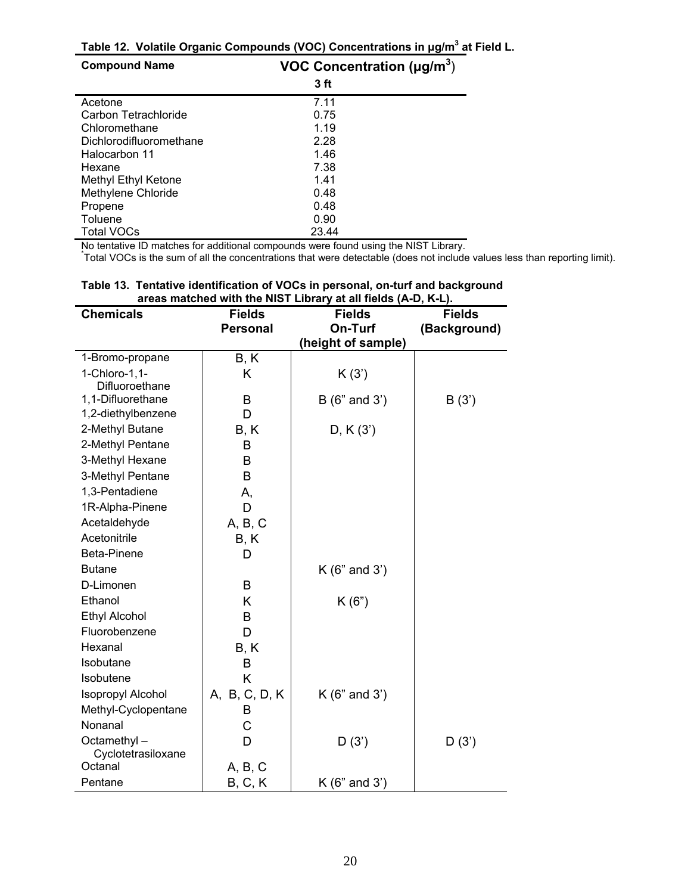**Table 12. Volatile Organic Compounds (VOC) Concentrations in μg/m3 at Field L.**

| <b>Compound Name</b>       | VOC Concentration ( $\mu$ g/m <sup>3</sup> ) |
|----------------------------|----------------------------------------------|
|                            | 3 ft                                         |
| Acetone                    | 7.11                                         |
| Carbon Tetrachloride       | 0.75                                         |
| Chloromethane              | 1.19                                         |
| Dichlorodifluoromethane    | 2.28                                         |
| Halocarbon 11              | 1.46                                         |
| Hexane                     | 7.38                                         |
| <b>Methyl Ethyl Ketone</b> | 1.41                                         |
| Methylene Chloride         | 0.48                                         |
| Propene                    | 0.48                                         |
| Toluene                    | 0.90                                         |
| Total VOCs                 | 23.44                                        |

No tentative ID matches for additional compounds were found using the NIST Library.

Total VOCs is the sum of all the concentrations that were detectable (does not include values less than reporting limit).

| <b>Chemicals</b>                        | <b>Fields</b>   | <b>Fields</b>      | <b>Fields</b> |
|-----------------------------------------|-----------------|--------------------|---------------|
|                                         | <b>Personal</b> | On-Turf            | (Background)  |
|                                         |                 | (height of sample) |               |
| 1-Bromo-propane                         | B, K            |                    |               |
| 1-Chloro-1,1-                           | Κ               | K(3')              |               |
| Difluoroethane                          |                 |                    |               |
| 1,1-Difluorethane<br>1,2-diethylbenzene | B<br>D          | B(6" and 3')       | B(3')         |
| 2-Methyl Butane                         |                 |                    |               |
| 2-Methyl Pentane                        | B, K            | D, K(3')           |               |
| 3-Methyl Hexane                         | B<br>B          |                    |               |
| 3-Methyl Pentane                        | B               |                    |               |
| 1,3-Pentadiene                          |                 |                    |               |
| 1R-Alpha-Pinene                         | А,<br>D         |                    |               |
|                                         |                 |                    |               |
| Acetaldehyde<br>Acetonitrile            | A, B, C         |                    |               |
|                                         | B, K            |                    |               |
| Beta-Pinene                             | D               |                    |               |
| <b>Butane</b>                           |                 | $K(6"$ and $3')$   |               |
| D-Limonen                               | B               |                    |               |
| Ethanol                                 | Κ               | K(6")              |               |
| <b>Ethyl Alcohol</b>                    | B               |                    |               |
| Fluorobenzene                           | D               |                    |               |
| Hexanal                                 | B, K            |                    |               |
| Isobutane                               | B               |                    |               |
| Isobutene                               | Κ               |                    |               |
| Isopropyl Alcohol                       | A, B, C, D, K   | $K(6"$ and 3')     |               |
| Methyl-Cyclopentane                     | B               |                    |               |
| Nonanal                                 | C               |                    |               |
| Octamethyl-<br>Cyclotetrasiloxane       | D               | D(3')              | D(3')         |
| Octanal                                 | A, B, C         |                    |               |
| Pentane                                 | B, C, K         | $K(6"$ and 3')     |               |

#### **Table 13. Tentative identification of VOCs in personal, on-turf and background areas matched with the NIST Library at all fields (A-D, K-L).**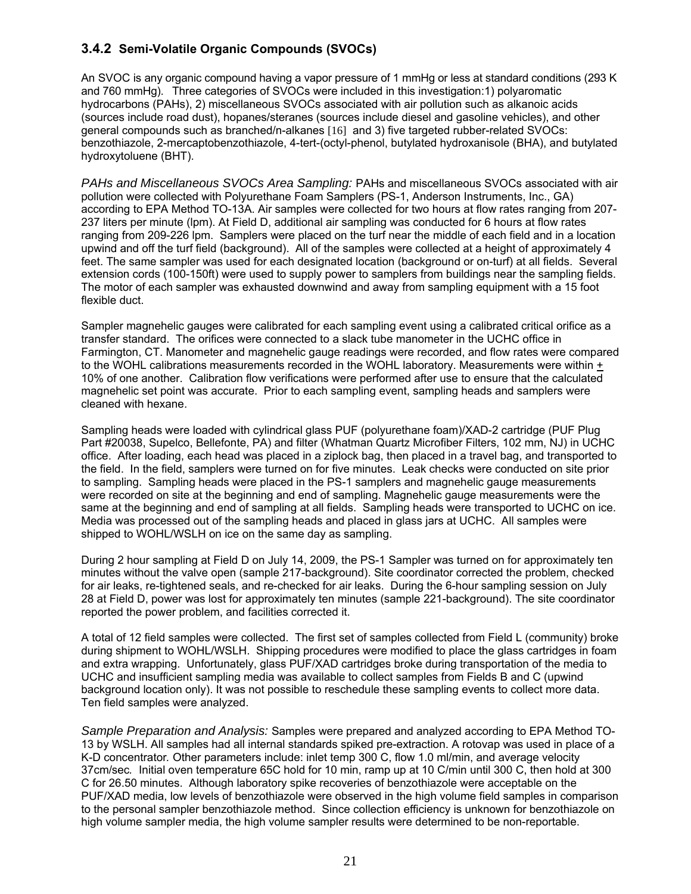# **3.4.2 Semi-Volatile Organic Compounds (SVOCs)**

An SVOC is any organic compound having a vapor pressure of 1 mmHg or less at standard conditions (293 K and 760 mmHg). Three categories of SVOCs were included in this investigation:1) polyaromatic hydrocarbons (PAHs), 2) miscellaneous SVOCs associated with air pollution such as alkanoic acids (sources include road dust), hopanes/steranes (sources include diesel and gasoline vehicles), and other general compounds such as branched/n-alkanes [16] and 3) five targeted rubber-related SVOCs: benzothiazole, 2-mercaptobenzothiazole, 4-tert-(octyl-phenol, butylated hydroxanisole (BHA), and butylated hydroxytoluene (BHT).

*PAHs and Miscellaneous SVOCs Area Sampling:* PAHs and miscellaneous SVOCs associated with air pollution were collected with Polyurethane Foam Samplers (PS-1, Anderson Instruments, Inc., GA) according to EPA Method TO-13A. Air samples were collected for two hours at flow rates ranging from 207- 237 liters per minute (lpm). At Field D, additional air sampling was conducted for 6 hours at flow rates ranging from 209-226 lpm. Samplers were placed on the turf near the middle of each field and in a location upwind and off the turf field (background). All of the samples were collected at a height of approximately 4 feet. The same sampler was used for each designated location (background or on-turf) at all fields. Several extension cords (100-150ft) were used to supply power to samplers from buildings near the sampling fields. The motor of each sampler was exhausted downwind and away from sampling equipment with a 15 foot flexible duct.

Sampler magnehelic gauges were calibrated for each sampling event using a calibrated critical orifice as a transfer standard. The orifices were connected to a slack tube manometer in the UCHC office in Farmington, CT. Manometer and magnehelic gauge readings were recorded, and flow rates were compared to the WOHL calibrations measurements recorded in the WOHL laboratory. Measurements were within + 10% of one another. Calibration flow verifications were performed after use to ensure that the calculated magnehelic set point was accurate. Prior to each sampling event, sampling heads and samplers were cleaned with hexane.

Sampling heads were loaded with cylindrical glass PUF (polyurethane foam)/XAD-2 cartridge (PUF Plug Part #20038, Supelco, Bellefonte, PA) and filter (Whatman Quartz Microfiber Filters, 102 mm, NJ) in UCHC office. After loading, each head was placed in a ziplock bag, then placed in a travel bag, and transported to the field. In the field, samplers were turned on for five minutes. Leak checks were conducted on site prior to sampling. Sampling heads were placed in the PS-1 samplers and magnehelic gauge measurements were recorded on site at the beginning and end of sampling. Magnehelic gauge measurements were the same at the beginning and end of sampling at all fields. Sampling heads were transported to UCHC on ice. Media was processed out of the sampling heads and placed in glass jars at UCHC. All samples were shipped to WOHL/WSLH on ice on the same day as sampling.

During 2 hour sampling at Field D on July 14, 2009, the PS-1 Sampler was turned on for approximately ten minutes without the valve open (sample 217-background). Site coordinator corrected the problem, checked for air leaks, re-tightened seals, and re-checked for air leaks. During the 6-hour sampling session on July 28 at Field D, power was lost for approximately ten minutes (sample 221-background). The site coordinator reported the power problem, and facilities corrected it.

A total of 12 field samples were collected. The first set of samples collected from Field L (community) broke during shipment to WOHL/WSLH. Shipping procedures were modified to place the glass cartridges in foam and extra wrapping. Unfortunately, glass PUF/XAD cartridges broke during transportation of the media to UCHC and insufficient sampling media was available to collect samples from Fields B and C (upwind background location only). It was not possible to reschedule these sampling events to collect more data. Ten field samples were analyzed.

*Sample Preparation and Analysis:* Samples were prepared and analyzed according to EPA Method TO-13 by WSLH. All samples had all internal standards spiked pre-extraction. A rotovap was used in place of a K-D concentrator*.* Other parameters include: inlet temp 300 C, flow 1.0 ml/min, and average velocity 37cm/sec*.* Initial oven temperature 65C hold for 10 min, ramp up at 10 C/min until 300 C, then hold at 300 C for 26.50 minutes. Although laboratory spike recoveries of benzothiazole were acceptable on the PUF/XAD media, low levels of benzothiazole were observed in the high volume field samples in comparison to the personal sampler benzothiazole method. Since collection efficiency is unknown for benzothiazole on high volume sampler media, the high volume sampler results were determined to be non-reportable.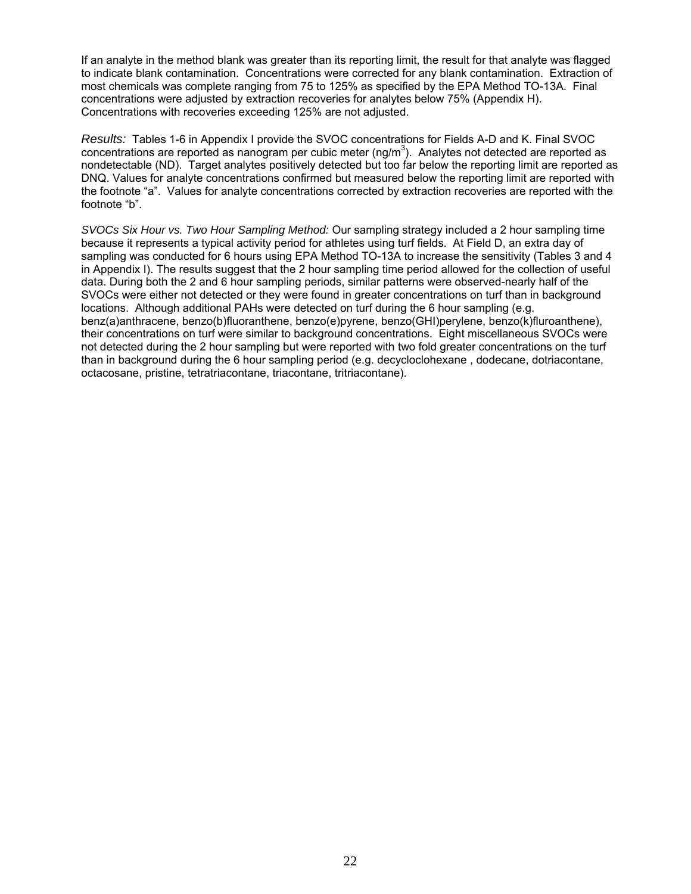If an analyte in the method blank was greater than its reporting limit, the result for that analyte was flagged to indicate blank contamination. Concentrations were corrected for any blank contamination. Extraction of most chemicals was complete ranging from 75 to 125% as specified by the EPA Method TO-13A. Final concentrations were adjusted by extraction recoveries for analytes below 75% (Appendix H). Concentrations with recoveries exceeding 125% are not adjusted.

*Results:* Tables 1-6 in Appendix I provide the SVOC concentrations for Fields A-D and K. Final SVOC concentrations are reported as nanogram per cubic meter (ng/m<sup>3</sup>). Analytes not detected are reported as nondetectable (ND). Target analytes positively detected but too far below the reporting limit are reported as DNQ. Values for analyte concentrations confirmed but measured below the reporting limit are reported with the footnote "a". Values for analyte concentrations corrected by extraction recoveries are reported with the footnote "b".

*SVOCs Six Hour vs. Two Hour Sampling Method:* Our sampling strategy included a 2 hour sampling time because it represents a typical activity period for athletes using turf fields. At Field D, an extra day of sampling was conducted for 6 hours using EPA Method TO-13A to increase the sensitivity (Tables 3 and 4 in Appendix I). The results suggest that the 2 hour sampling time period allowed for the collection of useful data. During both the 2 and 6 hour sampling periods, similar patterns were observed-nearly half of the SVOCs were either not detected or they were found in greater concentrations on turf than in background locations. Although additional PAHs were detected on turf during the 6 hour sampling (e.g. benz(a)anthracene, benzo(b)fluoranthene, benzo(e)pyrene, benzo(GHI)perylene, benzo(k)fluroanthene), their concentrations on turf were similar to background concentrations. Eight miscellaneous SVOCs were not detected during the 2 hour sampling but were reported with two fold greater concentrations on the turf than in background during the 6 hour sampling period (e.g. decycloclohexane , dodecane, dotriacontane, octacosane, pristine, tetratriacontane, triacontane, tritriacontane).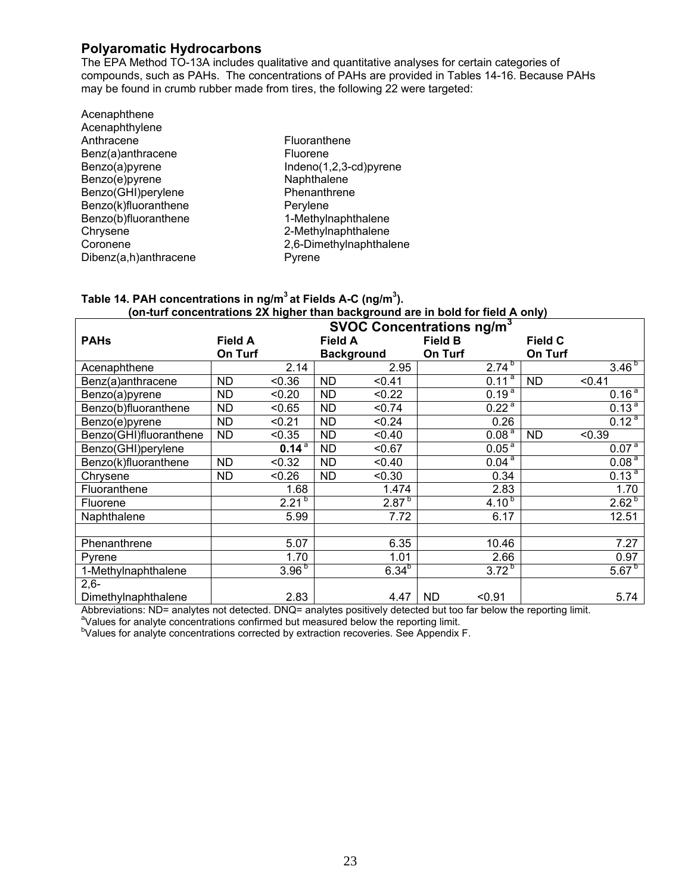# **Polyaromatic Hydrocarbons**

The EPA Method TO-13A includes qualitative and quantitative analyses for certain categories of compounds, such as PAHs. The concentrations of PAHs are provided in Tables 14-16. Because PAHs may be found in crumb rubber made from tires, the following 22 were targeted:

| Acenaphthene          |           |
|-----------------------|-----------|
| Acenaphthylene        |           |
| Anthracene            | Fluoranth |
| Benz(a)anthracene     | Fluorene  |
| Benzo(a)pyrene        | Indeno(1, |
| Benzo(e)pyrene        | Naphthale |
| Benzo(GHI)perylene    | Phenanth  |
| Benzo(k)fluoranthene  | Perylene  |
| Benzo(b)fluoranthene  | 1-Methylr |
| Chrysene              | 2-Methylr |
| Coronene              | 2,6-Dimet |
| Dibenz(a,h)anthracene | Pyrene    |
|                       |           |

anthene  $D(1,2,3-\text{cd})$ pyrene halene anthrene hylnaphthalene hylnaphthalene methylnaphthalene

#### **Table 14. PAH concentrations in ng/m3 at Fields A-C (ng/m3 ). (on-turf concentrations 2X higher than background are in bold for field A only)**

|                        | <b>SVOC Concentrations ng/m<sup>3</sup></b> |            |                |                   |                     |                |                     |  |  |
|------------------------|---------------------------------------------|------------|----------------|-------------------|---------------------|----------------|---------------------|--|--|
| <b>PAHs</b>            | <b>Field A</b>                              |            | <b>Field A</b> |                   | <b>Field B</b>      | <b>Field C</b> |                     |  |  |
|                        | On Turf                                     |            |                | <b>Background</b> | On Turf             | On Turf        |                     |  |  |
| Acenaphthene           |                                             | 2.14       |                | 2.95              | $2.74^{b}$          |                | $3.\overline{46^b}$ |  |  |
| Benz(a)anthracene      | ND.                                         | < 0.36     | <b>ND</b>      | < 0.41            | $0.11^{a}$          | ND.            | < 0.41              |  |  |
| Benzo(a)pyrene         | <b>ND</b>                                   | < 0.20     | <b>ND</b>      | < 0.22            | $0.19^{a}$          |                | 0.16 <sup>a</sup>   |  |  |
| Benzo(b)fluoranthene   | <b>ND</b>                                   | < 0.65     | <b>ND</b>      | < 0.74            | $0.22^{a}$          |                | $0.13^{a}$          |  |  |
| Benzo(e)pyrene         | <b>ND</b>                                   | < 0.21     | <b>ND</b>      | < 0.24            | 0.26                |                | $0.12^{a}$          |  |  |
| Benzo(GHI)fluoranthene | <b>ND</b>                                   | < 0.35     | <b>ND</b>      | < 0.40            | 0.08 <sup>a</sup>   | <b>ND</b>      | < 0.39              |  |  |
| Benzo(GHI)perylene     |                                             | $0.14^{a}$ | <b>ND</b>      | < 0.67            | 0.05 <sup>a</sup>   |                | 0.07 <sup>a</sup>   |  |  |
| Benzo(k)fluoranthene   | <b>ND</b>                                   | < 0.32     | <b>ND</b>      | < 0.40            | $0.04^{a}$          |                | 0.08 <sup>a</sup>   |  |  |
| Chrysene               | <b>ND</b>                                   | < 0.26     | <b>ND</b>      | < 0.30            | 0.34                |                | 0.13 <sup>a</sup>   |  |  |
| Fluoranthene           |                                             | 1.68       |                | 1.474             | 2.83                |                | 1.70                |  |  |
| Fluorene               |                                             | $2.21^{b}$ |                | $2.87^{b}$        | $4.10^{b}$          |                | $2.62^{b}$          |  |  |
| Naphthalene            |                                             | 5.99       |                | 7.72              | 6.17                |                | 12.51               |  |  |
|                        |                                             |            |                |                   |                     |                |                     |  |  |
| Phenanthrene           |                                             | 5.07       |                | 6.35              | 10.46               |                | 7.27                |  |  |
| Pyrene                 |                                             | 1.70       |                | 1.01              | 2.66                |                | 0.97                |  |  |
| 1-Methylnaphthalene    |                                             | $3.96^{b}$ |                | $6.34^{b}$        | $3.72^{b}$          |                | $5.67^{b}$          |  |  |
| $2,6-$                 |                                             |            |                |                   |                     |                |                     |  |  |
| Dimethylnaphthalene    |                                             | 2.83       |                | 4.47              | <b>ND</b><br>< 0.91 |                | 5.74                |  |  |

Abbreviations: ND= analytes not detected. DNQ= analytes positively detected but too far below the reporting limit.

 $\textsuperscript{a}$  Values for analyte concentrations confirmed but measured below the reporting limit.

<sup>b</sup>Values for analyte concentrations corrected by extraction recoveries. See Appendix F.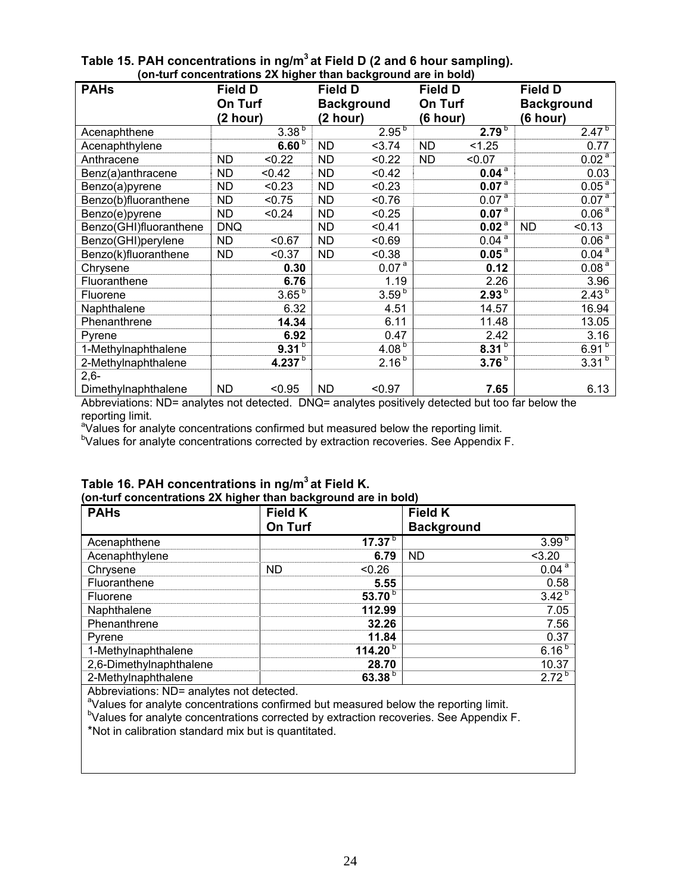| (On-turi concentrations zA nigher than background are in bold) |                |                    |                |                   |                |                   |                |                   |  |
|----------------------------------------------------------------|----------------|--------------------|----------------|-------------------|----------------|-------------------|----------------|-------------------|--|
| <b>PAHs</b>                                                    | <b>Field D</b> |                    | <b>Field D</b> |                   | <b>Field D</b> |                   | <b>Field D</b> |                   |  |
|                                                                | On Turf        |                    |                | <b>Background</b> |                | On Turf           |                | <b>Background</b> |  |
|                                                                | (2 hour)       |                    |                | (2 hour)          |                | (6 hour)          |                | (6 hour)          |  |
| Acenaphthene                                                   |                | $3.38^{b}$         |                | $2.95^{b}$        |                | $2.79^{b}$        |                | $2.47^{b}$        |  |
| Acenaphthylene                                                 |                | 6.60 <sup>b</sup>  | <b>ND</b>      | 3.74              | <b>ND</b>      | < 1.25            |                | 0.77              |  |
| Anthracene                                                     | <b>ND</b>      | < 0.22             | ND.            | < 0.22            | <b>ND</b>      | < 0.07            |                | 0.02 <sup>a</sup> |  |
| Benz(a)anthracene                                              | <b>ND</b>      | < 0.42             | <b>ND</b>      | < 0.42            |                | 0.04 <sup>a</sup> |                | 0.03              |  |
| Benzo(a)pyrene                                                 | <b>ND</b>      | < 0.23             | <b>ND</b>      | < 0.23            |                | 0.07 <sup>a</sup> |                | 0.05 <sup>a</sup> |  |
| Benzo(b)fluoranthene                                           | <b>ND</b>      | < 0.75             | <b>ND</b>      | < 0.76            |                | 0.07 <sup>a</sup> |                | 0.07 <sup>a</sup> |  |
| Benzo(e)pyrene                                                 | <b>ND</b>      | < 0.24             | <b>ND</b>      | < 0.25            |                | 0.07 <sup>a</sup> |                | 0.06 <sup>a</sup> |  |
| Benzo(GHI)fluoranthene                                         | <b>DNQ</b>     |                    | <b>ND</b>      | < 0.41            |                | 0.02 <sup>a</sup> | <b>ND</b>      | < 0.13            |  |
| Benzo(GHI)perylene                                             | <b>ND</b>      | < 0.67             | <b>ND</b>      | < 0.69            |                | $0.04^{a}$        |                | 0.06 <sup>a</sup> |  |
| Benzo(k)fluoranthene                                           | <b>ND</b>      | < 0.37             | <b>ND</b>      | < 0.38            |                | 0.05 <sup>a</sup> |                | 0.04 <sup>a</sup> |  |
| Chrysene                                                       |                | 0.30               |                | 0.07 <sup>a</sup> |                | 0.12              |                | 0.08 <sup>a</sup> |  |
| Fluoranthene                                                   |                | 6.76               |                | 1.19              |                | 2.26              |                | 3.96              |  |
| Fluorene                                                       |                | $3.65^{b}$         |                | 3.59 <sup>b</sup> |                | $2.93^{b}$        |                | $2.43^{b}$        |  |
| Naphthalene                                                    |                | 6.32               |                | 4.51              |                | 14.57             |                | 16.94             |  |
| Phenanthrene                                                   |                | 14.34              |                | 6.11              |                | 11.48             |                | 13.05             |  |
| Pyrene                                                         |                | 6.92               |                | 0.47              |                | 2.42              |                | 3.16              |  |
| 1-Methylnaphthalene                                            |                | 9.31 <sup>b</sup>  |                | 4.08 <sup>b</sup> |                | 8.31 <sup>b</sup> |                | $6.91^{b}$        |  |
| 2-Methylnaphthalene                                            |                | 4.237 <sup>b</sup> |                | $2.16^{b}$        |                | 3.76 <sup>b</sup> |                | $3.31^{b}$        |  |
| $2,6-$                                                         |                |                    |                |                   |                |                   |                |                   |  |
| Dimethylnaphthalene                                            | <b>ND</b>      | < 0.95             | <b>ND</b>      | < 0.97            |                | 7.65              |                | 6.13              |  |

#### **Table 15. PAH concentrations in ng/m<sup>3</sup> at Field D (2 and 6 hour sampling). (on-turf concentrations 2X higher than background are in bold)**

Abbreviations: ND= analytes not detected. DNQ= analytes positively detected but too far below the reporting limit.

<sup>a</sup>Values for analyte concentrations confirmed but measured below the reporting limit.

<sup>b</sup>Values for analyte concentrations corrected by extraction recoveries. See Appendix F.

| <b>PAHs</b>             | <b>Field K</b> |              | <b>Field K</b>    |                       |
|-------------------------|----------------|--------------|-------------------|-----------------------|
|                         | On Turf        |              | <b>Background</b> |                       |
| Acenaphthene            |                | 17.37 $b$    |                   | $3.99^{b}$            |
| Acenaphthylene          |                | 6.79         | <b>ND</b>         | < 3.20                |
| Chrysene                | <b>ND</b>      | < 0.26       |                   | $0.04^{\overline{a}}$ |
| Fluoranthene            |                | 5.55         |                   | 0.58                  |
| Fluorene                |                | 53.70 $b$    |                   | $3.42^{b}$            |
| Naphthalene             |                | 112.99       |                   | 7.05                  |
| Phenanthrene            |                | 32.26        |                   | 7.56                  |
| Pyrene                  |                | 11.84        |                   | 0.37                  |
| 1-Methylnaphthalene     |                | 114.20 $b$   |                   | $6.16^{b}$            |
| 2,6-Dimethylnaphthalene |                | 28.70        |                   | 10.37                 |
| 2-Methylnaphthalene     |                | 63.38 $^{b}$ |                   | $2.72^{b}$            |

## **Table 16. PAH concentrations in ng/m<sup>3</sup> at Field K. (on-turf concentrations 2X higher than background are in bold)**

Abbreviations: ND= analytes not detected.

<sup>a</sup>Values for analyte concentrations confirmed but measured below the reporting limit.

<sup>b</sup>Values for analyte concentrations corrected by extraction recoveries. See Appendix F.

\*Not in calibration standard mix but is quantitated.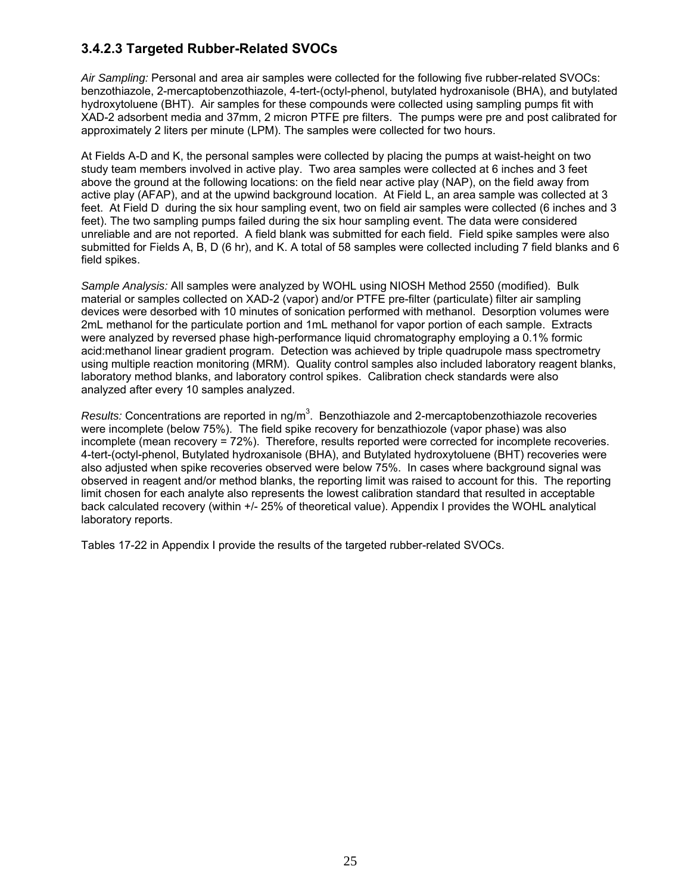# **3.4.2.3 Targeted Rubber-Related SVOCs**

*Air Sampling:* Personal and area air samples were collected for the following five rubber-related SVOCs: benzothiazole, 2-mercaptobenzothiazole, 4-tert-(octyl-phenol, butylated hydroxanisole (BHA), and butylated hydroxytoluene (BHT). Air samples for these compounds were collected using sampling pumps fit with XAD-2 adsorbent media and 37mm, 2 micron PTFE pre filters. The pumps were pre and post calibrated for approximately 2 liters per minute (LPM). The samples were collected for two hours.

At Fields A-D and K, the personal samples were collected by placing the pumps at waist-height on two study team members involved in active play. Two area samples were collected at 6 inches and 3 feet above the ground at the following locations: on the field near active play (NAP), on the field away from active play (AFAP), and at the upwind background location. At Field L, an area sample was collected at 3 feet. At Field D during the six hour sampling event, two on field air samples were collected (6 inches and 3 feet). The two sampling pumps failed during the six hour sampling event. The data were considered unreliable and are not reported. A field blank was submitted for each field. Field spike samples were also submitted for Fields A, B, D (6 hr), and K. A total of 58 samples were collected including 7 field blanks and 6 field spikes.

*Sample Analysis:* All samples were analyzed by WOHL using NIOSH Method 2550 (modified). Bulk material or samples collected on XAD-2 (vapor) and/or PTFE pre-filter (particulate) filter air sampling devices were desorbed with 10 minutes of sonication performed with methanol. Desorption volumes were 2mL methanol for the particulate portion and 1mL methanol for vapor portion of each sample. Extracts were analyzed by reversed phase high-performance liquid chromatography employing a 0.1% formic acid:methanol linear gradient program. Detection was achieved by triple quadrupole mass spectrometry using multiple reaction monitoring (MRM). Quality control samples also included laboratory reagent blanks, laboratory method blanks, and laboratory control spikes. Calibration check standards were also analyzed after every 10 samples analyzed.

Results: Concentrations are reported in ng/m<sup>3</sup>. Benzothiazole and 2-mercaptobenzothiazole recoveries were incomplete (below 75%). The field spike recovery for benzathiozole (vapor phase) was also incomplete (mean recovery = 72%). Therefore, results reported were corrected for incomplete recoveries. 4-tert-(octyl-phenol, Butylated hydroxanisole (BHA), and Butylated hydroxytoluene (BHT) recoveries were also adjusted when spike recoveries observed were below 75%. In cases where background signal was observed in reagent and/or method blanks, the reporting limit was raised to account for this. The reporting limit chosen for each analyte also represents the lowest calibration standard that resulted in acceptable back calculated recovery (within +/- 25% of theoretical value). Appendix I provides the WOHL analytical laboratory reports.

Tables 17-22 in Appendix I provide the results of the targeted rubber-related SVOCs.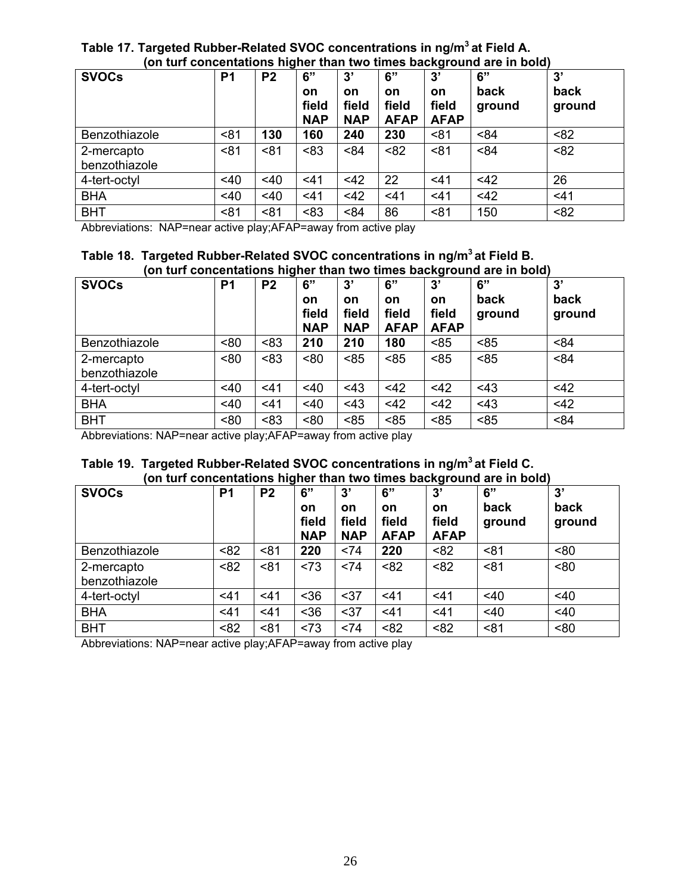# **Table 17. Targeted Rubber-Related SVOC concentrations in ng/m3 at Field A. (on turf concentations higher than two times background are in bold)**

| <b>SVOCs</b>                | P <sub>1</sub> | P <sub>2</sub> | 6"<br>on<br>field<br><b>NAP</b> | 3'<br><b>on</b><br>field<br><b>NAP</b> | 6"<br><b>on</b><br>field<br><b>AFAP</b> | 3'<br><b>on</b><br>field<br><b>AFAP</b> | 6"<br>back<br>ground | 3'<br>back<br>ground |
|-----------------------------|----------------|----------------|---------------------------------|----------------------------------------|-----------------------------------------|-----------------------------------------|----------------------|----------------------|
| Benzothiazole               | < 81           | 130            | 160                             | 240                                    | 230                                     | <81                                     | < 84                 | < 82                 |
| 2-mercapto<br>benzothiazole | < 81           | < 81           | < 83                            | < 84                                   | < 82                                    | < 81                                    | < 84                 | < 82                 |
| 4-tert-octyl                | <40            | <40            | < 41                            | $<$ 42                                 | 22                                      | $<$ 41                                  | <42                  | 26                   |
| <b>BHA</b>                  | 40             | $<$ 40         | $<$ 41                          | <42                                    | $<$ 41                                  | $<$ 41                                  | <42                  | $<$ 41               |
| <b>BHT</b>                  | < 81           | < 81           | < 83                            | < 84                                   | 86                                      | < 81                                    | 150                  | < 82                 |

Abbreviations: NAP=near active play;AFAP=away from active play

### **Table 18. Targeted Rubber-Related SVOC concentrations in ng/m3 at Field B. (on turf concentations higher than two times background are in bold)**

| <b>SVOCs</b>                | P <sub>1</sub> | P <sub>2</sub> | 6"<br>on<br>field<br><b>NAP</b> | 3'<br>on<br>field<br><b>NAP</b> | 6"<br><b>on</b><br>field<br><b>AFAP</b> | 3'<br><b>on</b><br>field<br><b>AFAP</b> | 6"<br>back<br>ground | 3'<br>back<br>ground |
|-----------------------------|----------------|----------------|---------------------------------|---------------------------------|-----------------------------------------|-----------------------------------------|----------------------|----------------------|
| Benzothiazole               | <80            | < 83           | 210                             | 210                             | 180                                     | < 85                                    | < 85                 | < 84                 |
| 2-mercapto<br>benzothiazole | ~80            | < 83           | < 80                            | < 85                            | < 85                                    | < 85                                    | < 85                 | < 84                 |
| 4-tert-octyl                | < 40           | 41             | 40                              | < 43                            | $<$ 42                                  | <42                                     | < 43                 | <42                  |
| <b>BHA</b>                  | $<$ 40         | $<$ 41         | $<$ 40                          | < 43                            | $<$ 42                                  | $<$ 42                                  | < 43                 | $<$ 42               |
| <b>BHT</b>                  | < 80           | < 83           | < 80                            | < 85                            | < 85                                    | < 85                                    | < 85                 | < 84                 |

Abbreviations: NAP=near active play;AFAP=away from active play

## **Table 19. Targeted Rubber-Related SVOC concentrations in ng/m3 at Field C. (on turf concentations higher than two times background are in bold)**

| <b>SVOCs</b>                | P <sub>1</sub> | P <sub>2</sub> | 6"<br>on<br>field<br><b>NAP</b> | 3'<br><b>on</b><br>field<br><b>NAP</b> | 6"<br><b>on</b><br>field<br><b>AFAP</b> | 3'<br><b>on</b><br>field<br><b>AFAP</b> | 6"<br>back<br>ground | 3'<br>back<br>ground |
|-----------------------------|----------------|----------------|---------------------------------|----------------------------------------|-----------------------------------------|-----------------------------------------|----------------------|----------------------|
| Benzothiazole               | < 82           | < 81           | 220                             | < 74                                   | 220                                     | < 82                                    | < 81                 | < 80                 |
| 2-mercapto<br>benzothiazole | < 82           | < 81           | 273                             | < 74                                   | < 82                                    | < 82                                    | < 81                 | < 80                 |
| 4-tert-octyl                | $<$ 41         | < 41           | $36$                            | $37$                                   | 41                                      | $<$ 41                                  | <40                  | <40                  |
| <b>BHA</b>                  | <41            | 41             | $36$                            | $37$                                   | 41                                      | $<$ 41                                  | <40                  | <40                  |
| <b>BHT</b>                  | < 82           | < 81           | < 73                            | <74                                    | < 82                                    | < 82                                    | < 81                 | < 80                 |

Abbreviations: NAP=near active play;AFAP=away from active play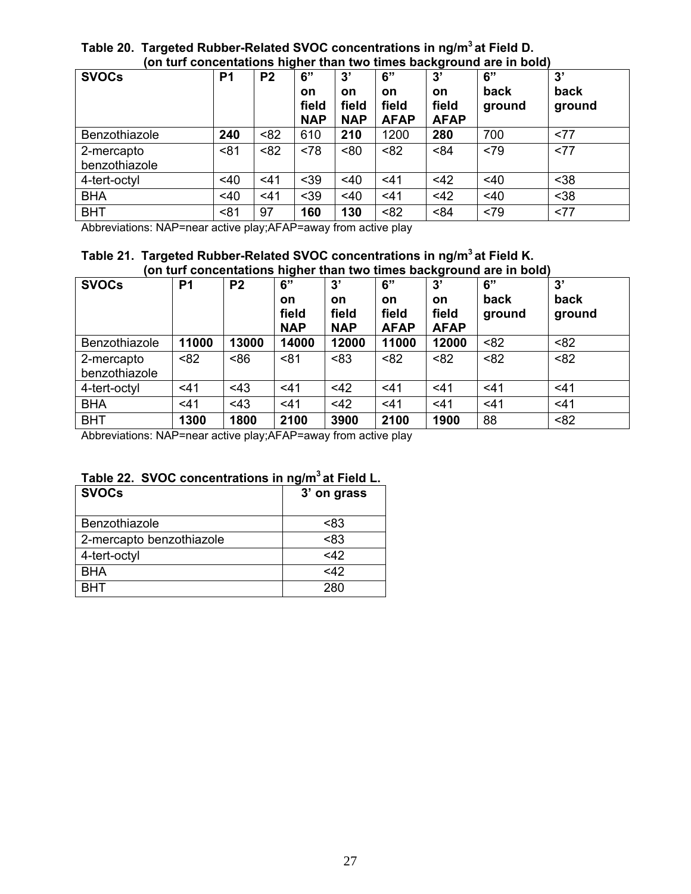## **Table 20. Targeted Rubber-Related SVOC concentrations in ng/m<sup>3</sup> at Field D. (on turf concentations higher than two times background are in bold)**

| <b>SVOCs</b>                | P <sub>1</sub> | P <sub>2</sub> | 6"<br>on<br>field<br><b>NAP</b> | 3'<br>on<br>field<br><b>NAP</b> | 6"<br><b>on</b><br>field<br><b>AFAP</b> | 3'<br><b>on</b><br>field<br><b>AFAP</b> | 6"<br>back<br>ground | 3'<br>back<br>ground |
|-----------------------------|----------------|----------------|---------------------------------|---------------------------------|-----------------------------------------|-----------------------------------------|----------------------|----------------------|
| Benzothiazole               | 240            | < 82           | 610                             | 210                             | 1200                                    | 280                                     | 700                  | <77                  |
| 2-mercapto<br>benzothiazole | < 81           | < 82           | < 78                            | <80                             | < 82                                    | < 84                                    | <79                  | <77                  |
| 4-tert-octyl                | $<$ 40         | $<$ 41         | $39$                            | $<$ 40                          | < 41                                    | <42                                     | $<$ 40               | $38$                 |
| <b>BHA</b>                  | <40            | $<$ 41         | $39$                            | <40                             | $<$ 41                                  | <42                                     | <40                  | $38$                 |
| <b>BHT</b>                  | < 81           | 97             | 160                             | 130                             | < 82                                    | < 84                                    | <79                  | <77                  |

Abbreviations: NAP=near active play;AFAP=away from active play

### **Table 21. Targeted Rubber-Related SVOC concentrations in ng/m<sup>3</sup> at Field K. (on turf concentations higher than two times background are in bold)**

| <b>SVOCs</b>                | P <sub>1</sub> | P <sub>2</sub> | 6"<br><b>on</b><br>field<br><b>NAP</b> | 3'<br><b>on</b><br>field<br><b>NAP</b> | 6"<br><b>on</b><br>field<br><b>AFAP</b> | 3'<br><b>on</b><br>field<br><b>AFAP</b> | 6"<br>back<br>ground | 3'<br>back<br>ground |
|-----------------------------|----------------|----------------|----------------------------------------|----------------------------------------|-----------------------------------------|-----------------------------------------|----------------------|----------------------|
| Benzothiazole               | 11000          | 13000          | 14000                                  | 12000                                  | 11000                                   | 12000                                   | < 82                 | < 82                 |
| 2-mercapto<br>benzothiazole | < 82           | 86             | < 81                                   | < 83                                   | < 82                                    | < 82                                    | < 82                 | < 82                 |
| 4-tert-octyl                | $<$ 41         | < 43           | < 41                                   | $<$ 42                                 | 41                                      | $<$ 41                                  | $<$ 41               | $<$ 41               |
| <b>BHA</b>                  | 41             | < 43           | $<$ 41                                 | $<$ 42                                 | 41                                      | 41                                      | $<$ 41               | $<$ 41               |
| <b>BHT</b>                  | 1300           | 1800           | 2100                                   | 3900                                   | 2100                                    | 1900                                    | 88                   | < 82                 |

Abbreviations: NAP=near active play;AFAP=away from active play

# **Table 22. SVOC concentrations in ng/m<sup>3</sup> at Field L.**

| <b>SVOCs</b>             | 3' on grass |
|--------------------------|-------------|
| Benzothiazole            | <83         |
| 2-mercapto benzothiazole | < 83        |
| 4-tert-octyl             | <12         |
| <b>BHA</b>               | <12         |
| внт                      | 280         |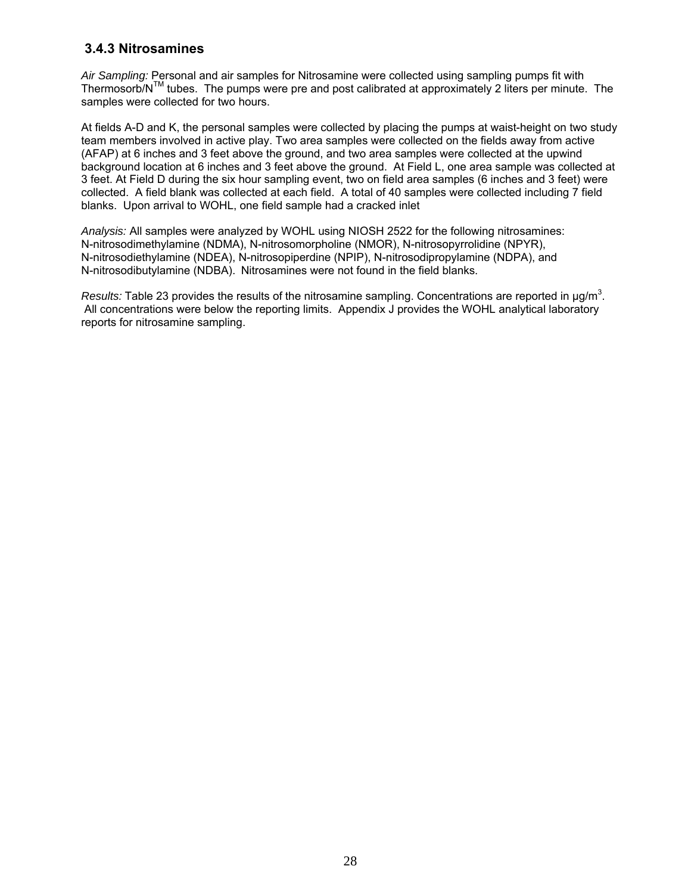# **3.4.3 Nitrosamines**

*Air Sampling:* Personal and air samples for Nitrosamine were collected using sampling pumps fit with Thermosorb/NTM tubes. The pumps were pre and post calibrated at approximately 2 liters per minute. The samples were collected for two hours.

At fields A-D and K, the personal samples were collected by placing the pumps at waist-height on two study team members involved in active play. Two area samples were collected on the fields away from active (AFAP) at 6 inches and 3 feet above the ground, and two area samples were collected at the upwind background location at 6 inches and 3 feet above the ground. At Field L, one area sample was collected at 3 feet. At Field D during the six hour sampling event, two on field area samples (6 inches and 3 feet) were collected. A field blank was collected at each field. A total of 40 samples were collected including 7 field blanks. Upon arrival to WOHL, one field sample had a cracked inlet

*Analysis:* All samples were analyzed by WOHL using NIOSH 2522 for the following nitrosamines: N-nitrosodimethylamine (NDMA), N-nitrosomorpholine (NMOR), N-nitrosopyrrolidine (NPYR), N-nitrosodiethylamine (NDEA), N-nitrosopiperdine (NPIP), N-nitrosodipropylamine (NDPA), and N-nitrosodibutylamine (NDBA). Nitrosamines were not found in the field blanks.

*Results:* Table 23 provides the results of the nitrosamine sampling. Concentrations are reported in  $\mu$ g/m<sup>3</sup>. All concentrations were below the reporting limits. Appendix J provides the WOHL analytical laboratory reports for nitrosamine sampling.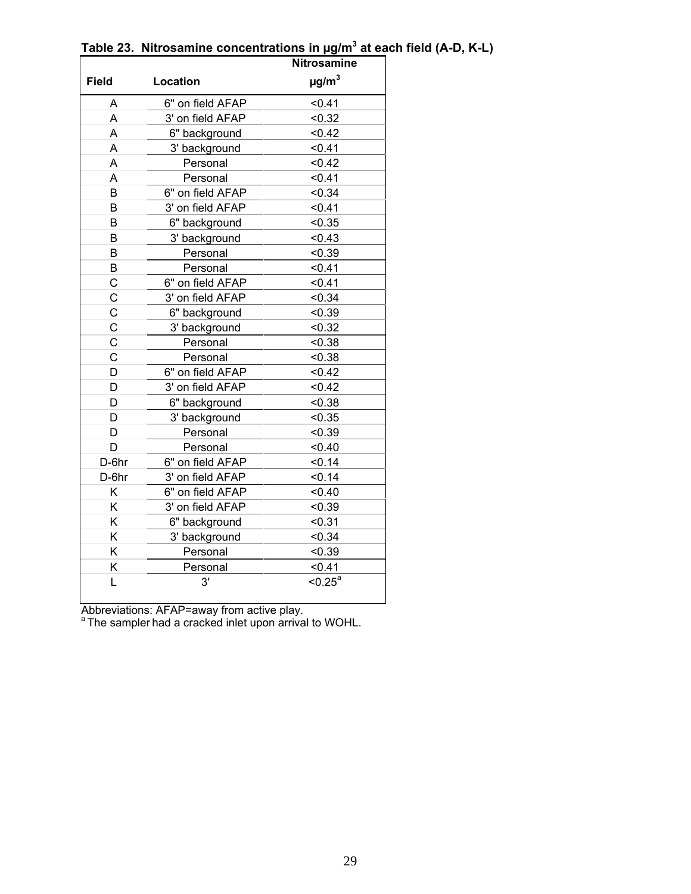|                |                  | <b>Nitrosamine</b>     |
|----------------|------------------|------------------------|
| <b>Field</b>   | Location         | $\mu$ g/m <sup>3</sup> |
| A              | 6" on field AFAP | < 0.41                 |
| A              | 3' on field AFAP | < 0.32                 |
| A              | 6" background    | < 0.42                 |
| A              | 3' background    | < 0.41                 |
| A              | Personal         | < 0.42                 |
| A              | Personal         | < 0.41                 |
| B              | 6" on field AFAP | < 0.34                 |
| B              | 3' on field AFAP | < 0.41                 |
| B              | 6" background    | < 0.35                 |
| B              | 3' background    | < 0.43                 |
| B              | Personal         | < 0.39                 |
| B              | Personal         | < 0.41                 |
| $\mathsf{C}$   | 6" on field AFAP | < 0.41                 |
| C              | 3' on field AFAP | < 0.34                 |
| $\overline{C}$ | 6" background    | < 0.39                 |
| $\mathbf C$    | 3' background    | < 0.32                 |
| C              | Personal         | < 0.38                 |
| $\overline{C}$ | Personal         | < 0.38                 |
| D              | 6" on field AFAP | < 0.42                 |
| D              | 3' on field AFAP | < 0.42                 |
| D              | 6" background    | < 0.38                 |
| D              | 3' background    | < 0.35                 |
| D              | Personal         | < 0.39                 |
| D              | Personal         | < 0.40                 |
| D-6hr          | 6" on field AFAP | < 0.14                 |
| D-6hr          | 3' on field AFAP | < 0.14                 |
| Κ              | 6" on field AFAP | < 0.40                 |
| K              | 3' on field AFAP | < 0.39                 |
| Κ              | 6" background    | < 0.31                 |
| Κ              | 3' background    | < 0.34                 |
| Κ              | Personal         | < 0.39                 |
| Κ              | Personal         | < 0.41                 |
| L              | 3'               | $< 0.25^{\circ}$       |

**Table 23. Nitrosamine concentrations in µg/m<sup>3</sup> at each field (A-D, K-L)** 

Abbreviations: AFAP=away from active play.

<sup>a</sup> The sampler had a cracked inlet upon arrival to WOHL.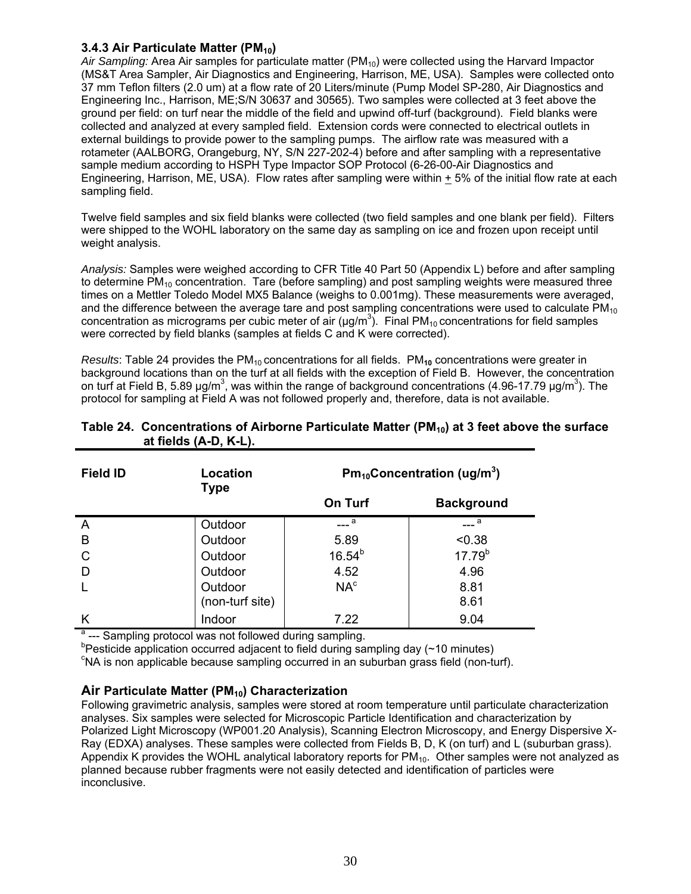#### **3.4.3 Air Particulate Matter (PM<sub>10</sub>)**

Air Sampling: Area Air samples for particulate matter (PM<sub>10</sub>) were collected using the Harvard Impactor (MS&T Area Sampler, Air Diagnostics and Engineering, Harrison, ME, USA). Samples were collected onto 37 mm Teflon filters (2.0 um) at a flow rate of 20 Liters/minute (Pump Model SP-280, Air Diagnostics and Engineering Inc., Harrison, ME;S/N 30637 and 30565). Two samples were collected at 3 feet above the ground per field: on turf near the middle of the field and upwind off-turf (background). Field blanks were collected and analyzed at every sampled field. Extension cords were connected to electrical outlets in external buildings to provide power to the sampling pumps. The airflow rate was measured with a rotameter (AALBORG, Orangeburg, NY, S/N 227-202-4) before and after sampling with a representative sample medium according to HSPH Type Impactor SOP Protocol (6-26-00-Air Diagnostics and Engineering, Harrison, ME, USA). Flow rates after sampling were within + 5% of the initial flow rate at each sampling field.

Twelve field samples and six field blanks were collected (two field samples and one blank per field). Filters were shipped to the WOHL laboratory on the same day as sampling on ice and frozen upon receipt until weight analysis.

*Analysis:* Samples were weighed according to CFR Title 40 Part 50 (Appendix L) before and after sampling to determine  $PM_{10}$  concentration. Tare (before sampling) and post sampling weights were measured three times on a Mettler Toledo Model MX5 Balance (weighs to 0.001mg). These measurements were averaged, and the difference between the average tare and post sampling concentrations were used to calculate  $PM_{10}$ concentration as micrograms per cubic meter of air ( $\mu$ g/m<sup>3</sup>). Final PM<sub>10</sub> concentrations for field samples were corrected by field blanks (samples at fields C and K were corrected).

*Results*: Table 24 provides the PM<sub>10</sub> concentrations for all fields. PM<sub>10</sub> concentrations were greater in background locations than on the turf at all fields with the exception of Field B. However, the concentration on turf at Field B, 5.89  $\mu$ g/m<sup>3</sup>, was within the range of background concentrations (4.96-17.79  $\mu$ g/m<sup>3</sup>). The protocol for sampling at Field A was not followed properly and, therefore, data is not available.

| <b>Field ID</b> | Location<br><b>Type</b> |                 | $Pm_{10}$ Concentration (ug/m <sup>3</sup> ) |
|-----------------|-------------------------|-----------------|----------------------------------------------|
|                 |                         | <b>On Turf</b>  | <b>Background</b>                            |
| A               | Outdoor                 | a               | а                                            |
| B               | Outdoor                 | 5.89            | < 0.38                                       |
| C               | Outdoor                 | $16.54^{b}$     | $17.79^{b}$                                  |
| D               | Outdoor                 | 4.52            | 4.96                                         |
|                 | Outdoor                 | NA <sup>c</sup> | 8.81                                         |
|                 | (non-turf site)         |                 | 8.61                                         |
| Κ               | Indoor                  | 7.22            | 9.04                                         |

#### Table 24. Concentrations of Airborne Particulate Matter (PM<sub>10</sub>) at 3 feet above the surface  **at fields (A-D, K-L).**

<sup>a</sup> --- Sampling protocol was not followed during sampling.

 $^{\circ}$ Pesticide application occurred adjacent to field during sampling day (~10 minutes)

c NA is non applicable because sampling occurred in an suburban grass field (non-turf).

## Air Particulate Matter (PM<sub>10</sub>) Characterization

Following gravimetric analysis, samples were stored at room temperature until particulate characterization analyses. Six samples were selected for Microscopic Particle Identification and characterization by Polarized Light Microscopy (WP001.20 Analysis), Scanning Electron Microscopy, and Energy Dispersive X-Ray (EDXA) analyses. These samples were collected from Fields B, D, K (on turf) and L (suburban grass). Appendix K provides the WOHL analytical laboratory reports for  $PM_{10}$ . Other samples were not analyzed as planned because rubber fragments were not easily detected and identification of particles were inconclusive.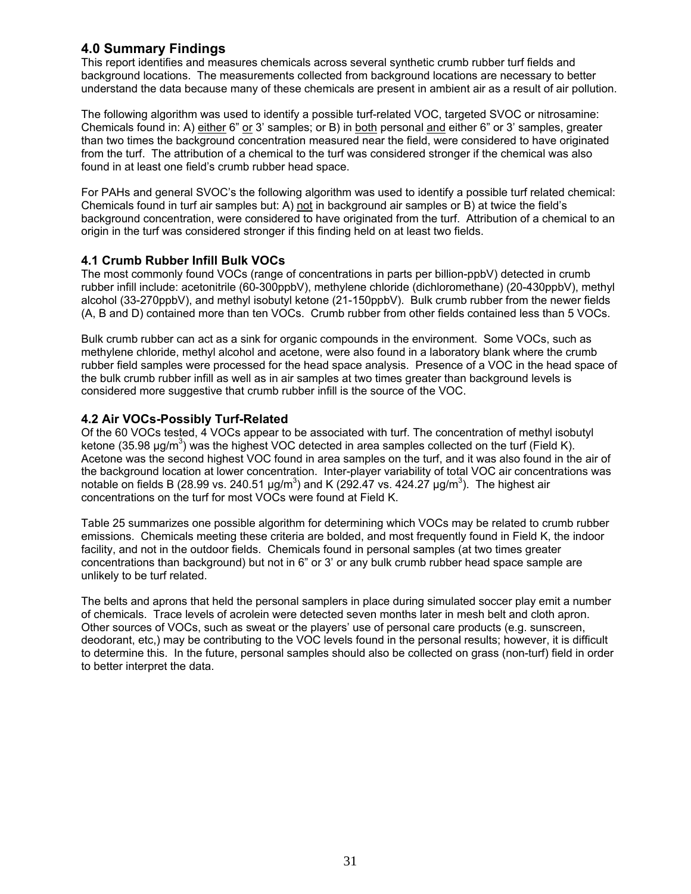# **4.0 Summary Findings**

This report identifies and measures chemicals across several synthetic crumb rubber turf fields and background locations. The measurements collected from background locations are necessary to better understand the data because many of these chemicals are present in ambient air as a result of air pollution.

The following algorithm was used to identify a possible turf-related VOC, targeted SVOC or nitrosamine: Chemicals found in: A) either 6" or 3' samples; or B) in both personal and either 6" or 3' samples, greater than two times the background concentration measured near the field, were considered to have originated from the turf. The attribution of a chemical to the turf was considered stronger if the chemical was also found in at least one field's crumb rubber head space.

For PAHs and general SVOC's the following algorithm was used to identify a possible turf related chemical: Chemicals found in turf air samples but: A) not in background air samples or B) at twice the field's background concentration, were considered to have originated from the turf. Attribution of a chemical to an origin in the turf was considered stronger if this finding held on at least two fields.

## **4.1 Crumb Rubber Infill Bulk VOCs**

The most commonly found VOCs (range of concentrations in parts per billion-ppbV) detected in crumb rubber infill include: acetonitrile (60-300ppbV), methylene chloride (dichloromethane) (20-430ppbV), methyl alcohol (33-270ppbV), and methyl isobutyl ketone (21-150ppbV). Bulk crumb rubber from the newer fields (A, B and D) contained more than ten VOCs. Crumb rubber from other fields contained less than 5 VOCs.

Bulk crumb rubber can act as a sink for organic compounds in the environment. Some VOCs, such as methylene chloride, methyl alcohol and acetone, were also found in a laboratory blank where the crumb rubber field samples were processed for the head space analysis. Presence of a VOC in the head space of the bulk crumb rubber infill as well as in air samples at two times greater than background levels is considered more suggestive that crumb rubber infill is the source of the VOC.

## **4.2 Air VOCs-Possibly Turf-Related**

Of the 60 VOCs tested, 4 VOCs appear to be associated with turf. The concentration of methyl isobutyl ketone (35.98  $\mu$ g/m<sup>3</sup>) was the highest VOC detected in area samples collected on the turf (Field K). Acetone was the second highest VOC found in area samples on the turf, and it was also found in the air of the background location at lower concentration. Inter-player variability of total VOC air concentrations was notable on fields B (28.99 vs. 240.51  $\mu$ g/m<sup>3</sup>) and K (292.47 vs. 424.27  $\mu$ g/m<sup>3</sup>). The highest air concentrations on the turf for most VOCs were found at Field K.

Table 25 summarizes one possible algorithm for determining which VOCs may be related to crumb rubber emissions. Chemicals meeting these criteria are bolded, and most frequently found in Field K, the indoor facility, and not in the outdoor fields. Chemicals found in personal samples (at two times greater concentrations than background) but not in 6" or 3' or any bulk crumb rubber head space sample are unlikely to be turf related.

The belts and aprons that held the personal samplers in place during simulated soccer play emit a number of chemicals. Trace levels of acrolein were detected seven months later in mesh belt and cloth apron. Other sources of VOCs, such as sweat or the players' use of personal care products (e.g. sunscreen, deodorant, etc,) may be contributing to the VOC levels found in the personal results; however, it is difficult to determine this. In the future, personal samples should also be collected on grass (non-turf) field in order to better interpret the data.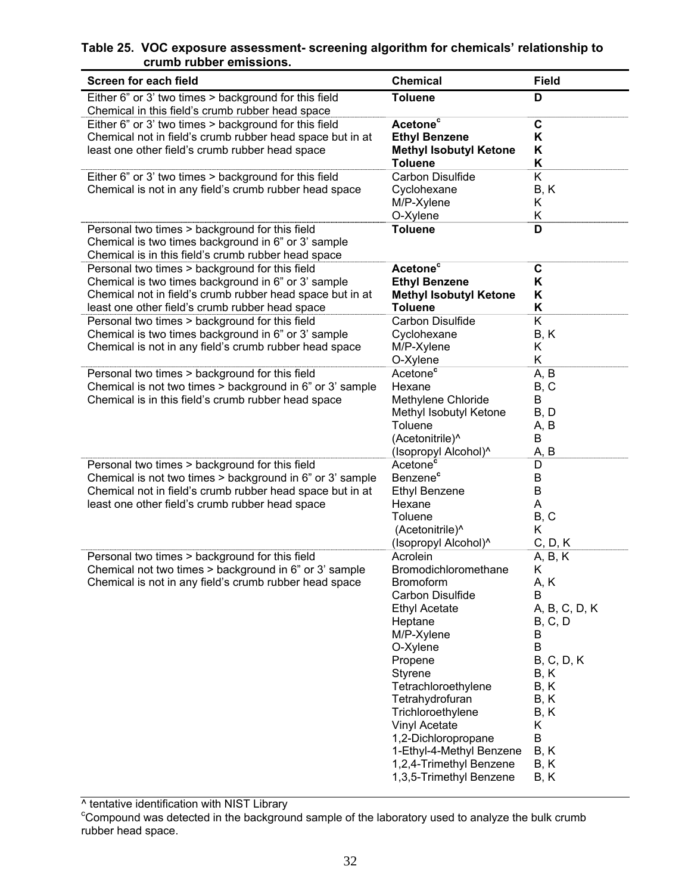# **Table 25. VOC exposure assessment- screening algorithm for chemicals' relationship to crumb rubber emissions.**

| <b>Screen for each field</b>                                                                                                                                                                                                                                                                                                   | <b>Chemical</b>                                                                                                                                                                                                                                                                                                                                             | <b>Field</b>                                                                                                                                            |
|--------------------------------------------------------------------------------------------------------------------------------------------------------------------------------------------------------------------------------------------------------------------------------------------------------------------------------|-------------------------------------------------------------------------------------------------------------------------------------------------------------------------------------------------------------------------------------------------------------------------------------------------------------------------------------------------------------|---------------------------------------------------------------------------------------------------------------------------------------------------------|
| Either 6" or 3' two times > background for this field                                                                                                                                                                                                                                                                          | <b>Toluene</b>                                                                                                                                                                                                                                                                                                                                              | D                                                                                                                                                       |
| Chemical in this field's crumb rubber head space<br>Either 6" or 3' two times > background for this field<br>Chemical not in field's crumb rubber head space but in at<br>least one other field's crumb rubber head space                                                                                                      | Acetone <sup>c</sup><br><b>Ethyl Benzene</b><br><b>Methyl Isobutyl Ketone</b><br><b>Toluene</b>                                                                                                                                                                                                                                                             | $\mathbf C$<br>Κ<br>Κ<br>Κ                                                                                                                              |
| Either 6" or 3' two times > background for this field<br>Chemical is not in any field's crumb rubber head space                                                                                                                                                                                                                | Carbon Disulfide<br>Cyclohexane<br>M/P-Xylene<br>O-Xylene                                                                                                                                                                                                                                                                                                   | Κ<br>B, K<br>Κ<br>Κ                                                                                                                                     |
| Personal two times > background for this field<br>Chemical is two times background in 6" or 3' sample<br>Chemical is in this field's crumb rubber head space                                                                                                                                                                   | <b>Toluene</b>                                                                                                                                                                                                                                                                                                                                              | D                                                                                                                                                       |
| Personal two times > background for this field<br>Chemical is two times background in 6" or 3' sample<br>Chemical not in field's crumb rubber head space but in at<br>least one other field's crumb rubber head space<br>Personal two times > background for this field<br>Chemical is two times background in 6" or 3' sample | Acetone <sup>c</sup><br><b>Ethyl Benzene</b><br><b>Methyl Isobutyl Ketone</b><br><b>Toluene</b><br>Carbon Disulfide<br>Cyclohexane                                                                                                                                                                                                                          | C<br>Κ<br>Κ<br>Κ<br>K<br>B, K                                                                                                                           |
| Chemical is not in any field's crumb rubber head space                                                                                                                                                                                                                                                                         | M/P-Xylene<br>O-Xylene                                                                                                                                                                                                                                                                                                                                      | Κ<br>Κ                                                                                                                                                  |
| Personal two times > background for this field<br>Chemical is not two times > background in 6" or 3' sample<br>Chemical is in this field's crumb rubber head space                                                                                                                                                             | Acetone <sup>c</sup><br>Hexane<br>Methylene Chloride<br>Methyl Isobutyl Ketone<br>Toluene<br>(Acetonitrile)^<br>(Isopropyl Alcohol)^                                                                                                                                                                                                                        | A, B<br>B, C<br>B<br>B, D<br>A, B<br>B<br>A, B                                                                                                          |
| Personal two times > background for this field<br>Chemical is not two times > background in 6" or 3' sample<br>Chemical not in field's crumb rubber head space but in at<br>least one other field's crumb rubber head space                                                                                                    | Acetone <sup>c</sup><br>Benzene <sup>c</sup><br><b>Ethyl Benzene</b><br>Hexane<br>Toluene<br>(Acetonitrile)^<br>(Isopropyl Alcohol)^                                                                                                                                                                                                                        | D<br>B<br>B<br>Α<br>B, C<br>Κ<br>C, D, K                                                                                                                |
| Personal two times > background for this field<br>Chemical not two times > background in 6" or 3' sample<br>Chemical is not in any field's crumb rubber head space                                                                                                                                                             | Acrolein<br>Bromodichloromethane<br><b>Bromoform</b><br>Carbon Disulfide<br><b>Ethyl Acetate</b><br>Heptane<br>M/P-Xylene<br>O-Xylene<br>Propene<br>Styrene<br>Tetrachloroethylene<br>Tetrahydrofuran<br>Trichloroethylene<br><b>Vinyl Acetate</b><br>1,2-Dichloropropane<br>1-Ethyl-4-Methyl Benzene<br>1,2,4-Trimethyl Benzene<br>1,3,5-Trimethyl Benzene | A, B, K<br>K<br>A, K<br>B<br>A, B, C, D, K<br>B, C, D<br>B<br>B<br><b>B</b> , C, D, K<br>B, K<br>B, K<br>B, K<br>B, K<br>Κ<br>B<br>B, K<br>B, K<br>B, K |

^ tentative identification with NIST Library<br><sup>c</sup>Compound was detected in the background sample of the laboratory used to analyze the bulk crumb rubber head space.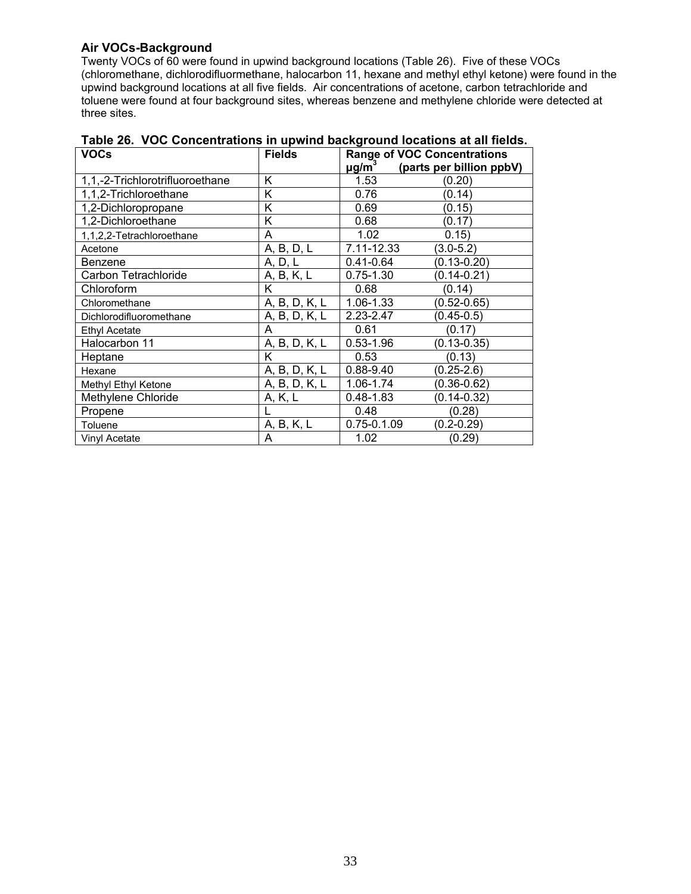#### **Air VOCs-Background**

Twenty VOCs of 60 were found in upwind background locations (Table 26). Five of these VOCs (chloromethane, dichlorodifluormethane, halocarbon 11, hexane and methyl ethyl ketone) were found in the upwind background locations at all five fields. Air concentrations of acetone, carbon tetrachloride and toluene were found at four background sites, whereas benzene and methylene chloride were detected at three sites.

| <b>VOCs</b>                     | <b>Fields</b> | <b>Range of VOC Concentrations</b>                 |  |
|---------------------------------|---------------|----------------------------------------------------|--|
|                                 |               | $\mu$ g/m <sup>3</sup><br>(parts per billion ppbV) |  |
| 1,1,-2-Trichlorotrifluoroethane | Κ             | 1.53<br>(0.20)                                     |  |
| 1,1,2-Trichloroethane           | K             | 0.76<br>(0.14)                                     |  |
| 1,2-Dichloropropane             | Κ             | 0.69<br>(0.15)                                     |  |
| 1,2-Dichloroethane              | K             | 0.68<br>(0.17)                                     |  |
| 1,1,2,2-Tetrachloroethane       | A             | 1.02<br>0.15)                                      |  |
| Acetone                         | A, B, D, L    | 7.11-12.33<br>$(3.0 - 5.2)$                        |  |
| Benzene                         | A, D, L       | $(0.13 - 0.20)$<br>$0.41 - 0.64$                   |  |
| Carbon Tetrachloride            | A, B, K, L    | $(0.14 - 0.21)$<br>$0.75 - 1.30$                   |  |
| Chloroform                      | K             | (0.14)<br>0.68                                     |  |
| Chloromethane                   | A, B, D, K, L | 1.06-1.33<br>$(0.52 - 0.65)$                       |  |
| Dichlorodifluoromethane         | A, B, D, K, L | 2.23-2.47<br>$(0.45 - 0.5)$                        |  |
| <b>Ethyl Acetate</b>            | A             | (0.17)<br>0.61                                     |  |
| Halocarbon 11                   | A, B, D, K, L | $(0.13 - 0.35)$<br>$0.53 - 1.96$                   |  |
| Heptane                         | K             | 0.53<br>(0.13)                                     |  |
| Hexane                          | A, B, D, K, L | $(0.25 - 2.6)$<br>$0.88 - 9.40$                    |  |
| Methyl Ethyl Ketone             | A, B, D, K, L | 1.06-1.74<br>$(0.36 - 0.62)$                       |  |
| Methylene Chloride              | A, K, L       | $0.48 - 1.83$<br>$(0.14 - 0.32)$                   |  |
| Propene                         |               | (0.28)<br>0.48                                     |  |
| Toluene                         | A, B, K, L    | $0.75 - 0.1.09$<br>$(0.2 - 0.29)$                  |  |
| Vinyl Acetate                   | A             | 1.02<br>(0.29)                                     |  |

|  |  | Table 26. VOC Concentrations in upwind background locations at all fields. |  |
|--|--|----------------------------------------------------------------------------|--|
|--|--|----------------------------------------------------------------------------|--|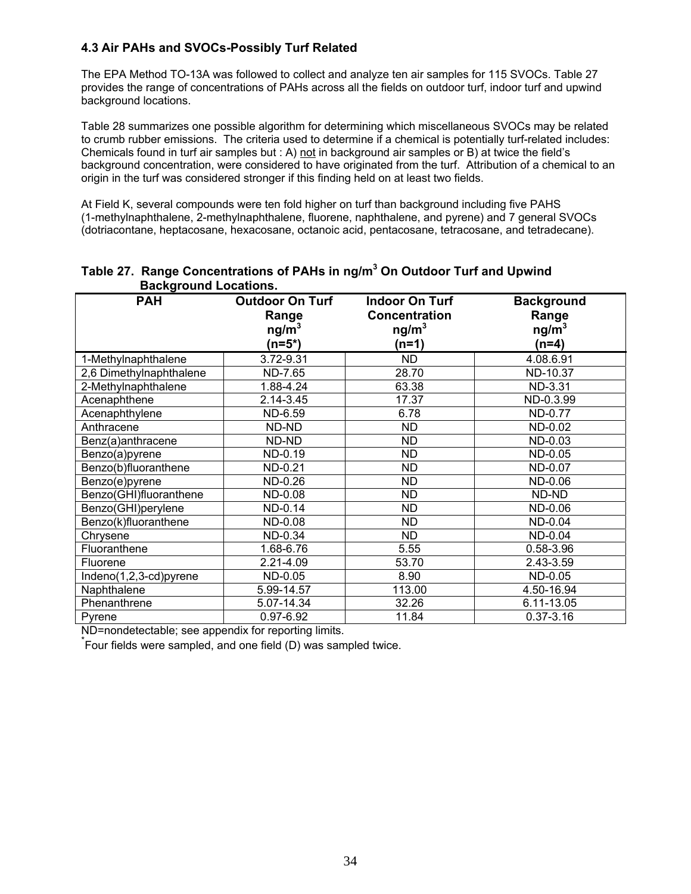## **4.3 Air PAHs and SVOCs-Possibly Turf Related**

The EPA Method TO-13A was followed to collect and analyze ten air samples for 115 SVOCs. Table 27 provides the range of concentrations of PAHs across all the fields on outdoor turf, indoor turf and upwind background locations.

Table 28 summarizes one possible algorithm for determining which miscellaneous SVOCs may be related to crumb rubber emissions. The criteria used to determine if a chemical is potentially turf-related includes: Chemicals found in turf air samples but : A) not in background air samples or B) at twice the field's background concentration, were considered to have originated from the turf. Attribution of a chemical to an origin in the turf was considered stronger if this finding held on at least two fields.

At Field K, several compounds were ten fold higher on turf than background including five PAHS (1-methylnaphthalene, 2-methylnaphthalene, fluorene, naphthalene, and pyrene) and 7 general SVOCs (dotriacontane, heptacosane, hexacosane, octanoic acid, pentacosane, tetracosane, and tetradecane).

| <b>PAH</b>              | <b>Outdoor On Turf</b><br>Range<br>ng/m <sup>3</sup><br>$(n=5*)$ | <b>Indoor On Turf</b><br><b>Concentration</b><br>ng/m <sup>3</sup><br>(n=1) | <b>Background</b><br>Range<br>ng/m <sup>3</sup><br>$(n=4)$ |
|-------------------------|------------------------------------------------------------------|-----------------------------------------------------------------------------|------------------------------------------------------------|
| 1-Methylnaphthalene     | 3.72-9.31                                                        | ND                                                                          | 4.08.6.91                                                  |
| 2,6 Dimethylnaphthalene | ND-7.65                                                          | 28.70                                                                       | ND-10.37                                                   |
| 2-Methylnaphthalene     | 1.88-4.24                                                        | 63.38                                                                       | ND-3.31                                                    |
| Acenaphthene            | 2.14-3.45                                                        | 17.37                                                                       | ND-0.3.99                                                  |
| Acenaphthylene          | ND-6.59                                                          | 6.78                                                                        | <b>ND-0.77</b>                                             |
| Anthracene              | ND-ND                                                            | <b>ND</b>                                                                   | ND-0.02                                                    |
| Benz(a)anthracene       | ND-ND                                                            | <b>ND</b>                                                                   | ND-0.03                                                    |
| Benzo(a)pyrene          | ND-0.19                                                          | <b>ND</b>                                                                   | ND-0.05                                                    |
| Benzo(b)fluoranthene    | ND-0.21                                                          | <b>ND</b>                                                                   | ND-0.07                                                    |
| Benzo(e)pyrene          | ND-0.26                                                          | <b>ND</b>                                                                   | ND-0.06                                                    |
| Benzo(GHI)fluoranthene  | ND-0.08                                                          | <b>ND</b>                                                                   | ND-ND                                                      |
| Benzo(GHI)perylene      | ND-0.14                                                          | ND.                                                                         | ND-0.06                                                    |
| Benzo(k)fluoranthene    | ND-0.08                                                          | <b>ND</b>                                                                   | ND-0.04                                                    |
| Chrysene                | ND-0.34                                                          | <b>ND</b>                                                                   | ND-0.04                                                    |
| Fluoranthene            | 1.68-6.76                                                        | 5.55                                                                        | 0.58-3.96                                                  |
| Fluorene                | 2.21-4.09                                                        | 53.70                                                                       | 2.43-3.59                                                  |
| Indeno(1,2,3-cd)pyrene  | ND-0.05                                                          | 8.90                                                                        | ND-0.05                                                    |
| Naphthalene             | 5.99-14.57                                                       | 113.00                                                                      | 4.50-16.94                                                 |
| Phenanthrene            | 5.07-14.34                                                       | 32.26                                                                       | 6.11-13.05                                                 |
| Pyrene                  | 0.97-6.92                                                        | 11.84                                                                       | $0.37 - 3.16$                                              |

## **Table 27. Range Concentrations of PAHs in ng/m3 On Outdoor Turf and Upwind Background Locations.**

ND=nondetectable; see appendix for reporting limits.

\* Four fields were sampled, and one field (D) was sampled twice.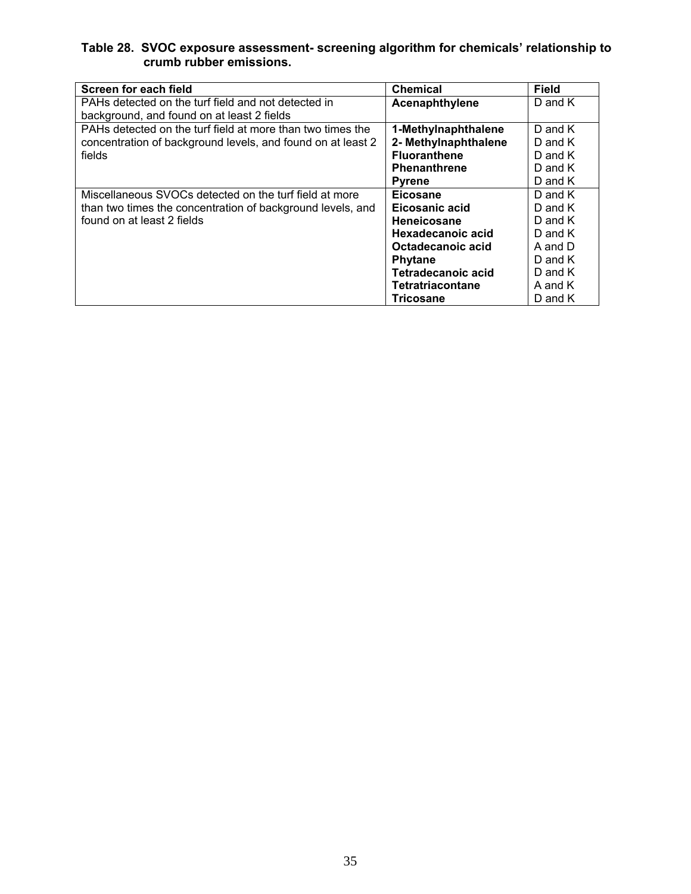#### **Table 28. SVOC exposure assessment- screening algorithm for chemicals' relationship to crumb rubber emissions.**

| Screen for each field                                       | <b>Chemical</b>         | <b>Field</b> |
|-------------------------------------------------------------|-------------------------|--------------|
| PAHs detected on the turf field and not detected in         | Acenaphthylene          | D and $K$    |
| background, and found on at least 2 fields                  |                         |              |
| PAHs detected on the turf field at more than two times the  | 1-Methylnaphthalene     | D and $K$    |
| concentration of background levels, and found on at least 2 | 2- Methylnaphthalene    | $D$ and $K$  |
| fields                                                      | <b>Fluoranthene</b>     | $D$ and $K$  |
|                                                             | <b>Phenanthrene</b>     | $D$ and $K$  |
|                                                             | <b>Pyrene</b>           | $D$ and $K$  |
| Miscellaneous SVOCs detected on the turf field at more      | Eicosane                | $D$ and $K$  |
| than two times the concentration of background levels, and  | Eicosanic acid          | $D$ and $K$  |
| found on at least 2 fields                                  | Heneicosane             | D and $K$    |
|                                                             | Hexadecanoic acid       | D and $K$    |
|                                                             | Octadecanoic acid       | A and D      |
|                                                             | <b>Phytane</b>          | $D$ and $K$  |
|                                                             | Tetradecanoic acid      | $D$ and $K$  |
|                                                             | <b>Tetratriacontane</b> | A and K      |
|                                                             | Tricosane               | D and K      |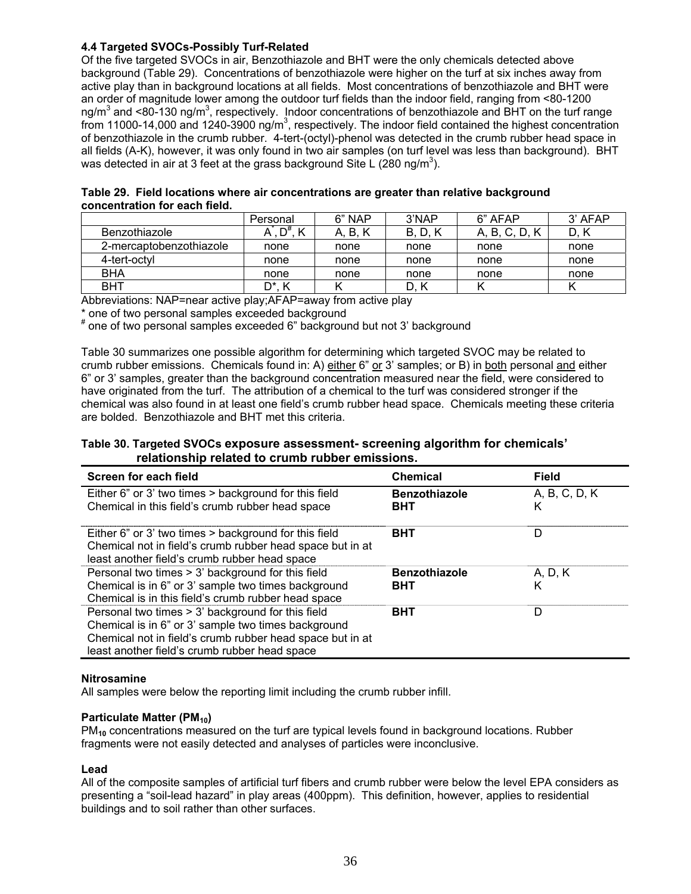#### **4.4 Targeted SVOCs-Possibly Turf-Related**

Of the five targeted SVOCs in air, Benzothiazole and BHT were the only chemicals detected above background (Table 29). Concentrations of benzothiazole were higher on the turf at six inches away from active play than in background locations at all fields. Most concentrations of benzothiazole and BHT were an order of magnitude lower among the outdoor turf fields than the indoor field, ranging from <80-1200 ng/m<sup>3</sup> and <80-130 ng/m<sup>3</sup>, respectively. Indoor concentrations of benzothiazole and BHT on the turf range from 11000-14,000 and 1240-3900 ng/m<sup>3</sup>, respectively. The indoor field contained the highest concentration of benzothiazole in the crumb rubber. 4-tert-(octyl)-phenol was detected in the crumb rubber head space in all fields (A-K), however, it was only found in two air samples (on turf level was less than background). BHT was detected in air at 3 feet at the grass background Site L (280 ng/m<sup>3</sup>).

| Table 29. Field locations where air concentrations are greater than relative background |
|-----------------------------------------------------------------------------------------|
| concentration for each field.                                                           |

|                         | Personal | 6" NAP  | 3'NAP        | 6" AFAP  | $3'$ AFAP |
|-------------------------|----------|---------|--------------|----------|-----------|
| <b>Benzothiazole</b>    |          | A. B. K | <b>B.D.K</b> | A. B. C. | D.        |
| 2-mercaptobenzothiazole | none     | none    | none         | none     | none      |
| 4-tert-octvl            | none     | none    | none         | none     | none      |
| BHA                     | none     | none    | none         | none     | none      |
| <b>BHT</b>              | D*.      |         |              |          |           |

Abbreviations: NAP=near active play;AFAP=away from active play

\* one of two personal samples exceeded background

# one of two personal samples exceeded 6" background but not 3' background

Table 30 summarizes one possible algorithm for determining which targeted SVOC may be related to crumb rubber emissions. Chemicals found in: A) either 6" or 3' samples; or B) in both personal and either 6" or 3' samples, greater than the background concentration measured near the field, were considered to have originated from the turf. The attribution of a chemical to the turf was considered stronger if the chemical was also found in at least one field's crumb rubber head space. Chemicals meeting these criteria are bolded. Benzothiazole and BHT met this criteria.

#### **Table 30. Targeted SVOCs exposure assessment- screening algorithm for chemicals' relationship related to crumb rubber emissions.**

| Screen for each field                                                                                                                                                                                                  | <b>Chemical</b>                    | <b>Field</b>       |
|------------------------------------------------------------------------------------------------------------------------------------------------------------------------------------------------------------------------|------------------------------------|--------------------|
| Either 6" or 3' two times > background for this field<br>Chemical in this field's crumb rubber head space                                                                                                              | <b>Benzothiazole</b><br><b>BHT</b> | A, B, C, D, K<br>κ |
| Either 6" or 3' two times > background for this field<br>Chemical not in field's crumb rubber head space but in at<br>least another field's crumb rubber head space                                                    | <b>BHT</b>                         | D                  |
| Personal two times > 3' background for this field                                                                                                                                                                      | <b>Benzothiazole</b>               | A, D, K            |
| Chemical is in 6" or 3' sample two times background<br>Chemical is in this field's crumb rubber head space                                                                                                             | <b>BHT</b>                         | Κ                  |
| Personal two times > 3' background for this field<br>Chemical is in 6" or 3' sample two times background<br>Chemical not in field's crumb rubber head space but in at<br>least another field's crumb rubber head space | <b>BHT</b>                         | D                  |

#### **Nitrosamine**

All samples were below the reporting limit including the crumb rubber infill.

#### **Particulate Matter (PM<sub>10</sub>)**

PM<sub>10</sub> concentrations measured on the turf are typical levels found in background locations. Rubber fragments were not easily detected and analyses of particles were inconclusive.

#### **Lead**

All of the composite samples of artificial turf fibers and crumb rubber were below the level EPA considers as presenting a "soil-lead hazard" in play areas (400ppm). This definition, however, applies to residential buildings and to soil rather than other surfaces.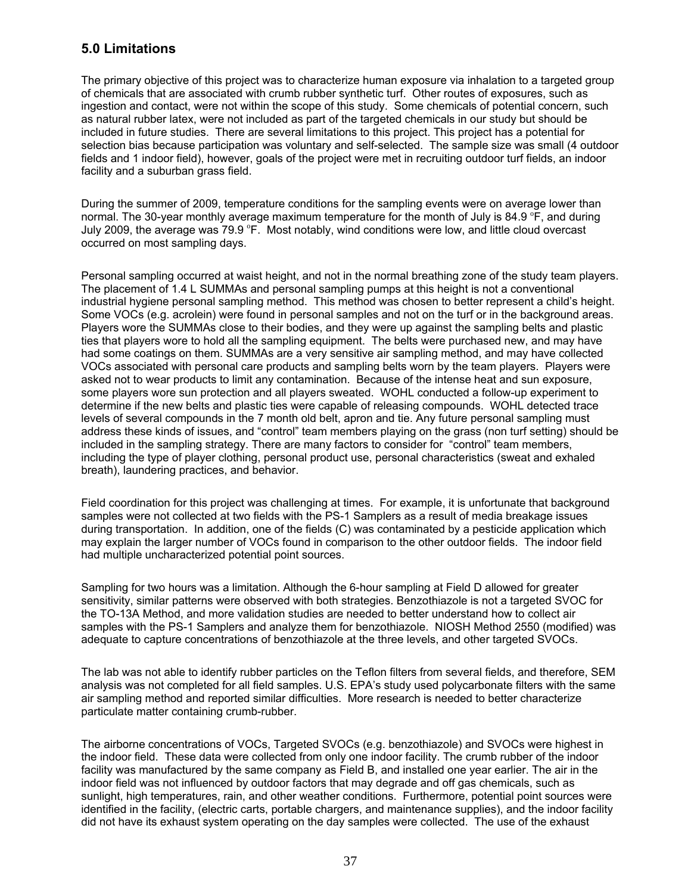# **5.0 Limitations**

The primary objective of this project was to characterize human exposure via inhalation to a targeted group of chemicals that are associated with crumb rubber synthetic turf. Other routes of exposures, such as ingestion and contact, were not within the scope of this study. Some chemicals of potential concern, such as natural rubber latex, were not included as part of the targeted chemicals in our study but should be included in future studies. There are several limitations to this project. This project has a potential for selection bias because participation was voluntary and self-selected. The sample size was small (4 outdoor fields and 1 indoor field), however, goals of the project were met in recruiting outdoor turf fields, an indoor facility and a suburban grass field.

During the summer of 2009, temperature conditions for the sampling events were on average lower than normal. The 30-year monthly average maximum temperature for the month of July is 84.9  $\overline{P}$ , and during July 2009, the average was 79.9 °F. Most notably, wind conditions were low, and little cloud overcast occurred on most sampling days.

Personal sampling occurred at waist height, and not in the normal breathing zone of the study team players. The placement of 1.4 L SUMMAs and personal sampling pumps at this height is not a conventional industrial hygiene personal sampling method. This method was chosen to better represent a child's height. Some VOCs (e.g. acrolein) were found in personal samples and not on the turf or in the background areas. Players wore the SUMMAs close to their bodies, and they were up against the sampling belts and plastic ties that players wore to hold all the sampling equipment. The belts were purchased new, and may have had some coatings on them. SUMMAs are a very sensitive air sampling method, and may have collected VOCs associated with personal care products and sampling belts worn by the team players. Players were asked not to wear products to limit any contamination. Because of the intense heat and sun exposure, some players wore sun protection and all players sweated. WOHL conducted a follow-up experiment to determine if the new belts and plastic ties were capable of releasing compounds. WOHL detected trace levels of several compounds in the 7 month old belt, apron and tie. Any future personal sampling must address these kinds of issues, and "control" team members playing on the grass (non turf setting) should be included in the sampling strategy. There are many factors to consider for "control" team members, including the type of player clothing, personal product use, personal characteristics (sweat and exhaled breath), laundering practices, and behavior.

Field coordination for this project was challenging at times. For example, it is unfortunate that background samples were not collected at two fields with the PS-1 Samplers as a result of media breakage issues during transportation. In addition, one of the fields (C) was contaminated by a pesticide application which may explain the larger number of VOCs found in comparison to the other outdoor fields. The indoor field had multiple uncharacterized potential point sources.

Sampling for two hours was a limitation. Although the 6-hour sampling at Field D allowed for greater sensitivity, similar patterns were observed with both strategies. Benzothiazole is not a targeted SVOC for the TO-13A Method, and more validation studies are needed to better understand how to collect air samples with the PS-1 Samplers and analyze them for benzothiazole. NIOSH Method 2550 (modified) was adequate to capture concentrations of benzothiazole at the three levels, and other targeted SVOCs.

The lab was not able to identify rubber particles on the Teflon filters from several fields, and therefore, SEM analysis was not completed for all field samples. U.S. EPA's study used polycarbonate filters with the same air sampling method and reported similar difficulties. More research is needed to better characterize particulate matter containing crumb-rubber.

The airborne concentrations of VOCs, Targeted SVOCs (e.g. benzothiazole) and SVOCs were highest in the indoor field. These data were collected from only one indoor facility. The crumb rubber of the indoor facility was manufactured by the same company as Field B, and installed one year earlier. The air in the indoor field was not influenced by outdoor factors that may degrade and off gas chemicals, such as sunlight, high temperatures, rain, and other weather conditions.Furthermore, potential point sources were identified in the facility, (electric carts, portable chargers, and maintenance supplies), and the indoor facility did not have its exhaust system operating on the day samples were collected.The use of the exhaust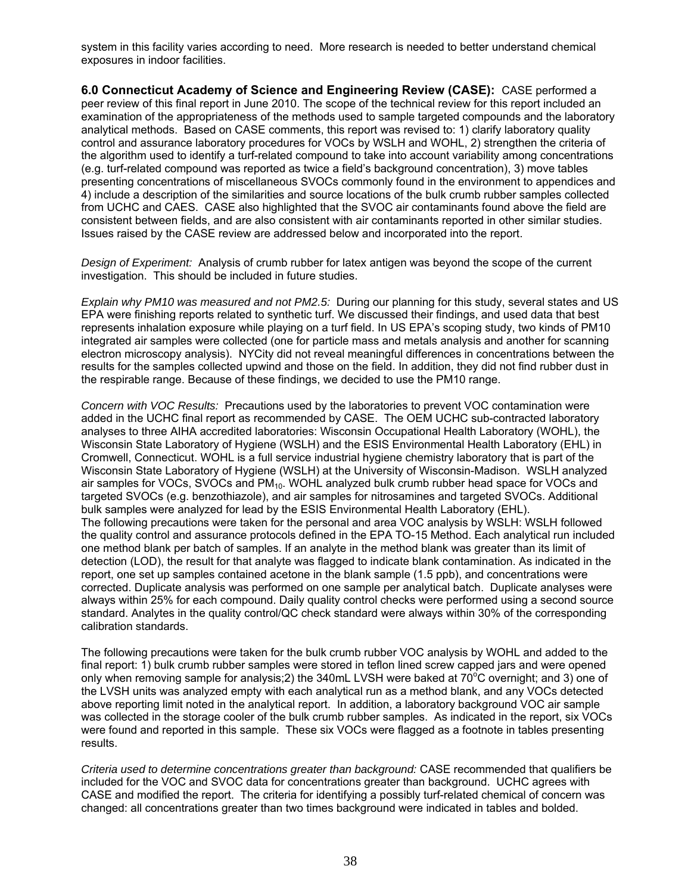system in this facility varies according to need. More research is needed to better understand chemical exposures in indoor facilities.

**6.0 Connecticut Academy of Science and Engineering Review (CASE):** CASE performed a peer review of this final report in June 2010. The scope of the technical review for this report included an examination of the appropriateness of the methods used to sample targeted compounds and the laboratory analytical methods. Based on CASE comments, this report was revised to: 1) clarify laboratory quality control and assurance laboratory procedures for VOCs by WSLH and WOHL, 2) strengthen the criteria of the algorithm used to identify a turf-related compound to take into account variability among concentrations (e.g. turf-related compound was reported as twice a field's background concentration), 3) move tables presenting concentrations of miscellaneous SVOCs commonly found in the environment to appendices and 4) include a description of the similarities and source locations of the bulk crumb rubber samples collected from UCHC and CAES. CASE also highlighted that the SVOC air contaminants found above the field are consistent between fields, and are also consistent with air contaminants reported in other similar studies. Issues raised by the CASE review are addressed below and incorporated into the report.

*Design of Experiment:* Analysis of crumb rubber for latex antigen was beyond the scope of the current investigation. This should be included in future studies.

*Explain why PM10 was measured and not PM2.5:* During our planning for this study, several states and US EPA were finishing reports related to synthetic turf. We discussed their findings, and used data that best represents inhalation exposure while playing on a turf field. In US EPA's scoping study, two kinds of PM10 integrated air samples were collected (one for particle mass and metals analysis and another for scanning electron microscopy analysis). NYCity did not reveal meaningful differences in concentrations between the results for the samples collected upwind and those on the field. In addition, they did not find rubber dust in the respirable range. Because of these findings, we decided to use the PM10 range.

*Concern with VOC Results:* Precautions used by the laboratories to prevent VOC contamination were added in the UCHC final report as recommended by CASE. The OEM UCHC sub-contracted laboratory analyses to three AIHA accredited laboratories: Wisconsin Occupational Health Laboratory (WOHL), the Wisconsin State Laboratory of Hygiene (WSLH) and the ESIS Environmental Health Laboratory (EHL) in Cromwell, Connecticut. WOHL is a full service industrial hygiene chemistry laboratory that is part of the Wisconsin State Laboratory of Hygiene (WSLH) at the University of Wisconsin-Madison. WSLH analyzed air samples for VOCs, SVOCs and PM<sub>10</sub>. WOHL analyzed bulk crumb rubber head space for VOCs and targeted SVOCs (e.g. benzothiazole), and air samples for nitrosamines and targeted SVOCs. Additional bulk samples were analyzed for lead by the ESIS Environmental Health Laboratory (EHL). The following precautions were taken for the personal and area VOC analysis by WSLH: WSLH followed the quality control and assurance protocols defined in the EPA TO-15 Method. Each analytical run included one method blank per batch of samples. If an analyte in the method blank was greater than its limit of detection (LOD), the result for that analyte was flagged to indicate blank contamination. As indicated in the report, one set up samples contained acetone in the blank sample (1.5 ppb), and concentrations were corrected. Duplicate analysis was performed on one sample per analytical batch. Duplicate analyses were always within 25% for each compound. Daily quality control checks were performed using a second source standard. Analytes in the quality control/QC check standard were always within 30% of the corresponding calibration standards.

The following precautions were taken for the bulk crumb rubber VOC analysis by WOHL and added to the final report: 1) bulk crumb rubber samples were stored in teflon lined screw capped jars and were opened only when removing sample for analysis;2) the 340mL LVSH were baked at 70 $\degree$ C overnight; and 3) one of the LVSH units was analyzed empty with each analytical run as a method blank, and any VOCs detected above reporting limit noted in the analytical report. In addition, a laboratory background VOC air sample was collected in the storage cooler of the bulk crumb rubber samples. As indicated in the report, six VOCs were found and reported in this sample. These six VOCs were flagged as a footnote in tables presenting results.

*Criteria used to determine concentrations greater than background:* CASE recommended that qualifiers be included for the VOC and SVOC data for concentrations greater than background. UCHC agrees with CASE and modified the report. The criteria for identifying a possibly turf-related chemical of concern was changed: all concentrations greater than two times background were indicated in tables and bolded.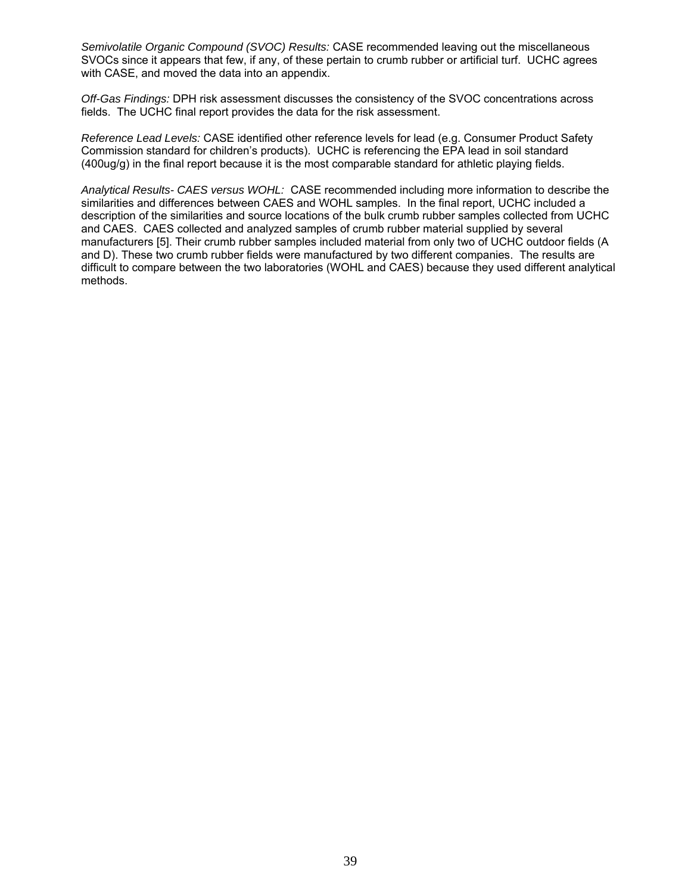*Semivolatile Organic Compound (SVOC) Results:* CASE recommended leaving out the miscellaneous SVOCs since it appears that few, if any, of these pertain to crumb rubber or artificial turf. UCHC agrees with CASE, and moved the data into an appendix.

*Off-Gas Findings:* DPH risk assessment discusses the consistency of the SVOC concentrations across fields. The UCHC final report provides the data for the risk assessment.

*Reference Lead Levels:* CASE identified other reference levels for lead (e.g. Consumer Product Safety Commission standard for children's products). UCHC is referencing the EPA lead in soil standard (400ug/g) in the final report because it is the most comparable standard for athletic playing fields.

*Analytical Results- CAES versus WOHL:* CASE recommended including more information to describe the similarities and differences between CAES and WOHL samples. In the final report, UCHC included a description of the similarities and source locations of the bulk crumb rubber samples collected from UCHC and CAES. CAES collected and analyzed samples of crumb rubber material supplied by several manufacturers [5]. Their crumb rubber samples included material from only two of UCHC outdoor fields (A and D). These two crumb rubber fields were manufactured by two different companies. The results are difficult to compare between the two laboratories (WOHL and CAES) because they used different analytical methods.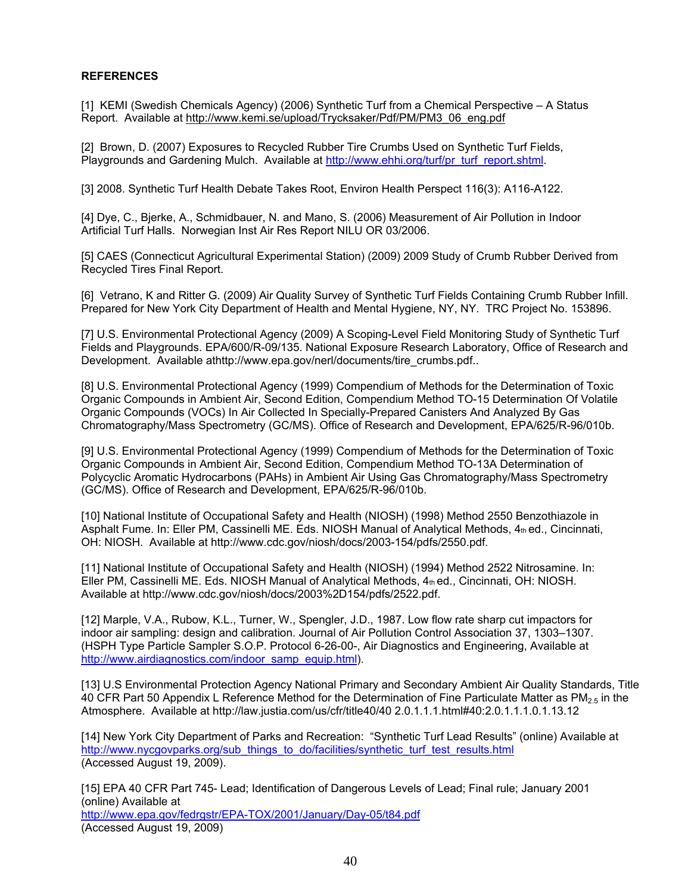#### **REFERENCES**

[1] KEMI (Swedish Chemicals Agency) (2006) Synthetic Turf from a Chemical Perspective – A Status Report. Available at http://www.kemi.se/upload/Trycksaker/Pdf/PM/PM3\_06\_eng.pdf

[2] Brown, D. (2007) Exposures to Recycled Rubber Tire Crumbs Used on Synthetic Turf Fields, Playgrounds and Gardening Mulch. Available at http://www.ehhi.org/turf/pr\_turf\_report.shtml.

[3] 2008. Synthetic Turf Health Debate Takes Root, Environ Health Perspect 116(3): A116-A122.

[4] Dye, C., Bjerke, A., Schmidbauer, N. and Mano, S. (2006) Measurement of Air Pollution in Indoor Artificial Turf Halls. Norwegian Inst Air Res Report NILU OR 03/2006.

[5] CAES (Connecticut Agricultural Experimental Station) (2009) 2009 Study of Crumb Rubber Derived from Recycled Tires Final Report.

[6] Vetrano, K and Ritter G. (2009) Air Quality Survey of Synthetic Turf Fields Containing Crumb Rubber Infill. Prepared for New York City Department of Health and Mental Hygiene, NY, NY. TRC Project No. 153896.

[7] U.S. Environmental Protectional Agency (2009) A Scoping-Level Field Monitoring Study of Synthetic Turf Fields and Playgrounds. EPA/600/R-09/135. National Exposure Research Laboratory, Office of Research and Development. Available athttp://www.epa.gov/nerl/documents/tire\_crumbs.pdf..

[8] U.S. Environmental Protectional Agency (1999) Compendium of Methods for the Determination of Toxic Organic Compounds in Ambient Air, Second Edition, Compendium Method TO-15 Determination Of Volatile Organic Compounds (VOCs) In Air Collected In Specially-Prepared Canisters And Analyzed By Gas Chromatography/Mass Spectrometry (GC/MS). Office of Research and Development, EPA/625/R-96/010b.

[9] U.S. Environmental Protectional Agency (1999) Compendium of Methods for the Determination of Toxic Organic Compounds in Ambient Air, Second Edition, Compendium Method TO-13A Determination of Polycyclic Aromatic Hydrocarbons (PAHs) in Ambient Air Using Gas Chromatography/Mass Spectrometry (GC/MS). Office of Research and Development, EPA/625/R-96/010b.

[10] National Institute of Occupational Safety and Health (NIOSH) (1998) Method 2550 Benzothiazole in Asphalt Fume. In: Eller PM, Cassinelli ME. Eds. NIOSH Manual of Analytical Methods, 4th ed., Cincinnati, OH: NIOSH. Available at http://www.cdc.gov/niosh/docs/2003-154/pdfs/2550.pdf.

[11] National Institute of Occupational Safety and Health (NIOSH) (1994) Method 2522 Nitrosamine. In: Eller PM, Cassinelli ME. Eds. NIOSH Manual of Analytical Methods, 4th ed., Cincinnati, OH: NIOSH. Available at http://www.cdc.gov/niosh/docs/2003%2D154/pdfs/2522.pdf.

[12] Marple, V.A., Rubow, K.L., Turner, W., Spengler, J.D., 1987. Low flow rate sharp cut impactors for indoor air sampling: design and calibration. Journal of Air Pollution Control Association 37, 1303–1307. (HSPH Type Particle Sampler S.O.P. Protocol 6-26-00-, Air Diagnostics and Engineering, Available at http://www.airdiagnostics.com/indoor\_samp\_equip.html).

[13] U.S Environmental Protection Agency National Primary and Secondary Ambient Air Quality Standards, Title 40 CFR Part 50 Appendix L Reference Method for the Determination of Fine Particulate Matter as PM<sub>2.5</sub> in the Atmosphere. Available at http://law.justia.com/us/cfr/title40/40 2.0.1.1.1.html#40:2.0.1.1.1.0.1.13.12

[14] New York City Department of Parks and Recreation: "Synthetic Turf Lead Results" (online) Available at http://www.nycgovparks.org/sub\_things\_to\_do/facilities/synthetic\_turf\_test\_results.html (Accessed August 19, 2009).

[15] EPA 40 CFR Part 745- Lead; Identification of Dangerous Levels of Lead; Final rule; January 2001 (online) Available at http://www.epa.gov/fedrgstr/EPA-TOX/2001/January/Day-05/t84.pdf (Accessed August 19, 2009)